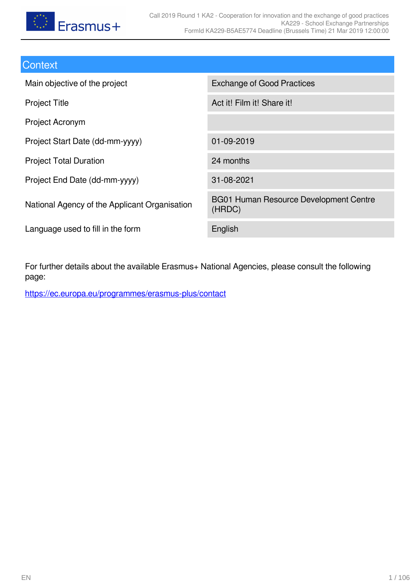

#### **Context**

| Main objective of the project                 | <b>Exchange of Good Practices</b>                       |
|-----------------------------------------------|---------------------------------------------------------|
| <b>Project Title</b>                          | Act it! Film it! Share it!                              |
| <b>Project Acronym</b>                        |                                                         |
| Project Start Date (dd-mm-yyyy)               | 01-09-2019                                              |
| <b>Project Total Duration</b>                 | 24 months                                               |
| Project End Date (dd-mm-yyyy)                 | 31-08-2021                                              |
| National Agency of the Applicant Organisation | <b>BG01 Human Resource Development Centre</b><br>(HRDC) |
| Language used to fill in the form             | English                                                 |

For further details about the available Erasmus+ National Agencies, please consult the following page:

<https://ec.europa.eu/programmes/erasmus-plus/contact>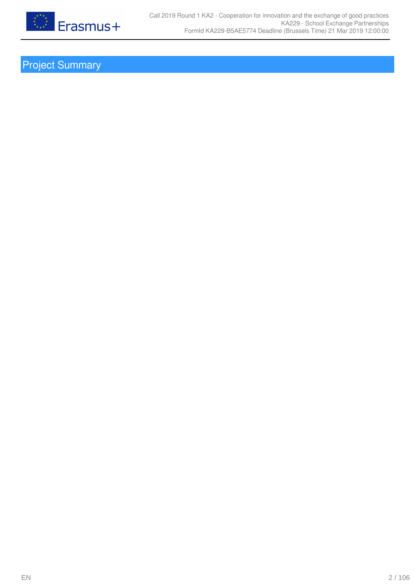

# Project Summary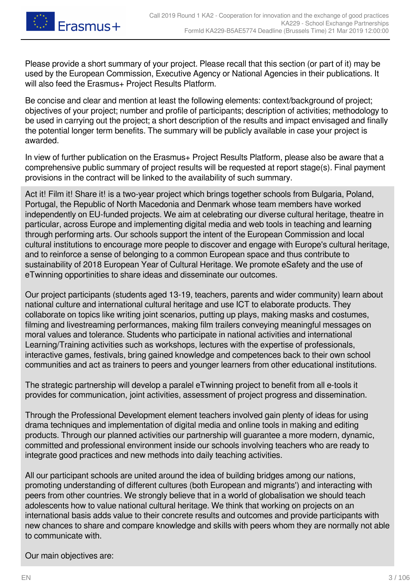

Please provide a short summary of your project. Please recall that this section (or part of it) may be used by the European Commission, Executive Agency or National Agencies in their publications. It will also feed the Erasmus+ Project Results Platform.

Be concise and clear and mention at least the following elements: context/background of project; objectives of your project; number and profile of participants; description of activities; methodology to be used in carrying out the project; a short description of the results and impact envisaged and finally the potential longer term benefits. The summary will be publicly available in case your project is awarded.

In view of further publication on the Erasmus+ Project Results Platform, please also be aware that a comprehensive public summary of project results will be requested at report stage(s). Final payment provisions in the contract will be linked to the availability of such summary.

Act it! Film it! Share it! is a two-year project which brings together schools from Bulgaria, Poland, Portugal, the Republic of North Macedonia and Denmark whose team members have worked independently on EU-funded projects. We aim at celebrating our diverse cultural heritage, theatre in particular, across Europe and implementing digital media and web tools in teaching and learning through performing arts. Our schools support the intent of the European Commission and local cultural institutions to encourage more people to discover and engage with Europe's cultural heritage, and to reinforce a sense of belonging to a common European space and thus contribute to sustainability of 2018 European Year of Cultural Heritage. We promote eSafety and the use of eTwinning opportinities to share ideas and disseminate our outcomes.

Our project participants (students aged 13-19, teachers, parents and wider community) learn about national culture and international cultural heritage and use ICT to elaborate products. They collaborate on topics like writing joint scenarios, putting up plays, making masks and costumes, filming and livestreaming performances, making film trailers conveying meaningful messages on moral values and tolerance. Students who participate in national activities and international Learning/Training activities such as workshops, lectures with the expertise of professionals, interactive games, festivals, bring gained knowledge and competences back to their own school communities and act as trainers to peers and younger learners from other educational institutions.

The strategic partnership will develop a paralel eTwinning project to benefit from all e-tools it provides for communication, joint activities, assessment of project progress and dissemination.

Through the Professional Development element teachers involved gain plenty of ideas for using drama techniques and implementation of digital media and online tools in making and editing products. Through our planned activities our partnership will guarantee a more modern, dynamic, committed and professional environment inside our schools involving teachers who are ready to integrate good practices and new methods into daily teaching activities.

All our participant schools are united around the idea of building bridges among our nations, promoting understanding of different cultures (both European and migrants') and interacting with peers from other countries. We strongly believe that in a world of globalisation we should teach adolescents how to value national cultural heritage. We think that working on projects on an international basis adds value to their concrete results and outcomes and provide participants with new chances to share and compare knowledge and skills with peers whom they are normally not able to communicate with.

Our main objectives are: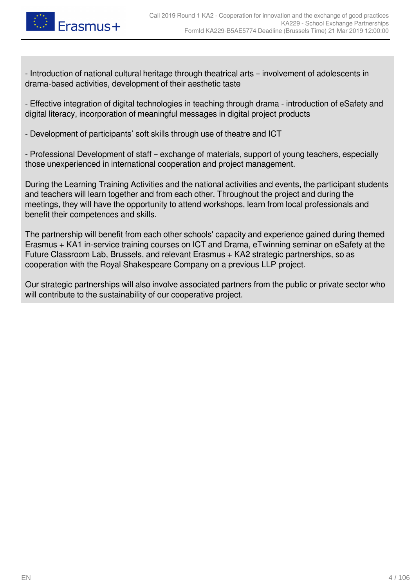

- Introduction of national cultural heritage through theatrical arts – involvement of adolescents in drama-based activities, development of their aesthetic taste

- Effective integration of digital technologies in teaching through drama - introduction of eSafety and digital literacy, incorporation of meaningful messages in digital project products

- Development of participants' soft skills through use of theatre and ICT

- Professional Development of staff – exchange of materials, support of young teachers, especially those unexperienced in international cooperation and project management.

During the Learning Training Activities and the national activities and events, the participant students and teachers will learn together and from each other. Throughout the project and during the meetings, they will have the opportunity to attend workshops, learn from local professionals and benefit their competences and skills.

The partnership will benefit from each other schools' capacity and experience gained during themed Erasmus + KA1 in-service training courses on ICT and Drama, eTwinning seminar on eSafety at the Future Classroom Lab, Brussels, and relevant Erasmus + KA2 strategic partnerships, so as cooperation with the Royal Shakespeare Company on a previous LLP project.

Our strategic partnerships will also involve associated partners from the public or private sector who will contribute to the sustainability of our cooperative project.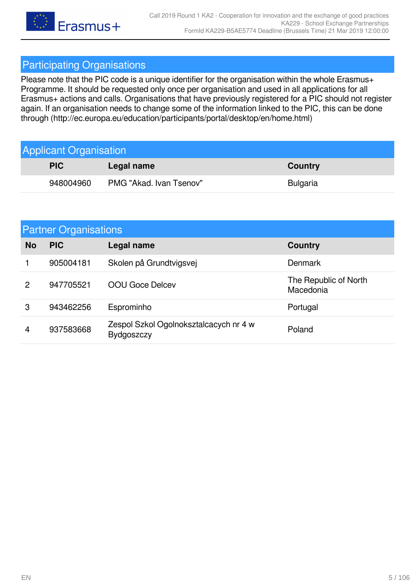

#### Participating Organisations

Please note that the PIC code is a unique identifier for the organisation within the whole Erasmus+ Programme. It should be requested only once per organisation and used in all applications for all Erasmus+ actions and calls. Organisations that have previously registered for a PIC should not register again. If an organisation needs to change some of the information linked to the PIC, this can be done through (http://ec.europa.eu/education/participants/portal/desktop/en/home.html)

#### Applicant Organisation

| <b>PIC</b> | Legal name              | <b>Country</b> |
|------------|-------------------------|----------------|
| 948004960  | PMG "Akad. Ivan Tsenov" | Bulgaria       |

| <b>Partner Organisations</b> |            |                                                             |                                    |  |
|------------------------------|------------|-------------------------------------------------------------|------------------------------------|--|
| <b>No</b>                    | <b>PIC</b> | Legal name                                                  | <b>Country</b>                     |  |
|                              | 905004181  | Skolen på Grundtvigsvej                                     | Denmark                            |  |
| 2                            | 947705521  | <b>OOU Goce Delcev</b>                                      | The Republic of North<br>Macedonia |  |
| 3                            | 943462256  | Esprominho                                                  | Portugal                           |  |
| 4                            | 937583668  | Zespol Szkol Ogolnoksztalcacych nr 4 w<br><b>Bydgoszczy</b> | Poland                             |  |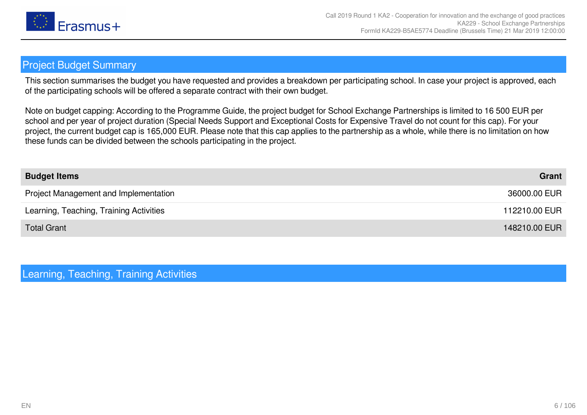

#### Project Budget Summary

This section summarises the budget you have requested and provides a breakdown per participating school. In case your project is approved, eachof the participating schools will be offered a separate contract with their own budget.

Note on budget capping: According to the Programme Guide, the project budget for School Exchange Partnerships is limited to 16 500 EUR per school and per year of project duration (Special Needs Support and Exceptional Costs for Expensive Travel do not count for this cap). For your project, the current budget cap is 165,000 EUR. Please note that this cap applies to the partnership as a whole, while there is no limitation on howthese funds can be divided between the schools participating in the project.

| <b>Budget Items</b>                     | Grant         |
|-----------------------------------------|---------------|
| Project Management and Implementation   | 36000.00 EUR  |
| Learning, Teaching, Training Activities | 112210.00 EUR |
| <b>Total Grant</b>                      | 148210.00 EUR |

#### Learning, Teaching, Training Activities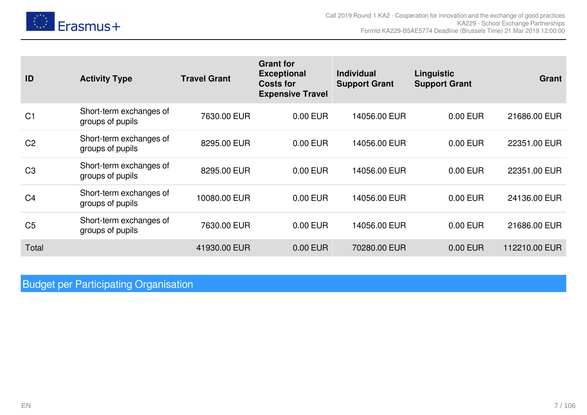

| ID             | <b>Activity Type</b>                        | <b>Travel Grant</b> | <b>Grant for</b><br><b>Exceptional</b><br><b>Costs for</b><br><b>Expensive Travel</b> | <b>Individual</b><br><b>Support Grant</b> | Linguistic<br><b>Support Grant</b> | Grant         |
|----------------|---------------------------------------------|---------------------|---------------------------------------------------------------------------------------|-------------------------------------------|------------------------------------|---------------|
| C <sub>1</sub> | Short-term exchanges of<br>groups of pupils | 7630,00 EUR         | 0.00 EUR                                                                              | 14056.00 EUR                              | 0.00 EUR                           | 21686.00 EUR  |
| C <sub>2</sub> | Short-term exchanges of<br>groups of pupils | 8295.00 EUR         | 0.00 EUR                                                                              | 14056.00 EUR                              | 0.00 EUR                           | 22351.00 EUR  |
| C <sub>3</sub> | Short-term exchanges of<br>groups of pupils | 8295.00 EUR         | 0.00 EUR                                                                              | 14056.00 EUR                              | 0.00 EUR                           | 22351.00 EUR  |
| C <sub>4</sub> | Short-term exchanges of<br>groups of pupils | 10080.00 EUR        | 0.00 EUR                                                                              | 14056.00 EUR                              | 0.00 EUR                           | 24136.00 EUR  |
| C <sub>5</sub> | Short-term exchanges of<br>groups of pupils | 7630.00 EUR         | 0.00 EUR                                                                              | 14056.00 EUR                              | 0.00 EUR                           | 21686.00 EUR  |
| Total          |                                             | 41930.00 EUR        | 0.00 EUR                                                                              | 70280.00 EUR                              | 0.00 EUR                           | 112210.00 EUR |

## Budget per Participating Organisation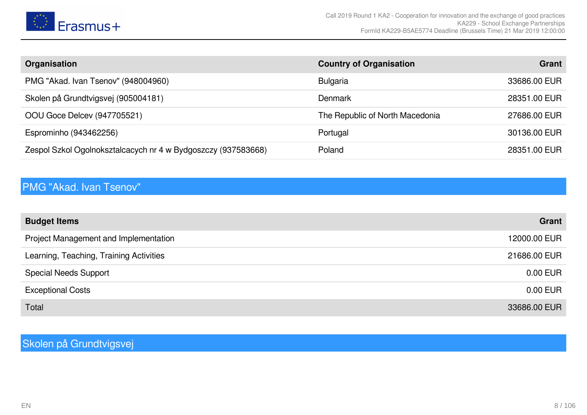

| Organisation                                                  | <b>Country of Organisation</b>  | Grant        |
|---------------------------------------------------------------|---------------------------------|--------------|
| PMG "Akad. Ivan Tsenov" (948004960)                           | Bulgaria                        | 33686,00 EUR |
| Skolen på Grundtvigsvej (905004181)                           | <b>Denmark</b>                  | 28351,00 EUR |
| OOU Goce Delcev (947705521)                                   | The Republic of North Macedonia | 27686,00 EUR |
| Esprominho (943462256)                                        | Portugal                        | 30136,00 EUR |
| Zespol Szkol Ogolnoksztalcacych nr 4 w Bydgoszczy (937583668) | Poland                          | 28351,00 EUR |

## PMG "Akad. Ivan Tsenov"

| <b>Budget Items</b>                     | Grant        |
|-----------------------------------------|--------------|
| Project Management and Implementation   | 12000.00 EUR |
| Learning, Teaching, Training Activities | 21686,00 EUR |
| <b>Special Needs Support</b>            | 0.00 EUR     |
| <b>Exceptional Costs</b>                | 0.00 EUR     |
| Total                                   | 33686.00 EUR |

# Skolen på Grundtvigsvej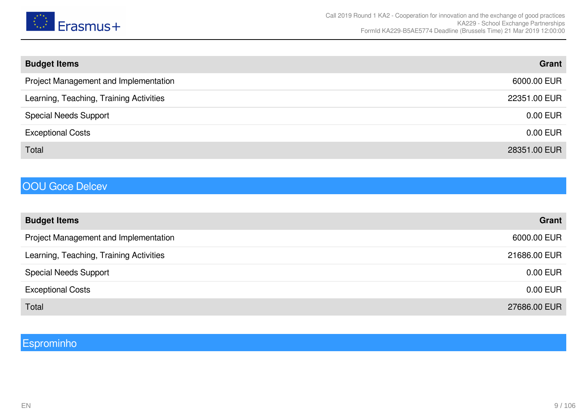

| <b>Budget Items</b>                     | Grant        |
|-----------------------------------------|--------------|
| Project Management and Implementation   | 6000.00 EUR  |
| Learning, Teaching, Training Activities | 22351.00 EUR |
| <b>Special Needs Support</b>            | 0.00 EUR     |
| <b>Exceptional Costs</b>                | 0.00 EUR     |
| Total                                   | 28351.00 EUR |

## OOU Goce Delcev

| <b>Budget Items</b>                     | Grant        |
|-----------------------------------------|--------------|
| Project Management and Implementation   | 6000.00 EUR  |
| Learning, Teaching, Training Activities | 21686,00 EUR |
| <b>Special Needs Support</b>            | 0.00 EUR     |
| <b>Exceptional Costs</b>                | 0.00 EUR     |
| Total                                   | 27686.00 EUR |

# Esprominho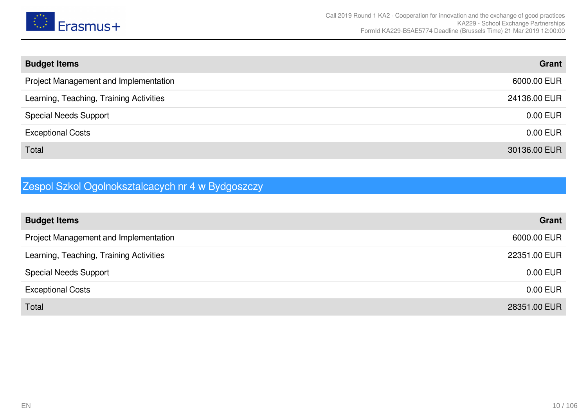

| <b>Budget Items</b>                     | Grant        |
|-----------------------------------------|--------------|
| Project Management and Implementation   | 6000.00 EUR  |
| Learning, Teaching, Training Activities | 24136.00 EUR |
| <b>Special Needs Support</b>            | 0.00 EUR     |
| <b>Exceptional Costs</b>                | 0.00 EUR     |
| Total                                   | 30136,00 EUR |

# Zespol Szkol Ogolnoksztalcacych nr 4 w Bydgoszczy

| <b>Budget Items</b>                     | Grant        |
|-----------------------------------------|--------------|
| Project Management and Implementation   | 6000.00 EUR  |
| Learning, Teaching, Training Activities | 22351.00 EUR |
| <b>Special Needs Support</b>            | 0.00 EUR     |
| <b>Exceptional Costs</b>                | 0.00 EUR     |
| Total                                   | 28351.00 EUR |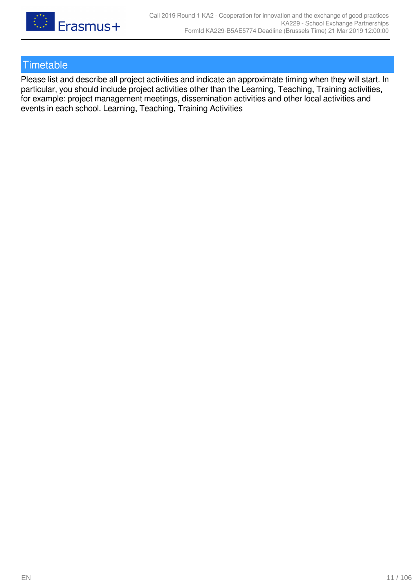

#### **Timetable**

Please list and describe all project activities and indicate an approximate timing when they will start. In particular, you should include project activities other than the Learning, Teaching, Training activities, for example: project management meetings, dissemination activities and other local activities and events in each school. Learning, Teaching, Training Activities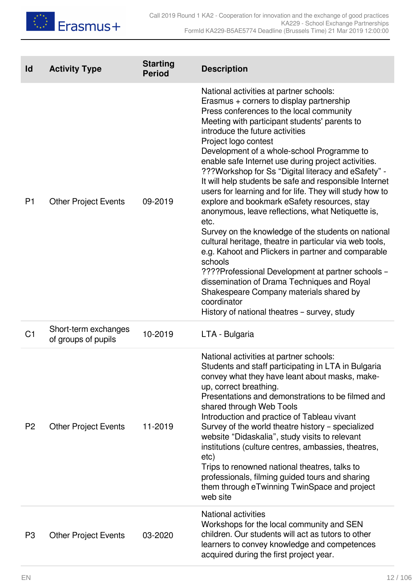

| Id             | <b>Activity Type</b>                        | <b>Starting</b><br><b>Period</b> | <b>Description</b>                                                                                                                                                                                                                                                                                                                                                                                                                                                                                                                                                                                                                                                                                                                                                                                                                                                                                                                                                                                                                          |
|----------------|---------------------------------------------|----------------------------------|---------------------------------------------------------------------------------------------------------------------------------------------------------------------------------------------------------------------------------------------------------------------------------------------------------------------------------------------------------------------------------------------------------------------------------------------------------------------------------------------------------------------------------------------------------------------------------------------------------------------------------------------------------------------------------------------------------------------------------------------------------------------------------------------------------------------------------------------------------------------------------------------------------------------------------------------------------------------------------------------------------------------------------------------|
| P <sub>1</sub> | <b>Other Project Events</b>                 | 09-2019                          | National activities at partner schools:<br>Erasmus + corners to display partnership<br>Press conferences to the local community<br>Meeting with participant students' parents to<br>introduce the future activities<br>Project logo contest<br>Development of a whole-school Programme to<br>enable safe Internet use during project activities.<br>??? Workshop for Ss "Digital literacy and eSafety" -<br>It will help students be safe and responsible Internet<br>users for learning and for life. They will study how to<br>explore and bookmark eSafety resources, stay<br>anonymous, leave reflections, what Netiquette is,<br>etc.<br>Survey on the knowledge of the students on national<br>cultural heritage, theatre in particular via web tools,<br>e.g. Kahoot and Plickers in partner and comparable<br>schools<br>????Professional Development at partner schools -<br>dissemination of Drama Techniques and Royal<br>Shakespeare Company materials shared by<br>coordinator<br>History of national theatres - survey, study |
| C <sub>1</sub> | Short-term exchanges<br>of groups of pupils | 10-2019                          | LTA - Bulgaria                                                                                                                                                                                                                                                                                                                                                                                                                                                                                                                                                                                                                                                                                                                                                                                                                                                                                                                                                                                                                              |
| P <sub>2</sub> | <b>Other Project Events</b>                 | 11-2019                          | National activities at partner schools:<br>Students and staff participating in LTA in Bulgaria<br>convey what they have leant about masks, make-<br>up, correct breathing.<br>Presentations and demonstrations to be filmed and<br>shared through Web Tools<br>Introduction and practice of Tableau vivant<br>Survey of the world theatre history - specialized<br>website "Didaskalia", study visits to relevant<br>institutions (culture centres, ambassies, theatres,<br>etc)<br>Trips to renowned national theatres, talks to<br>professionals, filming guided tours and sharing<br>them through eTwinning TwinSpace and project<br>web site                                                                                                                                                                                                                                                                                                                                                                                            |
| P <sub>3</sub> | <b>Other Project Events</b>                 | 03-2020                          | <b>National activities</b><br>Workshops for the local community and SEN<br>children. Our students will act as tutors to other<br>learners to convey knowledge and competences<br>acquired during the first project year.                                                                                                                                                                                                                                                                                                                                                                                                                                                                                                                                                                                                                                                                                                                                                                                                                    |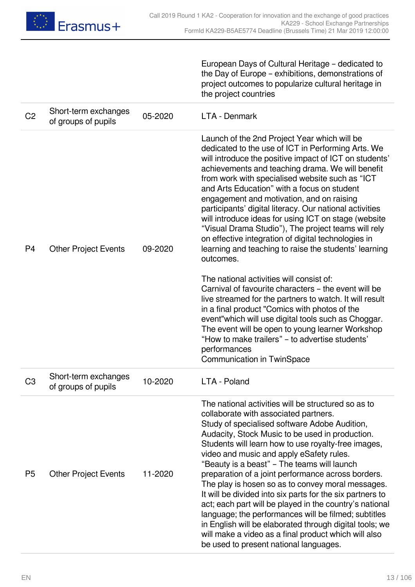

|                |                                             |         | European Days of Cultural Heritage – dedicated to<br>the Day of Europe - exhibitions, demonstrations of<br>project outcomes to popularize cultural heritage in<br>the project countries                                                                                                                                                                                                                                                                                                                                                                                                                                                                                                                                                                                                                                                                                                                                                                                                                                                                                                                   |
|----------------|---------------------------------------------|---------|-----------------------------------------------------------------------------------------------------------------------------------------------------------------------------------------------------------------------------------------------------------------------------------------------------------------------------------------------------------------------------------------------------------------------------------------------------------------------------------------------------------------------------------------------------------------------------------------------------------------------------------------------------------------------------------------------------------------------------------------------------------------------------------------------------------------------------------------------------------------------------------------------------------------------------------------------------------------------------------------------------------------------------------------------------------------------------------------------------------|
| C <sub>2</sub> | Short-term exchanges<br>of groups of pupils | 05-2020 | <b>LTA - Denmark</b>                                                                                                                                                                                                                                                                                                                                                                                                                                                                                                                                                                                                                                                                                                                                                                                                                                                                                                                                                                                                                                                                                      |
| P4             | <b>Other Project Events</b>                 | 09-2020 | Launch of the 2nd Project Year which will be<br>dedicated to the use of ICT in Performing Arts. We<br>will introduce the positive impact of ICT on students'<br>achievements and teaching drama. We will benefit<br>from work with specialised website such as "ICT<br>and Arts Education" with a focus on student<br>engagement and motivation, and on raising<br>participants' digital literacy. Our national activities<br>will introduce ideas for using ICT on stage (website<br>"Visual Drama Studio"), The project teams will rely<br>on effective integration of digital technologies in<br>learning and teaching to raise the students' learning<br>outcomes.<br>The national activities will consist of:<br>Carnival of favourite characters – the event will be<br>live streamed for the partners to watch. It will result<br>in a final product "Comics with photos of the<br>event"which will use digital tools such as Choggar.<br>The event will be open to young learner Workshop<br>"How to make trailers" - to advertise students'<br>performances<br><b>Communication in TwinSpace</b> |
| C <sub>3</sub> | Short-term exchanges<br>of groups of pupils | 10-2020 | LTA - Poland                                                                                                                                                                                                                                                                                                                                                                                                                                                                                                                                                                                                                                                                                                                                                                                                                                                                                                                                                                                                                                                                                              |
| P5             | <b>Other Project Events</b>                 | 11-2020 | The national activities will be structured so as to<br>collaborate with associated partners.<br>Study of specialised software Adobe Audition,<br>Audacity, Stock Music to be used in production.<br>Students will learn how to use royalty-free images,<br>video and music and apply eSafety rules.<br>"Beauty is a beast" - The teams will launch<br>preparation of a joint performance across borders.<br>The play is hosen so as to convey moral messages.<br>It will be divided into six parts for the six partners to<br>act; each part will be played in the country's national<br>language; the performances will be filmed; subtitles<br>in English will be elaborated through digital tools; we<br>will make a video as a final product which will also<br>be used to present national languages.                                                                                                                                                                                                                                                                                                |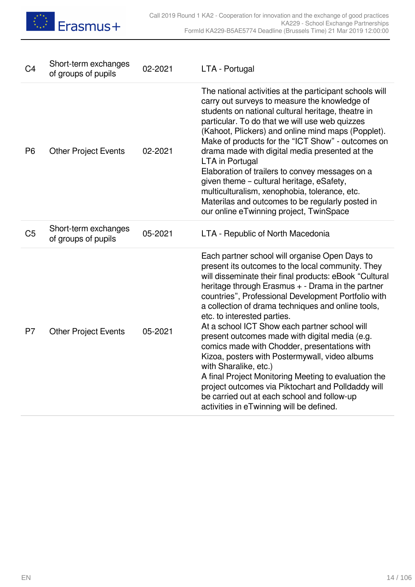

| C <sub>4</sub> | Short-term exchanges<br>of groups of pupils | 02-2021 | LTA - Portugal                                                                                                                                                                                                                                                                                                                                                                                                                                                                                                                                                                                                                                                                                                                                                                                        |
|----------------|---------------------------------------------|---------|-------------------------------------------------------------------------------------------------------------------------------------------------------------------------------------------------------------------------------------------------------------------------------------------------------------------------------------------------------------------------------------------------------------------------------------------------------------------------------------------------------------------------------------------------------------------------------------------------------------------------------------------------------------------------------------------------------------------------------------------------------------------------------------------------------|
| P <sub>6</sub> | <b>Other Project Events</b>                 | 02-2021 | The national activities at the participant schools will<br>carry out surveys to measure the knowledge of<br>students on national cultural heritage, theatre in<br>particular. To do that we will use web quizzes<br>(Kahoot, Plickers) and online mind maps (Popplet).<br>Make of products for the "ICT Show" - outcomes on<br>drama made with digital media presented at the<br><b>LTA</b> in Portugal<br>Elaboration of trailers to convey messages on a<br>given theme - cultural heritage, eSafety,<br>multiculturalism, xenophobia, tolerance, etc.<br>Materilas and outcomes to be regularly posted in<br>our online eTwinning project, TwinSpace                                                                                                                                               |
| C <sub>5</sub> | Short-term exchanges<br>of groups of pupils | 05-2021 | LTA - Republic of North Macedonia                                                                                                                                                                                                                                                                                                                                                                                                                                                                                                                                                                                                                                                                                                                                                                     |
| P <sub>7</sub> | <b>Other Project Events</b>                 | 05-2021 | Each partner school will organise Open Days to<br>present its outcomes to the local community. They<br>will disseminate their final products: eBook "Cultural<br>heritage through Erasmus + - Drama in the partner<br>countries", Professional Development Portfolio with<br>a collection of drama techniques and online tools,<br>etc. to interested parties.<br>At a school ICT Show each partner school will<br>present outcomes made with digital media (e.g.<br>comics made with Chodder, presentations with<br>Kizoa, posters with Postermywall, video albums<br>with Sharalike, etc.)<br>A final Project Monitoring Meeting to evaluation the<br>project outcomes via Piktochart and Polldaddy will<br>be carried out at each school and follow-up<br>activities in eTwinning will be defined. |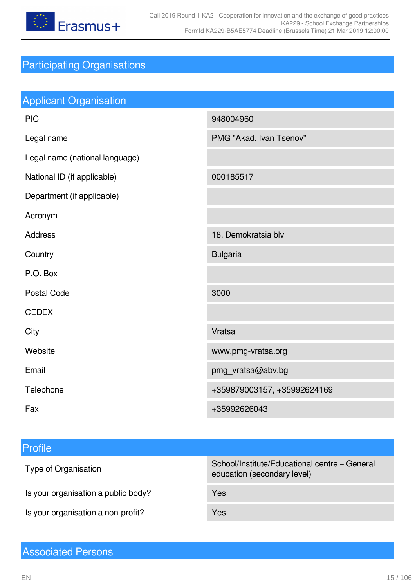

#### Participating Organisations

| <b>Applicant Organisation</b>  |                             |
|--------------------------------|-----------------------------|
| <b>PIC</b>                     | 948004960                   |
| Legal name                     | PMG "Akad. Ivan Tsenov"     |
| Legal name (national language) |                             |
| National ID (if applicable)    | 000185517                   |
| Department (if applicable)     |                             |
| Acronym                        |                             |
| <b>Address</b>                 | 18, Demokratsia blv         |
| Country                        | <b>Bulgaria</b>             |
| P.O. Box                       |                             |
| <b>Postal Code</b>             | 3000                        |
| <b>CEDEX</b>                   |                             |
| City                           | <b>Vratsa</b>               |
| Website                        | www.pmg-vratsa.org          |
| Email                          | pmg_vratsa@abv.bg           |
| Telephone                      | +359879003157, +35992624169 |
| Fax                            | +35992626043                |

#### Profile

| Type of Organisation                | School/Institute/Educational centre - General<br>education (secondary level) |
|-------------------------------------|------------------------------------------------------------------------------|
| Is your organisation a public body? | Yes                                                                          |
| Is your organisation a non-profit?  | Yes                                                                          |

## Associated Persons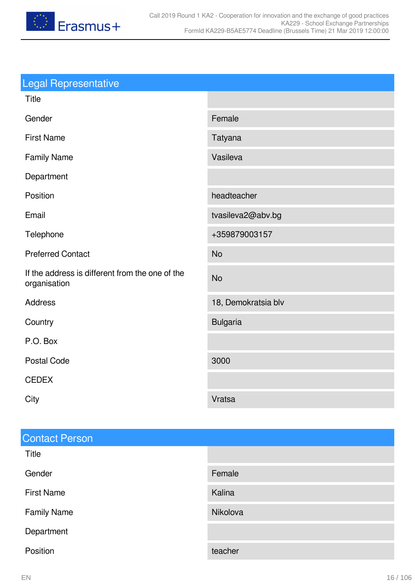

# Legal Representative

| Title                                                           |                     |
|-----------------------------------------------------------------|---------------------|
| Gender                                                          | Female              |
| <b>First Name</b>                                               | Tatyana             |
| <b>Family Name</b>                                              | Vasileva            |
| Department                                                      |                     |
| Position                                                        | headteacher         |
| Email                                                           | tvasileva2@abv.bg   |
| Telephone                                                       | +359879003157       |
| <b>Preferred Contact</b>                                        | <b>No</b>           |
| If the address is different from the one of the<br>organisation | <b>No</b>           |
| <b>Address</b>                                                  | 18, Demokratsia blv |
| Country                                                         | <b>Bulgaria</b>     |
| P.O. Box                                                        |                     |
| <b>Postal Code</b>                                              | 3000                |
| <b>CEDEX</b>                                                    |                     |
| City                                                            | Vratsa              |

| <b>Contact Person</b> |          |  |
|-----------------------|----------|--|
| Title                 |          |  |
| Gender                | Female   |  |
| <b>First Name</b>     | Kalina   |  |
| <b>Family Name</b>    | Nikolova |  |
| Department            |          |  |
| Position              | teacher  |  |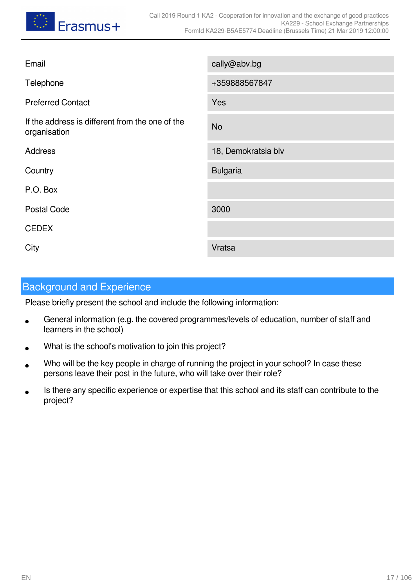

| Email                                                           | cally@abv.bg        |
|-----------------------------------------------------------------|---------------------|
| Telephone                                                       | +359888567847       |
| <b>Preferred Contact</b>                                        | Yes                 |
| If the address is different from the one of the<br>organisation | <b>No</b>           |
| <b>Address</b>                                                  | 18, Demokratsia blv |
| Country                                                         | <b>Bulgaria</b>     |
| P.O. Box                                                        |                     |
| <b>Postal Code</b>                                              | 3000                |
| <b>CEDEX</b>                                                    |                     |
| City                                                            | Vratsa              |

#### Background and Experience

Please briefly present the school and include the following information:

- General information (e.g. the covered programmes/levels of education, number of staff and learners in the school)
- What is the school's motivation to join this project?
- Who will be the key people in charge of running the project in your school? In case these persons leave their post in the future, who will take over their role?
- Is there any specific experience or expertise that this school and its staff can contribute to the project?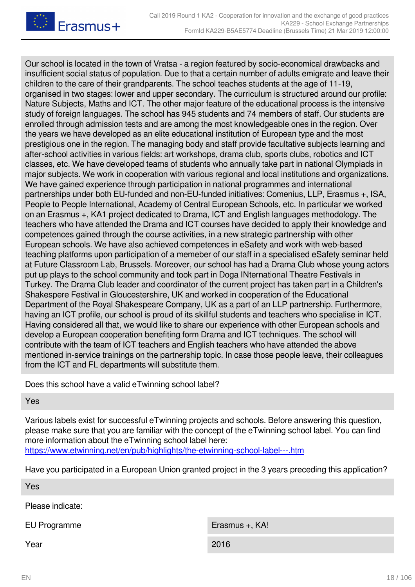

Our school is located in the town of Vratsa - a region featured by socio-economical drawbacks and insufficient social status of population. Due to that a certain number of adults emigrate and leave their children to the care of their grandparents. The school teaches students at the age of 11-19, organised in two stages: lower and upper secondary. The curriculum is structured around our profile: Nature Subjects, Maths and ICT. The other major feature of the educational process is the intensive study of foreign languages. The school has 945 students and 74 members of staff. Our students are enrolled through admission tests and are among the most knowledgeable ones in the region. Over the years we have developed as an elite educational institution of European type and the most prestigious one in the region. The managing body and staff provide facultative subjects learning and after-school activities in various fields: art workshops, drama club, sports clubs, robotics and ICT classes, etc. We have developed teams of students who annually take part in national Olympiads in major subjects. We work in cooperation with various regional and local institutions and organizations. We have gained experience through participation in national programmes and international partnerships under both EU-funded and non-EU-funded initiatives: Comenius, LLP, Erasmus +, ISA, People to People International, Academy of Central European Schools, etc. In particular we worked on an Erasmus +, KA1 project dedicated to Drama, ICT and English languages methodology. The teachers who have attended the Drama and ICT courses have decided to apply their knowledge and competences gained through the course activities, in a new strategic partnership with other European schools. We have also achieved competences in eSafety and work with web-based teaching platforms upon participation of a memeber of our staff in a specialised eSafety seminar held at Future Classroom Lab, Brussels. Moreover, our school has had a Drama Club whose young actors put up plays to the school community and took part in Doga INternational Theatre Festivals in Turkey. The Drama Club leader and coordinator of the current project has taken part in a Children's Shakespere Festival in Gloucestershire, UK and worked in cooperation of the Educational Department of the Royal Shakespeare Company, UK as a part of an LLP partnership. Furthermore, having an ICT profile, our school is proud of its skillful students and teachers who specialise in ICT. Having considered all that, we would like to share our experience with other European schools and develop a European cooperation benefiting form Drama and ICT techniques. The school will contribute with the team of ICT teachers and English teachers who have attended the above mentioned in-service trainings on the partnership topic. In case those people leave, their colleagues from the ICT and FL departments will substitute them.

Does this school have a valid eTwinning school label?

Yes

Various labels exist for successful eTwinning projects and schools. Before answering this question, please make sure that you are familiar with the concept of the eTwinning school label. You can find more information about the eTwinning school label here: <https://www.etwinning.net/en/pub/highlights/the-etwinning-school-label---.htm>

Have you participated in a European Union granted project in the 3 years preceding this application?

Yes

Please indicate:

EU Programme EU Programme EU Programme EU Programme ET ET ALL

Year 2016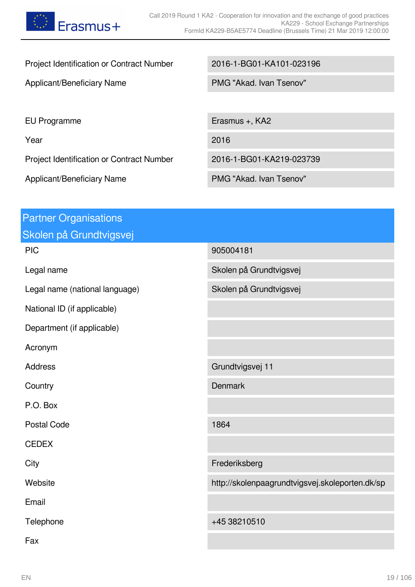

| Project Identification or Contract Number | 2016-1-BG01-KA101-023196                        |
|-------------------------------------------|-------------------------------------------------|
| Applicant/Beneficiary Name                | PMG "Akad. Ivan Tsenov"                         |
|                                           |                                                 |
| EU Programme                              | Erasmus +, KA2                                  |
| Year                                      | 2016                                            |
| Project Identification or Contract Number | 2016-1-BG01-KA219-023739                        |
| Applicant/Beneficiary Name                | PMG "Akad. Ivan Tsenov"                         |
|                                           |                                                 |
| <b>Partner Organisations</b>              |                                                 |
| Skolen på Grundtvigsvej                   |                                                 |
| <b>PIC</b>                                | 905004181                                       |
| Legal name                                | Skolen på Grundtvigsvej                         |
| Legal name (national language)            | Skolen på Grundtvigsvej                         |
| National ID (if applicable)               |                                                 |
| Department (if applicable)                |                                                 |
| Acronym                                   |                                                 |
| <b>Address</b>                            | Grundtvigsvej 11                                |
| Country                                   | <b>Denmark</b>                                  |
| P.O. Box                                  |                                                 |
| <b>Postal Code</b>                        | 1864                                            |
| <b>CEDEX</b>                              |                                                 |
| City                                      | Frederiksberg                                   |
| Website                                   | http://skolenpaagrundtvigsvej.skoleporten.dk/sp |
| Email                                     |                                                 |
| Telephone                                 | +45 38210510                                    |

**College** 

Fax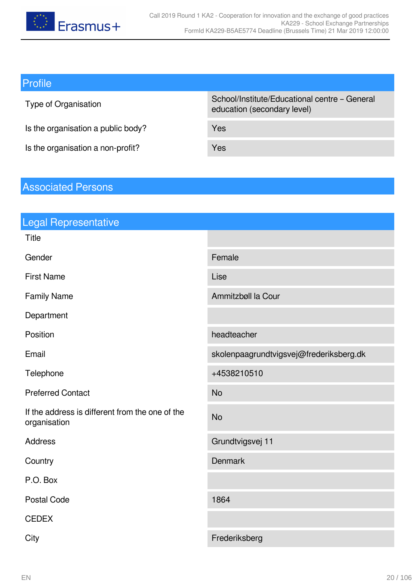

# Profile

| Type of Organisation               | School/Institute/Educational centre - General<br>education (secondary level) |
|------------------------------------|------------------------------------------------------------------------------|
| Is the organisation a public body? | Yes                                                                          |
| Is the organisation a non-profit?  | Yes                                                                          |

## Associated Persons

| <b>Legal Representative</b>                                     |                                         |
|-----------------------------------------------------------------|-----------------------------------------|
| <b>Title</b>                                                    |                                         |
| Gender                                                          | Female                                  |
| <b>First Name</b>                                               | Lise                                    |
| <b>Family Name</b>                                              | Ammitzbøll la Cour                      |
| Department                                                      |                                         |
| Position                                                        | headteacher                             |
| Email                                                           | skolenpaagrundtvigsvej@frederiksberg.dk |
| Telephone                                                       | +4538210510                             |
| <b>Preferred Contact</b>                                        | <b>No</b>                               |
| If the address is different from the one of the<br>organisation | <b>No</b>                               |
| <b>Address</b>                                                  | Grundtvigsvej 11                        |
| Country                                                         | <b>Denmark</b>                          |
| P.O. Box                                                        |                                         |
| <b>Postal Code</b>                                              | 1864                                    |
| <b>CEDEX</b>                                                    |                                         |
| City                                                            | Frederiksberg                           |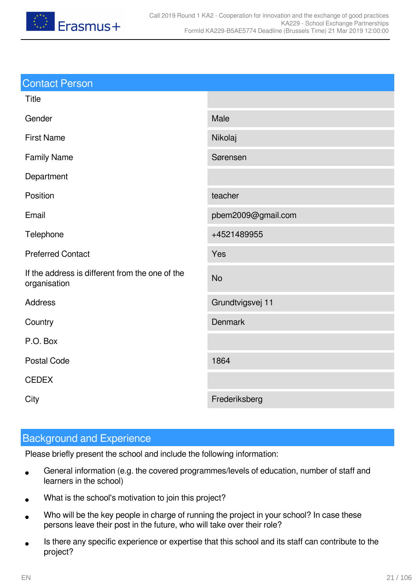

#### Contact Person

| Title                                                           |                    |
|-----------------------------------------------------------------|--------------------|
| Gender                                                          | Male               |
| <b>First Name</b>                                               | Nikolaj            |
| <b>Family Name</b>                                              | Sørensen           |
| Department                                                      |                    |
| Position                                                        | teacher            |
| Email                                                           | pbem2009@gmail.com |
| Telephone                                                       | +4521489955        |
| <b>Preferred Contact</b>                                        | Yes                |
| If the address is different from the one of the<br>organisation | <b>No</b>          |
| <b>Address</b>                                                  | Grundtvigsvej 11   |
| Country                                                         | <b>Denmark</b>     |
| P.O. Box                                                        |                    |
| <b>Postal Code</b>                                              | 1864               |
| <b>CEDEX</b>                                                    |                    |
| City                                                            | Frederiksberg      |

#### Background and Experience

Please briefly present the school and include the following information:

- General information (e.g. the covered programmes/levels of education, number of staff and learners in the school)
- What is the school's motivation to join this project?
- Who will be the key people in charge of running the project in your school? In case these persons leave their post in the future, who will take over their role?
- Is there any specific experience or expertise that this school and its staff can contribute to the project?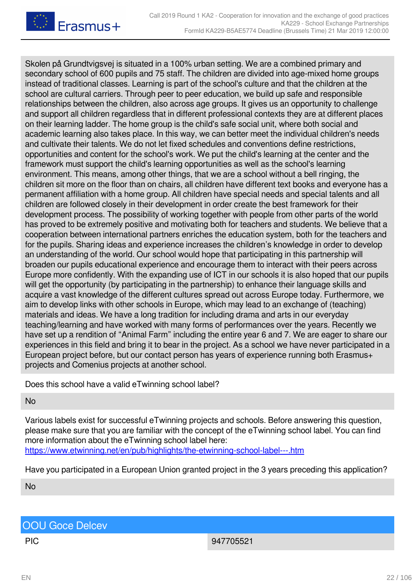

Skolen på Grundtvigsvej is situated in a 100% urban setting. We are a combined primary and secondary school of 600 pupils and 75 staff. The children are divided into age-mixed home groups instead of traditional classes. Learning is part of the school's culture and that the children at the school are cultural carriers. Through peer to peer education, we build up safe and responsible relationships between the children, also across age groups. It gives us an opportunity to challenge and support all children regardless that in different professional contexts they are at different places on their learning ladder. The home group is the child's safe social unit, where both social and academic learning also takes place. In this way, we can better meet the individual children's needs and cultivate their talents. We do not let fixed schedules and conventions define restrictions, opportunities and content for the school's work. We put the child's learning at the center and the framework must support the child's learning opportunities as well as the school's learning environment. This means, among other things, that we are a school without a bell ringing, the children sit more on the floor than on chairs, all children have different text books and everyone has a permanent affiliation with a home group. All children have special needs and special talents and all children are followed closely in their development in order create the best framework for their development process. The possibility of working together with people from other parts of the world has proved to be extremely positive and motivating both for teachers and students. We believe that a cooperation between international partners enriches the education system, both for the teachers and for the pupils. Sharing ideas and experience increases the children's knowledge in order to develop an understanding of the world. Our school would hope that participating in this partnership will broaden our pupils educational experience and encourage them to interact with their peers across Europe more confidently. With the expanding use of ICT in our schools it is also hoped that our pupils will get the opportunity (by participating in the partnership) to enhance their language skills and acquire a vast knowledge of the different cultures spread out across Europe today. Furthermore, we aim to develop links with other schools in Europe, which may lead to an exchange of (teaching) materials and ideas. We have a long tradition for including drama and arts in our everyday teaching/learning and have worked with many forms of performances over the years. Recently we have set up a rendition of "Animal Farm" including the entire year 6 and 7. We are eager to share our experiences in this field and bring it to bear in the project. As a school we have never participated in a European project before, but our contact person has years of experience running both Erasmus+ projects and Comenius projects at another school.

Does this school have a valid eTwinning school label?

No

Various labels exist for successful eTwinning projects and schools. Before answering this question, please make sure that you are familiar with the concept of the eTwinning school label. You can find more information about the eTwinning school label here: <https://www.etwinning.net/en/pub/highlights/the-etwinning-school-label---.htm>

Have you participated in a European Union granted project in the 3 years preceding this application?

No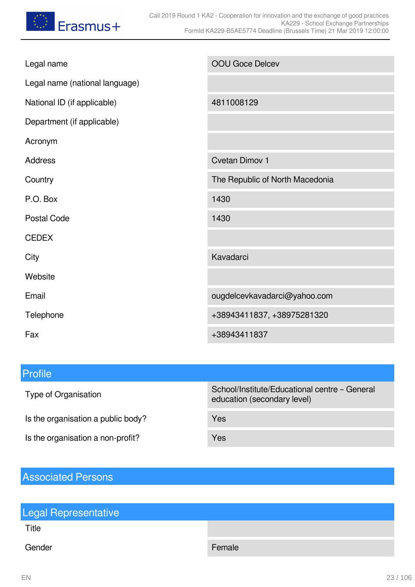

| Legal name                     | <b>OOU Goce Delcev</b>          |
|--------------------------------|---------------------------------|
| Legal name (national language) |                                 |
| National ID (if applicable)    | 4811008129                      |
| Department (if applicable)     |                                 |
| Acronym                        |                                 |
| <b>Address</b>                 | <b>Cvetan Dimov 1</b>           |
| Country                        | The Republic of North Macedonia |
| P.O. Box                       | 1430                            |
| <b>Postal Code</b>             | 1430                            |
| <b>CEDEX</b>                   |                                 |
| City                           | Kavadarci                       |
| Website                        |                                 |
| Email                          | ougdelcevkavadarci@yahoo.com    |
| Telephone                      | +38943411837, +38975281320      |
| Fax                            | +38943411837                    |

## Profile

| Type of Organisation               | School/Institute/Educational centre - General<br>education (secondary level) |
|------------------------------------|------------------------------------------------------------------------------|
| Is the organisation a public body? | Yes                                                                          |
| Is the organisation a non-profit?  | Yes                                                                          |

# Associated Persons

| <b>Legal Representative</b> |        |
|-----------------------------|--------|
| <b>Title</b>                |        |
| Gender                      | Female |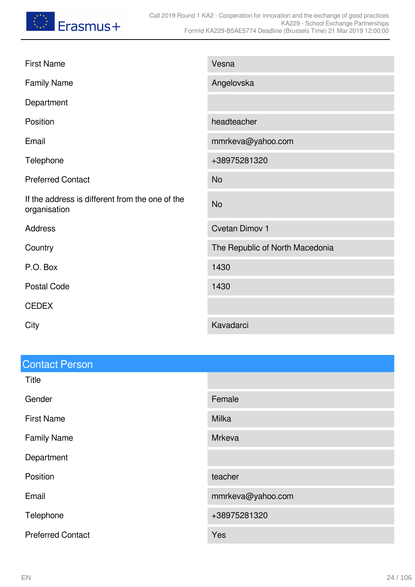

| <b>First Name</b>                                               | Vesna                           |
|-----------------------------------------------------------------|---------------------------------|
| <b>Family Name</b>                                              | Angelovska                      |
| Department                                                      |                                 |
| Position                                                        | headteacher                     |
| Email                                                           | mmrkeva@yahoo.com               |
| Telephone                                                       | +38975281320                    |
| <b>Preferred Contact</b>                                        | <b>No</b>                       |
| If the address is different from the one of the<br>organisation | <b>No</b>                       |
| <b>Address</b>                                                  | <b>Cvetan Dimov 1</b>           |
| Country                                                         | The Republic of North Macedonia |
| P.O. Box                                                        | 1430                            |
| <b>Postal Code</b>                                              | 1430                            |
| <b>CEDEX</b>                                                    |                                 |
| City                                                            | Kavadarci                       |

| <b>Contact Person</b>    |                   |
|--------------------------|-------------------|
| <b>Title</b>             |                   |
| Gender                   | Female            |
| <b>First Name</b>        | <b>Milka</b>      |
| <b>Family Name</b>       | <b>Mrkeva</b>     |
| Department               |                   |
| Position                 | teacher           |
| Email                    | mmrkeva@yahoo.com |
| Telephone                | +38975281320      |
| <b>Preferred Contact</b> | Yes               |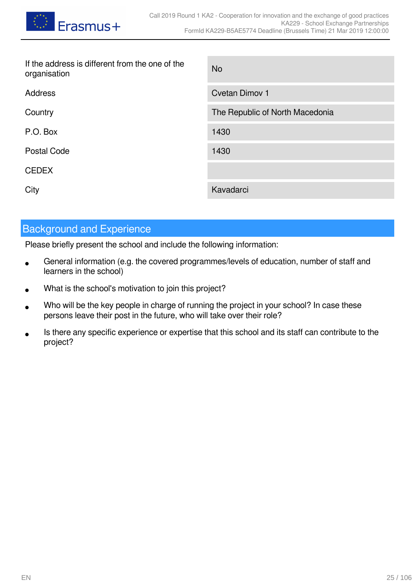

| If the address is different from the one of the<br>organisation | <b>No</b>                       |
|-----------------------------------------------------------------|---------------------------------|
| <b>Address</b>                                                  | Cvetan Dimov 1                  |
| Country                                                         | The Republic of North Macedonia |
| P.O. Box                                                        | 1430                            |
| <b>Postal Code</b>                                              | 1430                            |
| <b>CEDEX</b>                                                    |                                 |
| City                                                            | Kavadarci                       |

#### Background and Experience

Please briefly present the school and include the following information:

- General information (e.g. the covered programmes/levels of education, number of staff and learners in the school)
- What is the school's motivation to join this project?
- Who will be the key people in charge of running the project in your school? In case these persons leave their post in the future, who will take over their role?
- Is there any specific experience or expertise that this school and its staff can contribute to the project?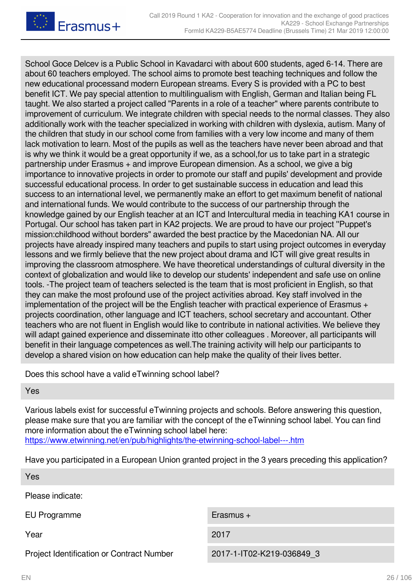

School Goce Delcev is a Public School in Kavadarci with about 600 students, aged 6-14. There are about 60 teachers employed. The school aims to promote best teaching techniques and follow the new educational processand modern European streams. Every S is provided with a PC to best benefit ICT. We pay special attention to multilingualism with English, German and Italian being FL taught. We also started a project called "Parents in a role of a teacher" where parents contribute to improvement of curriculum. We integrate children with special needs to the normal classes. They also additionally work with the teacher specialized in working with children with dyslexia, autism. Many of the children that study in our school come from families with a very low income and many of them lack motivation to learn. Most of the pupils as well as the teachers have never been abroad and that is why we think it would be a great opportunity if we, as a school,for us to take part in a strategic partnership under Erasmus + and improve European dimension. As a school, we give a big importance to innovative projects in order to promote our staff and pupils' development and provide successful educational process. In order to get sustainable success in education and lead this success to an international level, we permanently make an effort to get maximum benefit of national and international funds. We would contribute to the success of our partnership through the knowledge gained by our English teacher at an ICT and Intercultural media in teaching KA1 course in Portugal. Our school has taken part in KA2 projects. We are proud to have our project ''Puppet's mission:childhood without borders" awarded the best practice by the Macedonian NA. All our projects have already inspired many teachers and pupils to start using project outcomes in everyday lessons and we firmly believe that the new project about drama and ICT will give great results in improving the classroom atmosphere. We have theoretical understandings of cultural diversity in the context of globalization and would like to develop our students' independent and safe use on online tools. -The project team of teachers selected is the team that is most proficient in English, so that they can make the most profound use of the project activities abroad. Key staff involved in the implementation of the project will be the English teacher with practical experience of Erasmus + projects coordination, other language and ICT teachers, school secretary and accountant. Other teachers who are not fluent in English would like to contribute in national activities. We believe they will adapt gained experience and disseminate itto other colleagues . Moreover, all participants will benefit in their language competences as well.The training activity will help our participants to develop a shared vision on how education can help make the quality of their lives better.

Does this school have a valid eTwinning school label?

Yes

Various labels exist for successful eTwinning projects and schools. Before answering this question, please make sure that you are familiar with the concept of the eTwinning school label. You can find more information about the eTwinning school label here: <https://www.etwinning.net/en/pub/highlights/the-etwinning-school-label---.htm>

Have you participated in a European Union granted project in the 3 years preceding this application?

| Yes                                       |                           |
|-------------------------------------------|---------------------------|
| Please indicate:                          |                           |
| EU Programme                              | Erasmus $+$               |
| Year                                      | 2017                      |
| Project Identification or Contract Number | 2017-1-IT02-K219-036849 3 |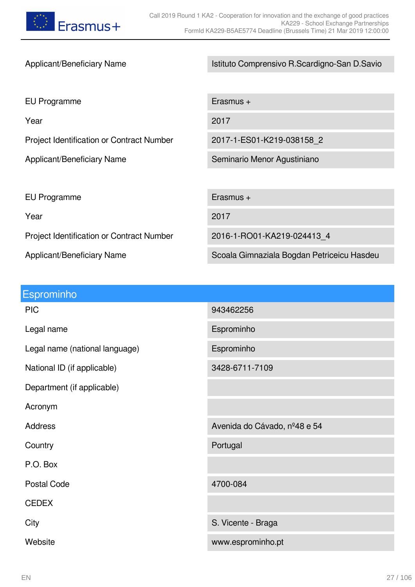

| Applicant/Beneficiary Name                | Istituto Comprensivo R.Scardigno-San D.Savio |
|-------------------------------------------|----------------------------------------------|
|                                           |                                              |
| EU Programme                              | Erasmus $+$                                  |
| Year                                      | 2017                                         |
| Project Identification or Contract Number | 2017-1-ES01-K219-038158 2                    |
| Applicant/Beneficiary Name                | Seminario Menor Agustiniano                  |
|                                           |                                              |
| EU Programme                              | Erasmus $+$                                  |
| Year                                      | 2017                                         |
| Project Identification or Contract Number | 2016-1-RO01-KA219-024413 4                   |
| Applicant/Beneficiary Name                | Scoala Gimnaziala Bogdan Petriceicu Hasdeu   |

| <b>Esprominho</b>              |                              |
|--------------------------------|------------------------------|
| <b>PIC</b>                     | 943462256                    |
| Legal name                     | Esprominho                   |
| Legal name (national language) | Esprominho                   |
| National ID (if applicable)    | 3428-6711-7109               |
| Department (if applicable)     |                              |
| Acronym                        |                              |
| <b>Address</b>                 | Avenida do Cávado, nº48 e 54 |
| Country                        | Portugal                     |
| P.O. Box                       |                              |
| <b>Postal Code</b>             | 4700-084                     |
| <b>CEDEX</b>                   |                              |
| City                           | S. Vicente - Braga           |
| Website                        | www.esprominho.pt            |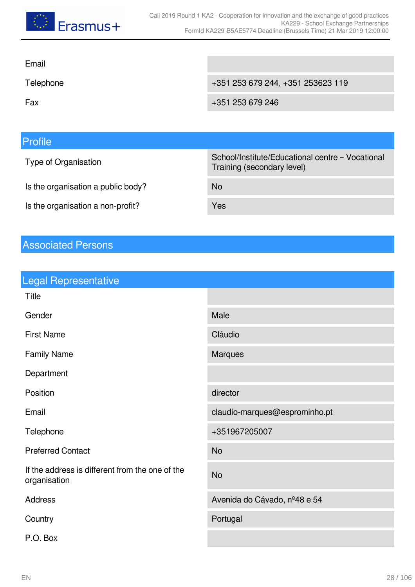

| Email     |                                   |
|-----------|-----------------------------------|
| Telephone | +351 253 679 244, +351 253623 119 |
| Fax       | +351 253 679 246                  |
|           |                                   |

#### Profile

| Type of Organisation               | School/Institute/Educational centre - Vocational<br>Training (secondary level) |
|------------------------------------|--------------------------------------------------------------------------------|
| Is the organisation a public body? | <b>No</b>                                                                      |
| Is the organisation a non-profit?  | Yes                                                                            |

# Associated Persons

| <b>Legal Representative</b>                                     |                               |
|-----------------------------------------------------------------|-------------------------------|
| <b>Title</b>                                                    |                               |
| Gender                                                          | Male                          |
| <b>First Name</b>                                               | Cláudio                       |
| <b>Family Name</b>                                              | <b>Marques</b>                |
| Department                                                      |                               |
| Position                                                        | director                      |
| Email                                                           | claudio-marques@esprominho.pt |
| Telephone                                                       | +351967205007                 |
| <b>Preferred Contact</b>                                        | <b>No</b>                     |
| If the address is different from the one of the<br>organisation | <b>No</b>                     |
| <b>Address</b>                                                  | Avenida do Cávado, nº48 e 54  |
| Country                                                         | Portugal                      |
| P.O. Box                                                        |                               |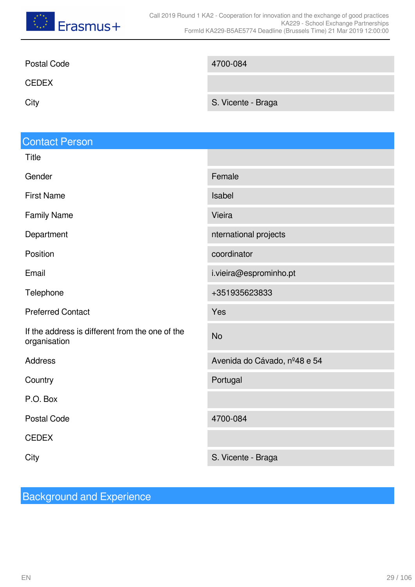

| Postal Code | 4700-084 |
|-------------|----------|
|-------------|----------|

**CEDEX** 

City **S. Vicente - Braga** 

| <b>Contact Person</b>                                           |                              |
|-----------------------------------------------------------------|------------------------------|
| <b>Title</b>                                                    |                              |
| Gender                                                          | Female                       |
| <b>First Name</b>                                               | Isabel                       |
| <b>Family Name</b>                                              | Vieira                       |
| Department                                                      | nternational projects        |
| Position                                                        | coordinator                  |
| Email                                                           | i.vieira@esprominho.pt       |
| Telephone                                                       | +351935623833                |
| <b>Preferred Contact</b>                                        | Yes                          |
| If the address is different from the one of the<br>organisation | <b>No</b>                    |
| <b>Address</b>                                                  | Avenida do Cávado, nº48 e 54 |
| Country                                                         | Portugal                     |
| P.O. Box                                                        |                              |
| <b>Postal Code</b>                                              | 4700-084                     |
| <b>CEDEX</b>                                                    |                              |
| City                                                            | S. Vicente - Braga           |

# Background and Experience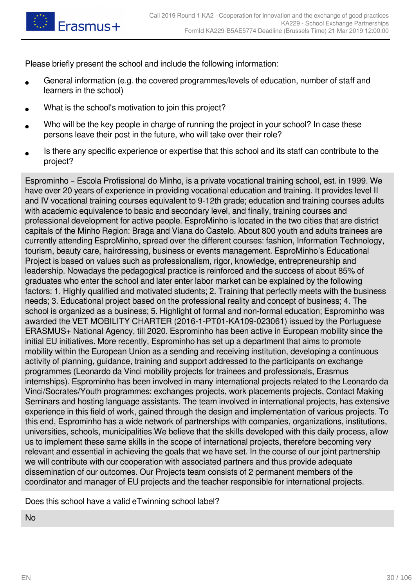

Please briefly present the school and include the following information:

- General information (e.g. the covered programmes/levels of education, number of staff and learners in the school)
- What is the school's motivation to join this project?
- Who will be the key people in charge of running the project in your school? In case these persons leave their post in the future, who will take over their role?
- Is there any specific experience or expertise that this school and its staff can contribute to the project?

Esprominho – Escola Profissional do Minho, is a private vocational training school, est. in 1999. We have over 20 years of experience in providing vocational education and training. It provides level II and IV vocational training courses equivalent to 9-12th grade; education and training courses adults with academic equivalence to basic and secondary level, and finally, training courses and professional development for active people. EsproMinho is located in the two cities that are district capitals of the Minho Region: Braga and Viana do Castelo. About 800 youth and adults trainees are currently attending EsproMinho, spread over the different courses: fashion, Information Technology, tourism, beauty care, hairdressing, business or events management. EsproMinho's Educational Project is based on values such as professionalism, rigor, knowledge, entrepreneurship and leadership. Nowadays the pedagogical practice is reinforced and the success of about 85% of graduates who enter the school and later enter labor market can be explained by the following factors: 1. Highly qualified and motivated students; 2. Training that perfectly meets with the business needs; 3. Educational project based on the professional reality and concept of business; 4. The school is organized as a business; 5. Highlight of formal and non-formal education; Esprominho was awarded the VET MOBILITY CHARTER (2016-1-PT01-KA109-023061) issued by the Portuguese ERASMUS+ National Agency, till 2020. Esprominho has been active in European mobility since the initial EU initiatives. More recently, Esprominho has set up a department that aims to promote mobility within the European Union as a sending and receiving institution, developing a continuous activity of planning, guidance, training and support addressed to the participants on exchange programmes (Leonardo da Vinci mobility projects for trainees and professionals, Erasmus internships). Esprominho has been involved in many international projects related to the Leonardo da Vinci/Socrates/Youth programmes: exchanges projects, work placements projects, Contact Making Seminars and hosting language assistants. The team involved in international projects, has extensive experience in this field of work, gained through the design and implementation of various projects. To this end, Esprominho has a wide network of partnerships with companies, organizations, institutions, universities, schools, municipalities.We believe that the skills developed with this daily process, allow us to implement these same skills in the scope of international projects, therefore becoming very relevant and essential in achieving the goals that we have set. In the course of our joint partnership we will contribute with our cooperation with associated partners and thus provide adequate dissemination of our outcomes. Our Projects team consists of 2 permanent members of the coordinator and manager of EU projects and the teacher responsible for international projects.

Does this school have a valid eTwinning school label?

No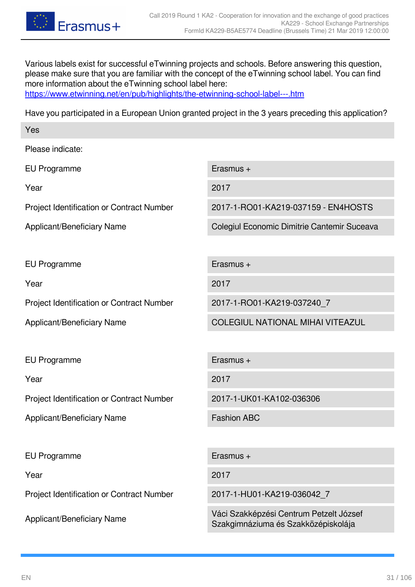

Various labels exist for successful eTwinning projects and schools. Before answering this question, please make sure that you are familiar with the concept of the eTwinning school label. You can find more information about the eTwinning school label here: <https://www.etwinning.net/en/pub/highlights/the-etwinning-school-label---.htm>

Have you participated in a European Union granted project in the 3 years preceding this application?

| Yes                                       |                                                                                |
|-------------------------------------------|--------------------------------------------------------------------------------|
| Please indicate:                          |                                                                                |
| EU Programme                              | Erasmus $+$                                                                    |
| Year                                      | 2017                                                                           |
| Project Identification or Contract Number | 2017-1-RO01-KA219-037159 - EN4HOSTS                                            |
| Applicant/Beneficiary Name                | Colegiul Economic Dimitrie Cantemir Suceava                                    |
|                                           |                                                                                |
| EU Programme                              | Erasmus $+$                                                                    |
| Year                                      | 2017                                                                           |
| Project Identification or Contract Number | 2017-1-RO01-KA219-037240_7                                                     |
| Applicant/Beneficiary Name                | <b>COLEGIUL NATIONAL MIHAI VITEAZUL</b>                                        |
|                                           |                                                                                |
| EU Programme                              | Erasmus $+$                                                                    |
| Year                                      | 2017                                                                           |
| Project Identification or Contract Number | 2017-1-UK01-KA102-036306                                                       |
| Applicant/Beneficiary Name                | <b>Fashion ABC</b>                                                             |
|                                           |                                                                                |
| EU Programme                              | Erasmus $+$                                                                    |
| Year                                      | 2017                                                                           |
| Project Identification or Contract Number | 2017-1-HU01-KA219-036042 7                                                     |
| Applicant/Beneficiary Name                | Váci Szakképzési Centrum Petzelt József<br>Szakgimnáziuma és Szakközépiskolája |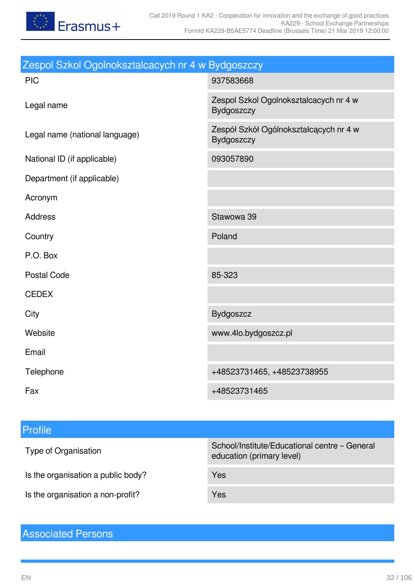

| Zespol Szkol Ogolnoksztalcacych nr 4 w Bydgoszczy |                                                             |  |
|---------------------------------------------------|-------------------------------------------------------------|--|
| <b>PIC</b>                                        | 937583668                                                   |  |
| Legal name                                        | Zespol Szkol Ogolnoksztalcacych nr 4 w<br><b>Bydgoszczy</b> |  |
| Legal name (national language)                    | Zespół Szkół Ogólnokształcących nr 4 w<br><b>Bydgoszczy</b> |  |
| National ID (if applicable)                       | 093057890                                                   |  |
| Department (if applicable)                        |                                                             |  |
| Acronym                                           |                                                             |  |
| <b>Address</b>                                    | Stawowa 39                                                  |  |
| Country                                           | Poland                                                      |  |
| P.O. Box                                          |                                                             |  |
| <b>Postal Code</b>                                | 85-323                                                      |  |
| <b>CEDEX</b>                                      |                                                             |  |
| City                                              | <b>Bydgoszcz</b>                                            |  |
| Website                                           | www.4lo.bydgoszcz.pl                                        |  |
| Email                                             |                                                             |  |
| Telephone                                         | +48523731465, +48523738955                                  |  |
| Fax                                               | +48523731465                                                |  |

| <b>Profile</b>                     |                                                                            |
|------------------------------------|----------------------------------------------------------------------------|
| Type of Organisation               | School/Institute/Educational centre - General<br>education (primary level) |
| Is the organisation a public body? | Yes                                                                        |
| Is the organisation a non-profit?  | Yes                                                                        |

# Associated Persons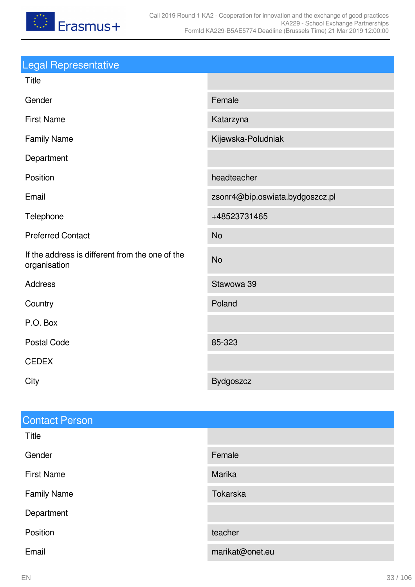

# Legal Representative

Title

| טווו                                                            |                                 |
|-----------------------------------------------------------------|---------------------------------|
| Gender                                                          | Female                          |
| <b>First Name</b>                                               | Katarzyna                       |
| <b>Family Name</b>                                              | Kijewska-Południak              |
| Department                                                      |                                 |
| Position                                                        | headteacher                     |
| Email                                                           | zsonr4@bip.oswiata.bydgoszcz.pl |
| Telephone                                                       | +48523731465                    |
| <b>Preferred Contact</b>                                        | <b>No</b>                       |
| If the address is different from the one of the<br>organisation | <b>No</b>                       |
| <b>Address</b>                                                  | Stawowa 39                      |
| Country                                                         | Poland                          |
| P.O. Box                                                        |                                 |
| <b>Postal Code</b>                                              | 85-323                          |
| <b>CEDEX</b>                                                    |                                 |
| City                                                            | <b>Bydgoszcz</b>                |

| <b>Contact Person</b> |                 |
|-----------------------|-----------------|
| <b>Title</b>          |                 |
| Gender                | Female          |
| <b>First Name</b>     | Marika          |
| <b>Family Name</b>    | Tokarska        |
| Department            |                 |
| Position              | teacher         |
| Email                 | marikat@onet.eu |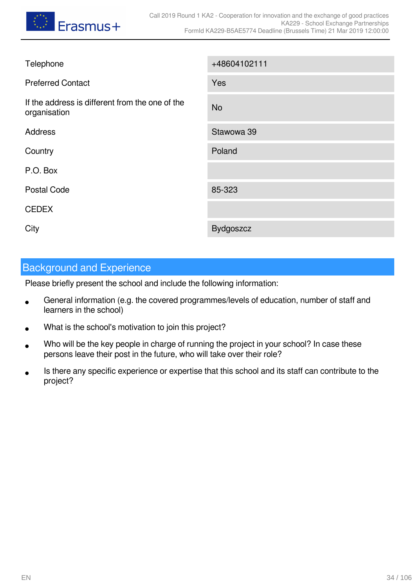

| Telephone                                                       | +48604102111     |
|-----------------------------------------------------------------|------------------|
| <b>Preferred Contact</b>                                        | Yes              |
| If the address is different from the one of the<br>organisation | <b>No</b>        |
| <b>Address</b>                                                  | Stawowa 39       |
| Country                                                         | Poland           |
| P.O. Box                                                        |                  |
| <b>Postal Code</b>                                              | 85-323           |
| <b>CEDEX</b>                                                    |                  |
| City                                                            | <b>Bydgoszcz</b> |

#### Background and Experience

Please briefly present the school and include the following information:

- General information (e.g. the covered programmes/levels of education, number of staff and learners in the school)
- What is the school's motivation to join this project?
- Who will be the key people in charge of running the project in your school? In case these persons leave their post in the future, who will take over their role?
- Is there any specific experience or expertise that this school and its staff can contribute to the project?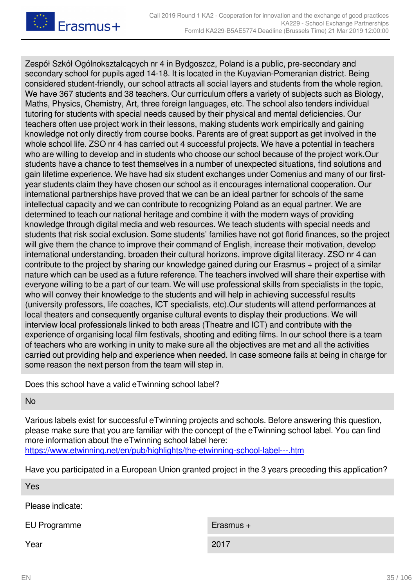

Zespół Szkół Ogólnokształcących nr 4 in Bydgoszcz, Poland is a public, pre-secondary and secondary school for pupils aged 14-18. It is located in the Kuyavian-Pomeranian district. Being considered student-friendly, our school attracts all social layers and students from the whole region. We have 367 students and 38 teachers. Our curriculum offers a variety of subjects such as Biology, Maths, Physics, Chemistry, Art, three foreign languages, etc. The school also tenders individual tutoring for students with special needs caused by their physical and mental deficiencies. Our teachers often use project work in their lessons, making students work empirically and gaining knowledge not only directly from course books. Parents are of great support as get involved in the whole school life. ZSO nr 4 has carried out 4 successful projects. We have a potential in teachers who are willing to develop and in students who choose our school because of the project work.Our students have a chance to test themselves in a number of unexpected situations, find solutions and gain lifetime experience. We have had six student exchanges under Comenius and many of our firstyear students claim they have chosen our school as it encourages international cooperation. Our international partnerships have proved that we can be an ideal partner for schools of the same intellectual capacity and we can contribute to recognizing Poland as an equal partner. We are determined to teach our national heritage and combine it with the modern ways of providing knowledge through digital media and web resources. We teach students with special needs and students that risk social exclusion. Some students' families have not got florid finances, so the project will give them the chance to improve their command of English, increase their motivation, develop international understanding, broaden their cultural horizons, improve digital literacy. ZSO nr 4 can contribute to the project by sharing our knowledge gained during our Erasmus + project of a similar nature which can be used as a future reference. The teachers involved will share their expertise with everyone willing to be a part of our team. We will use professional skills from specialists in the topic, who will convey their knowledge to the students and will help in achieving successful results (university professors, life coaches, ICT specialists, etc).Our students will attend performances at local theaters and consequently organise cultural events to display their productions. We will interview local professionals linked to both areas (Theatre and ICT) and contribute with the experience of organising local film festivals, shooting and editing films. In our school there is a team of teachers who are working in unity to make sure all the objectives are met and all the activities carried out providing help and experience when needed. In case someone fails at being in charge for some reason the next person from the team will step in.

Does this school have a valid eTwinning school label?

No

Various labels exist for successful eTwinning projects and schools. Before answering this question, please make sure that you are familiar with the concept of the eTwinning school label. You can find more information about the eTwinning school label here: <https://www.etwinning.net/en/pub/highlights/the-etwinning-school-label---.htm>

Have you participated in a European Union granted project in the 3 years preceding this application?

Yes

Please indicate:

EU Programme **EU** Programme

Year 2017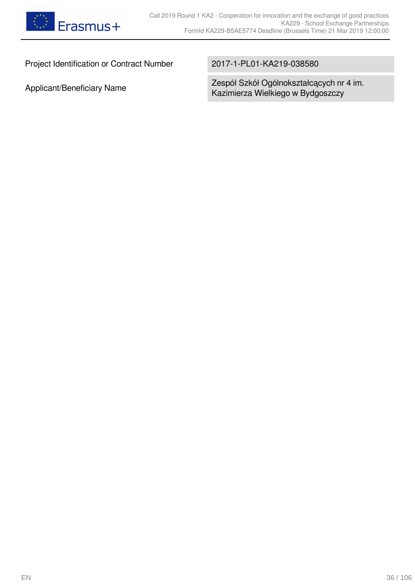

#### Project Identification or Contract Number 2017-1-PL01-KA219-038580

Applicant/Beneficiary Name Zespół Szkół Ogólnokształcących nr 4 im. Kazimierza Wielkiego w Bydgoszczy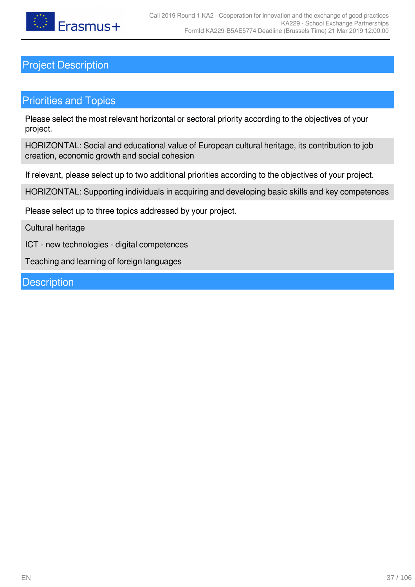

### Project Description

### Priorities and Topics

Please select the most relevant horizontal or sectoral priority according to the objectives of your project.

HORIZONTAL: Social and educational value of European cultural heritage, its contribution to job creation, economic growth and social cohesion

If relevant, please select up to two additional priorities according to the objectives of your project.

HORIZONTAL: Supporting individuals in acquiring and developing basic skills and key competences

Please select up to three topics addressed by your project.

Cultural heritage

ICT - new technologies - digital competences

Teaching and learning of foreign languages

**Description**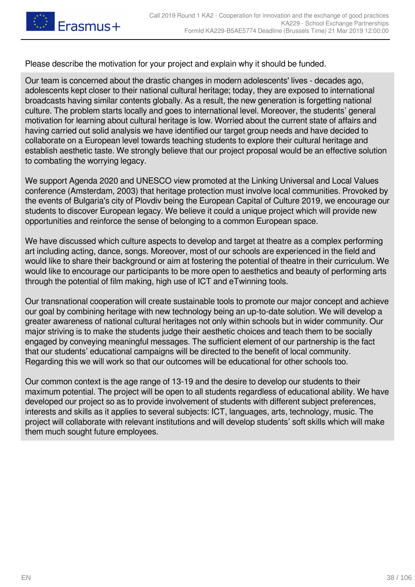

Please describe the motivation for your project and explain why it should be funded.

Our team is concerned about the drastic changes in modern adolescents' lives - decades ago, adolescents kept closer to their national cultural heritage; today, they are exposed to international broadcasts having similar contents globally. As a result, the new generation is forgetting national culture. The problem starts locally and goes to international level. Moreover, the students' general motivation for learning about cultural heritage is low. Worried about the current state of affairs and having carried out solid analysis we have identified our target group needs and have decided to collaborate on a European level towards teaching students to explore their cultural heritage and establish aesthetic taste. We strongly believe that our project proposal would be an effective solution to combating the worrying legacy.

We support Agenda 2020 and UNESCO view promoted at the Linking Universal and Local Values conference (Amsterdam, 2003) that heritage protection must involve local communities. Provoked by the events of Bulgaria's city of Plovdiv being the European Capital of Culture 2019, we encourage our students to discover European legacy. We believe it could a unique project which will provide new opportunities and reinforce the sense of belonging to a common European space.

We have discussed which culture aspects to develop and target at theatre as a complex performing art including acting, dance, songs. Moreover, most of our schools are experienced in the field and would like to share their background or aim at fostering the potential of theatre in their curriculum. We would like to encourage our participants to be more open to aesthetics and beauty of performing arts through the potential of film making, high use of ICT and eTwinning tools.

Our transnational cooperation will create sustainable tools to promote our major concept and achieve our goal by combining heritage with new technology being an up-to-date solution. We will develop a greater awareness of national cultural heritages not only within schools but in wider community. Our major striving is to make the students judge their aesthetic choices and teach them to be socially engaged by conveying meaningful messages. The sufficient element of our partnership is the fact that our students' educational campaigns will be directed to the benefit of local community. Regarding this we will work so that our outcomes will be educational for other schools too.

Our common context is the age range of 13-19 and the desire to develop our students to their maximum potential. The project will be open to all students regardless of educational ability. We have developed our project so as to provide involvement of students with different subject preferences, interests and skills as it applies to several subjects: ICT, languages, arts, technology, music. The project will collaborate with relevant institutions and will develop students' soft skills which will make them much sought future employees.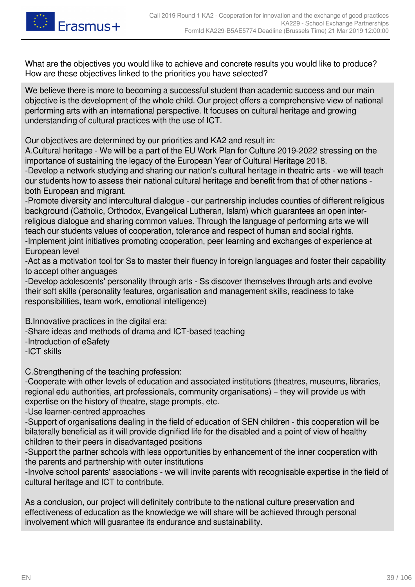

What are the objectives you would like to achieve and concrete results you would like to produce? How are these objectives linked to the priorities you have selected?

We believe there is more to becoming a successful student than academic success and our main objective is the development of the whole child. Our project offers a comprehensive view of national performing arts with an international perspective. It focuses on cultural heritage and growing understanding of cultural practices with the use of ICT.

Our objectives are determined by our priorities and KA2 and result in:

A.Cultural heritage - We will be a part of the EU Work Plan for Culture 2019-2022 stressing on the importance of sustaining the legacy of the European Year of Cultural Heritage 2018.

-Develop a network studying and sharing our nation's cultural heritage in theatric arts - we will teach our students how to assess their national cultural heritage and benefit from that of other nations both European and migrant.

-Promote diversity and intercultural dialogue - our partnership includes counties of different religious background (Catholic, Orthodox, Evangelical Lutheran, Islam) which guarantees an open interreligious dialogue and sharing common values. Through the language of performing arts we will teach our students values of cooperation, tolerance and respect of human and social rights. -Implement joint initiatives promoting cooperation, peer learning and exchanges of experience at European level

-Act as a motivation tool for Ss to master their fluency in foreign languages and foster their capability to accept other anguages

-Develop adolescents' personality through arts - Ss discover themselves through arts and evolve their soft skills (personality features, organisation and management skills, readiness to take responsibilities, team work, emotional intelligence)

B.Innovative practices in the digital era:

-Share ideas and methods of drama and ICT-based teaching

-Introduction of eSafety

-ICT skills

C.Strengthening of the teaching profession:

-Cooperate with other levels of education and associated institutions (theatres, museums, libraries, regional edu authorities, art professionals, community organisations) – they will provide us with expertise on the history of theatre, stage prompts, etc.

-Use learner-centred approaches

-Support of organisations dealing in the field of education of SEN children - this cooperation will be bilaterally beneficial as it will provide dignified life for the disabled and a point of view of healthy children to their peers in disadvantaged positions

-Support the partner schools with less opportunities by enhancement of the inner cooperation with the parents and partnership with outer institutions

-Involve school parents' associations - we will invite parents with recognisable expertise in the field of cultural heritage and ICT to contribute.

As a conclusion, our project will definitely contribute to the national culture preservation and effectiveness of education as the knowledge we will share will be achieved through personal involvement which will guarantee its endurance and sustainability.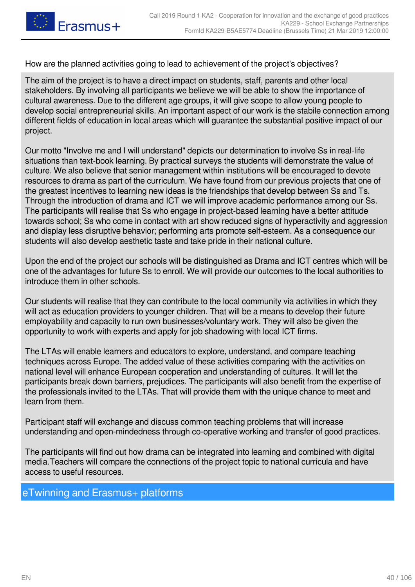

How are the planned activities going to lead to achievement of the project's objectives?

The aim of the project is to have a direct impact on students, staff, parents and other local stakeholders. By involving all participants we believe we will be able to show the importance of cultural awareness. Due to the different age groups, it will give scope to allow young people to develop social entrepreneurial skills. An important aspect of our work is the stabile connection among different fields of education in local areas which will guarantee the substantial positive impact of our project.

Our motto "Involve me and I will understand" depicts our determination to involve Ss in real-life situations than text-book learning. By practical surveys the students will demonstrate the value of culture. We also believe that senior management within institutions will be encouraged to devote resources to drama as part of the curriculum. We have found from our previous projects that one of the greatest incentives to learning new ideas is the friendships that develop between Ss and Ts. Through the introduction of drama and ICT we will improve academic performance among our Ss. The participants will realise that Ss who engage in project-based learning have a better attitude towards school; Ss who come in contact with art show reduced signs of hyperactivity and aggression and display less disruptive behavior; performing arts promote self-esteem. As a consequence our students will also develop aesthetic taste and take pride in their national culture.

Upon the end of the project our schools will be distinguished as Drama and ICT centres which will be one of the advantages for future Ss to enroll. We will provide our outcomes to the local authorities to introduce them in other schools.

Our students will realise that they can contribute to the local community via activities in which they will act as education providers to younger children. That will be a means to develop their future employability and capacity to run own businesses/voluntary work. They will also be given the opportunity to work with experts and apply for job shadowing with local ICT firms.

The LTAs will enable learners and educators to explore, understand, and compare teaching techniques across Europe. The added value of these activities comparing with the activities on national level will enhance European cooperation and understanding of cultures. It will let the participants break down barriers, prejudices. The participants will also benefit from the expertise of the professionals invited to the LTAs. That will provide them with the unique chance to meet and learn from them.

Participant staff will exchange and discuss common teaching problems that will increase understanding and open-mindedness through co-operative working and transfer of good practices.

The participants will find out how drama can be integrated into learning and combined with digital media.Teachers will compare the connections of the project topic to national curricula and have access to useful resources.

### eTwinning and Erasmus+ platforms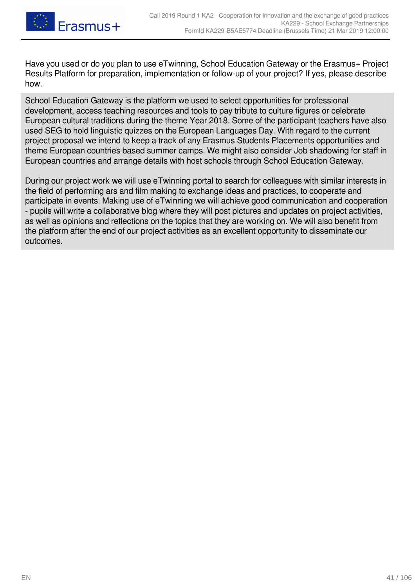

Have you used or do you plan to use eTwinning, School Education Gateway or the Erasmus+ Project Results Platform for preparation, implementation or follow-up of your project? If yes, please describe how.

School Education Gateway is the platform we used to select opportunities for professional development, access teaching resources and tools to pay tribute to culture figures or celebrate European cultural traditions during the theme Year 2018. Some of the participant teachers have also used SEG to hold linguistic quizzes on the European Languages Day. With regard to the current project proposal we intend to keep a track of any Erasmus Students Placements opportunities and theme European countries based summer camps. We might also consider Job shadowing for staff in European countries and arrange details with host schools through School Education Gateway.

During our project work we will use eTwinning portal to search for colleagues with similar interests in the field of performing ars and film making to exchange ideas and practices, to cooperate and participate in events. Making use of eTwinning we will achieve good communication and cooperation - pupils will write a collaborative blog where they will post pictures and updates on project activities, as well as opinions and reflections on the topics that they are working on. We will also benefit from the platform after the end of our project activities as an excellent opportunity to disseminate our outcomes.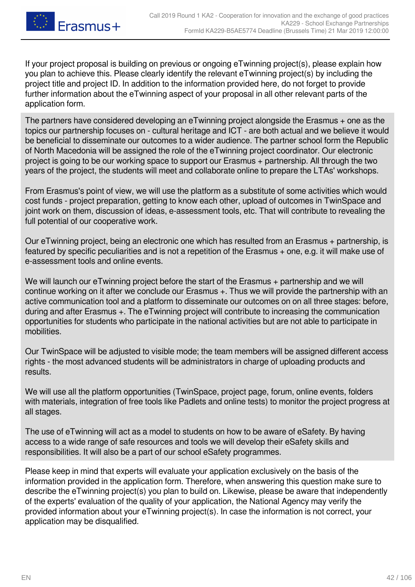

If your project proposal is building on previous or ongoing eTwinning project(s), please explain how you plan to achieve this. Please clearly identify the relevant eTwinning project(s) by including the project title and project ID. In addition to the information provided here, do not forget to provide further information about the eTwinning aspect of your proposal in all other relevant parts of the application form.

The partners have considered developing an eTwinning project alongside the Erasmus + one as the topics our partnership focuses on - cultural heritage and ICT - are both actual and we believe it would be beneficial to disseminate our outcomes to a wider audience. The partner school form the Republic of North Macedonia will be assigned the role of the eTwinning project coordinator. Our electronic project is going to be our working space to support our Erasmus + partnership. All through the two years of the project, the students will meet and collaborate online to prepare the LTAs' workshops.

From Erasmus's point of view, we will use the platform as a substitute of some activities which would cost funds - project preparation, getting to know each other, upload of outcomes in TwinSpace and joint work on them, discussion of ideas, e-assessment tools, etc. That will contribute to revealing the full potential of our cooperative work.

Our eTwinning project, being an electronic one which has resulted from an Erasmus + partnership, is featured by specific peculiarities and is not a repetition of the Erasmus + one, e.g. it will make use of e-assessment tools and online events.

We will launch our eTwinning project before the start of the Erasmus + partnership and we will continue working on it after we conclude our Erasmus +. Thus we will provide the partnership with an active communication tool and a platform to disseminate our outcomes on on all three stages: before, during and after Erasmus +. The eTwinning project will contribute to increasing the communication opportunities for students who participate in the national activities but are not able to participate in mobilities.

Our TwinSpace will be adjusted to visible mode; the team members will be assigned different access rights - the most advanced students will be administrators in charge of uploading products and results.

We will use all the platform opportunities (TwinSpace, project page, forum, online events, folders with materials, integration of free tools like Padlets and online tests) to monitor the project progress at all stages.

The use of eTwinning will act as a model to students on how to be aware of eSafety. By having access to a wide range of safe resources and tools we will develop their eSafety skills and responsibilities. It will also be a part of our school eSafety programmes.

Please keep in mind that experts will evaluate your application exclusively on the basis of the information provided in the application form. Therefore, when answering this question make sure to describe the eTwinning project(s) you plan to build on. Likewise, please be aware that independently of the experts' evaluation of the quality of your application, the National Agency may verify the provided information about your eTwinning project(s). In case the information is not correct, your application may be disqualified.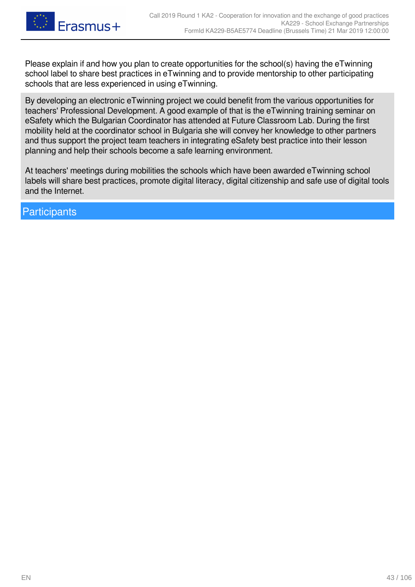

Please explain if and how you plan to create opportunities for the school(s) having the eTwinning school label to share best practices in eTwinning and to provide mentorship to other participating schools that are less experienced in using eTwinning.

By developing an electronic eTwinning project we could benefit from the various opportunities for teachers' Professional Development. A good example of that is the eTwinning training seminar on eSafety which the Bulgarian Coordinator has attended at Future Classroom Lab. During the first mobility held at the coordinator school in Bulgaria she will convey her knowledge to other partners and thus support the project team teachers in integrating eSafety best practice into their lesson planning and help their schools become a safe learning environment.

At teachers' meetings during mobilities the schools which have been awarded eTwinning school labels will share best practices, promote digital literacy, digital citizenship and safe use of digital tools and the Internet.

#### **Participants**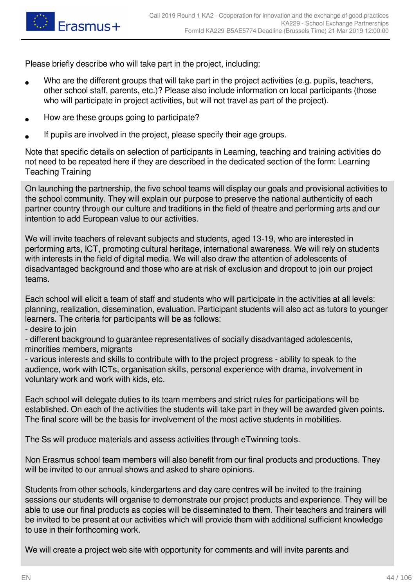

Please briefly describe who will take part in the project, including:

- Who are the different groups that will take part in the project activities (e.g. pupils, teachers, other school staff, parents, etc.)? Please also include information on local participants (those who will participate in project activities, but will not travel as part of the project).
- How are these groups going to participate?
- If pupils are involved in the project, please specify their age groups.

Note that specific details on selection of participants in Learning, teaching and training activities do not need to be repeated here if they are described in the dedicated section of the form: Learning Teaching Training

On launching the partnership, the five school teams will display our goals and provisional activities to the school community. They will explain our purpose to preserve the national authenticity of each partner country through our culture and traditions in the field of theatre and performing arts and our intention to add European value to our activities.

We will invite teachers of relevant subjects and students, aged 13-19, who are interested in performing arts, ICT, promoting cultural heritage, international awareness. We will rely on students with interests in the field of digital media. We will also draw the attention of adolescents of disadvantaged background and those who are at risk of exclusion and dropout to join our project teams.

Each school will elicit a team of staff and students who will participate in the activities at all levels: planning, realization, dissemination, evaluation. Participant students will also act as tutors to younger learners. The criteria for participants will be as follows:

- desire to join

- different background to guarantee representatives of socially disadvantaged adolescents, minorities members, migrants

- various interests and skills to contribute with to the project progress - ability to speak to the audience, work with ICTs, organisation skills, personal experience with drama, involvement in voluntary work and work with kids, etc.

Each school will delegate duties to its team members and strict rules for participations will be established. On each of the activities the students will take part in they will be awarded given points. The final score will be the basis for involvement of the most active students in mobilities.

The Ss will produce materials and assess activities through eTwinning tools.

Non Erasmus school team members will also benefit from our final products and productions. They will be invited to our annual shows and asked to share opinions.

Students from other schools, kindergartens and day care centres will be invited to the training sessions our students will organise to demonstrate our project products and experience. They will be able to use our final products as copies will be disseminated to them. Their teachers and trainers will be invited to be present at our activities which will provide them with additional sufficient knowledge to use in their forthcoming work.

We will create a project web site with opportunity for comments and will invite parents and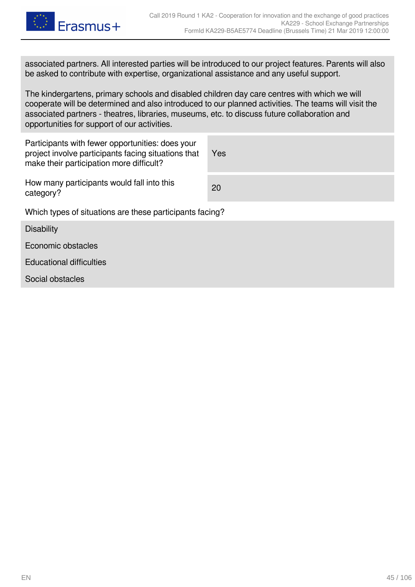

associated partners. All interested parties will be introduced to our project features. Parents will also be asked to contribute with expertise, organizational assistance and any useful support.

The kindergartens, primary schools and disabled children day care centres with which we will cooperate will be determined and also introduced to our planned activities. The teams will visit the associated partners - theatres, libraries, museums, etc. to discuss future collaboration and opportunities for support of our activities.

| Participants with fewer opportunities: does your<br>project involve participants facing situations that<br>make their participation more difficult? | Yes |  |  |
|-----------------------------------------------------------------------------------------------------------------------------------------------------|-----|--|--|
| How many participants would fall into this<br>category?                                                                                             | 20  |  |  |
| Which types of situations are these participants facing?                                                                                            |     |  |  |
| <b>Disability</b>                                                                                                                                   |     |  |  |
| Economic obstacles                                                                                                                                  |     |  |  |

Educational difficulties

Social obstacles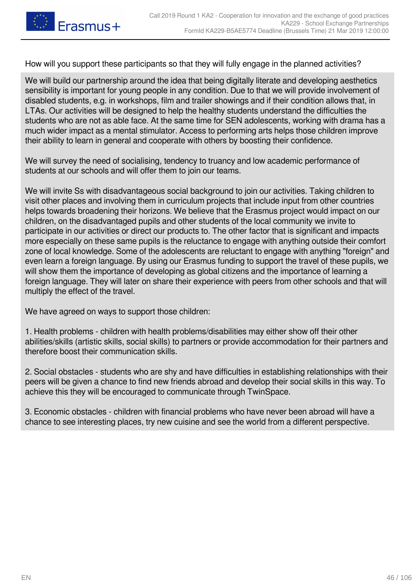How will you support these participants so that they will fully engage in the planned activities?

We will build our partnership around the idea that being digitally literate and developing aesthetics sensibility is important for young people in any condition. Due to that we will provide involvement of disabled students, e.g. in workshops, film and trailer showings and if their condition allows that, in LTAs. Our activities will be designed to help the healthy students understand the difficulties the students who are not as able face. At the same time for SEN adolescents, working with drama has a much wider impact as a mental stimulator. Access to performing arts helps those children improve their ability to learn in general and cooperate with others by boosting their confidence.

We will survey the need of socialising, tendency to truancy and low academic performance of students at our schools and will offer them to join our teams.

We will invite Ss with disadvantageous social background to join our activities. Taking children to visit other places and involving them in curriculum projects that include input from other countries helps towards broadening their horizons. We believe that the Erasmus project would impact on our children, on the disadvantaged pupils and other students of the local community we invite to participate in our activities or direct our products to. The other factor that is significant and impacts more especially on these same pupils is the reluctance to engage with anything outside their comfort zone of local knowledge. Some of the adolescents are reluctant to engage with anything "foreign" and even learn a foreign language. By using our Erasmus funding to support the travel of these pupils, we will show them the importance of developing as global citizens and the importance of learning a foreign language. They will later on share their experience with peers from other schools and that will multiply the effect of the travel.

We have agreed on ways to support those children:

1. Health problems - children with health problems/disabilities may either show off their other abilities/skills (artistic skills, social skills) to partners or provide accommodation for their partners and therefore boost their communication skills.

2. Social obstacles - students who are shy and have difficulties in establishing relationships with their peers will be given a chance to find new friends abroad and develop their social skills in this way. To achieve this they will be encouraged to communicate through TwinSpace.

3. Economic obstacles - children with financial problems who have never been abroad will have a chance to see interesting places, try new cuisine and see the world from a different perspective.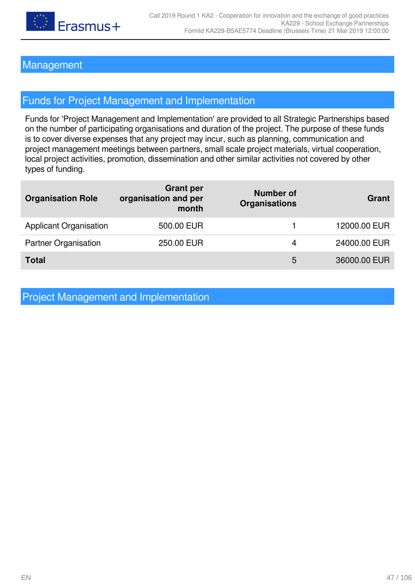

### Management

## Funds for Project Management and Implementation

Funds for 'Project Management and Implementation' are provided to all Strategic Partnerships based on the number of participating organisations and duration of the project. The purpose of these funds is to cover diverse expenses that any project may incur, such as planning, communication and project management meetings between partners, small scale project materials, virtual cooperation, local project activities, promotion, dissemination and other similar activities not covered by other types of funding.

| <b>Organisation Role</b>      | <b>Grant per</b><br>organisation and per<br>month | <b>Number of</b><br><b>Organisations</b> | Grant        |
|-------------------------------|---------------------------------------------------|------------------------------------------|--------------|
| <b>Applicant Organisation</b> | 500.00 EUR                                        |                                          | 12000.00 EUR |
| <b>Partner Organisation</b>   | 250.00 EUR                                        | 4                                        | 24000.00 EUR |
| <b>Total</b>                  |                                                   | 5                                        | 36000.00 EUR |

Project Management and Implementation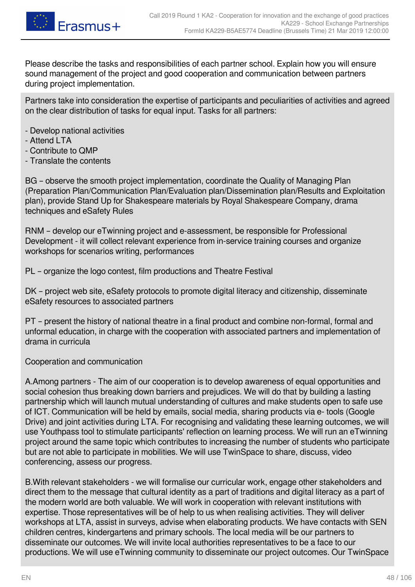

Please describe the tasks and responsibilities of each partner school. Explain how you will ensure sound management of the project and good cooperation and communication between partners during project implementation.

Partners take into consideration the expertise of participants and peculiarities of activities and agreed on the clear distribution of tasks for equal input. Tasks for all partners:

- Develop national activities
- Attend LTA
- Contribute to QMP
- Translate the contents

BG – observe the smooth project implementation, coordinate the Quality of Managing Plan (Preparation Plan/Communication Plan/Evaluation plan/Dissemination plan/Results and Exploitation plan), provide Stand Up for Shakespeare materials by Royal Shakespeare Company, drama techniques and eSafety Rules

RNM – develop our eTwinning project and e-assessment, be responsible for Professional Development - it will collect relevant experience from in-service training courses and organize workshops for scenarios writing, performances

PL – organize the logo contest, film productions and Theatre Festival

DK – project web site, eSafety protocols to promote digital literacy and citizenship, disseminate eSafety resources to associated partners

PT – present the history of national theatre in a final product and combine non-formal, formal and unformal education, in charge with the cooperation with associated partners and implementation of drama in curricula

Cooperation and communication

A.Among partners - The aim of our cooperation is to develop awareness of equal opportunities and social cohesion thus breaking down barriers and prejudices. We will do that by building a lasting partnership which will launch mutual understanding of cultures and make students open to safe use of ICT. Communication will be held by emails, social media, sharing products via e- tools (Google Drive) and joint activities during LTA. For recognising and validating these learning outcomes, we will use Youthpass tool to stimulate participants' reflection on learning process. We will run an eTwinning project around the same topic which contributes to increasing the number of students who participate but are not able to participate in mobilities. We will use TwinSpace to share, discuss, video conferencing, assess our progress.

B.With relevant stakeholders - we will formalise our curricular work, engage other stakeholders and direct them to the message that cultural identity as a part of traditions and digital literacy as a part of the modern world are both valuable. We will work in cooperation with relevant institutions with expertise. Those representatives will be of help to us when realising activities. They will deliver workshops at LTA, assist in surveys, advise when elaborating products. We have contacts with SEN children centres, kindergartens and primary schools. The local media will be our partners to disseminate our outcomes. We will invite local authorities representatives to be a face to our productions. We will use eTwinning community to disseminate our project outcomes. Our TwinSpace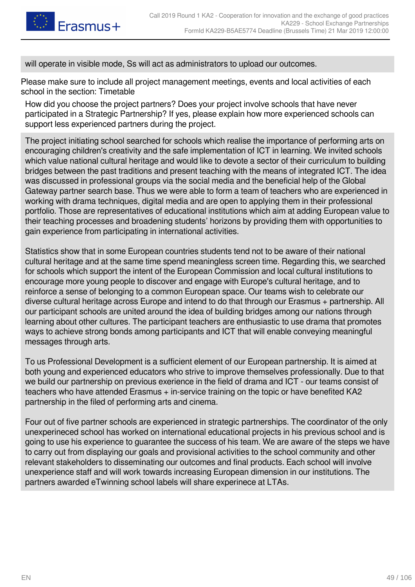

will operate in visible mode, Ss will act as administrators to upload our outcomes.

Please make sure to include all project management meetings, events and local activities of each school in the section: Timetable

How did you choose the project partners? Does your project involve schools that have never participated in a Strategic Partnership? If yes, please explain how more experienced schools can support less experienced partners during the project.

The project initiating school searched for schools which realise the importance of performing arts on encouraging children's creativity and the safe implementation of ICT in learning. We invited schools which value national cultural heritage and would like to devote a sector of their curriculum to building bridges between the past traditions and present teaching with the means of integrated ICT. The idea was discussed in professional groups via the social media and the beneficial help of the Global Gateway partner search base. Thus we were able to form a team of teachers who are experienced in working with drama techniques, digital media and are open to applying them in their professional portfolio. Those are representatives of educational institutions which aim at adding European value to their teaching processes and broadening students' horizons by providing them with opportunities to gain experience from participating in international activities.

Statistics show that in some European countries students tend not to be aware of their national cultural heritage and at the same time spend meaningless screen time. Regarding this, we searched for schools which support the intent of the European Commission and local cultural institutions to encourage more young people to discover and engage with Europe's cultural heritage, and to reinforce a sense of belonging to a common European space. Our teams wish to celebrate our diverse cultural heritage across Europe and intend to do that through our Erasmus + partnership. All our participant schools are united around the idea of building bridges among our nations through learning about other cultures. The participant teachers are enthusiastic to use drama that promotes ways to achieve strong bonds among participants and ICT that will enable conveying meaningful messages through arts.

To us Professional Development is a sufficient element of our European partnership. It is aimed at both young and experienced educators who strive to improve themselves professionally. Due to that we build our partnership on previous exerience in the field of drama and ICT - our teams consist of teachers who have attended Erasmus + in-service training on the topic or have benefited KA2 partnership in the filed of performing arts and cinema.

Four out of five partner schools are experienced in strategic partnerships. The coordinator of the only unexperineced school has worked on international educational projects in his previous school and is going to use his experience to guarantee the success of his team. We are aware of the steps we have to carry out from displaying our goals and provisional activities to the school community and other relevant stakeholders to disseminating our outcomes and final products. Each school will involve unexperience staff and will work towards increasing European dimension in our institutions. The partners awarded eTwinning school labels will share experinece at LTAs.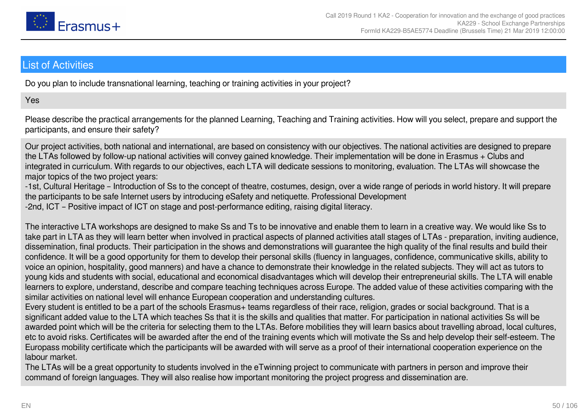

### List of Activities

Do you plan to include transnational learning, teaching or training activities in your project?

#### Yes

Please describe the practical arrangements for the planned Learning, Teaching and Training activities. How will you select, prepare and support theparticipants, and ensure their safety?

Our project activities, both national and international, are based on consistency with our objectives. The national activities are designed to preparethe LTAs followed by follow-up national activities will convey gained knowledge. Their implementation will be done in Erasmus + Clubs and integrated in curriculum. With regards to our objectives, each LTA will dedicate sessions to monitoring, evaluation. The LTAs will showcase themajor topics of the two project years:

 -1st, Cultural Heritage – Introduction of Ss to the concept of theatre, costumes, design, over a wide range of periods in world history. It will preparethe participants to be safe Internet users by introducing eSafety and netiquette. Professional Development-2nd, ICT – Positive impact of ICT on stage and post-performance editing, raising digital literacy.

The interactive LTA workshops are designed to make Ss and Ts to be innovative and enable them to learn in a creative way. We would like Ss to take part in LTA as they will learn better when involved in practical aspects of planned activities atall stages of LTAs - preparation, inviting audience,dissemination, final products. Their participation in the shows and demonstrations will guarantee the high quality of the final results and build their confidence. It will be a good opportunity for them to develop their personal skills (fluency in languages, confidence, communicative skills, ability to voice an opinion, hospitality, good manners) and have a chance to demonstrate their knowledge in the related subjects. They will act as tutors to young kids and students with social, educational and economical disadvantages which will develop their entrepreneurial skills. The LTA will enable learners to explore, understand, describe and compare teaching techniques across Europe. The added value of these activities comparing with thesimilar activities on national level will enhance European cooperation and understanding cultures.

 Every student is entitled to be a part of the schools Erasmus+ teams regardless of their race, religion, grades or social background. That is a significant added value to the LTA which teaches Ss that it is the skills and qualities that matter. For participation in national activities Ss will be awarded point which will be the criteria for selecting them to the LTAs. Before mobilities they will learn basics about travelling abroad, local cultures, etc to avoid risks. Certificates will be awarded after the end of the training events which will motivate the Ss and help develop their self-esteem. TheEuropass mobility certificate which the participants will be awarded with will serve as a proof of their international cooperation experience on thelabour market.

 The LTAs will be a great opportunity to students involved in the eTwinning project to communicate with partners in person and improve theircommand of foreign languages. They will also realise how important monitoring the project progress and dissemination are.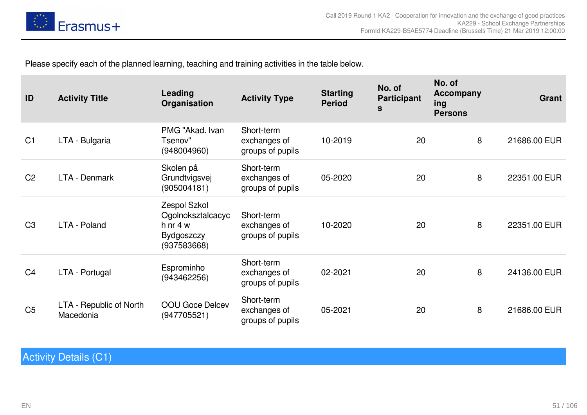

Please specify each of the planned learning, teaching and training activities in the table below.

| ID             | <b>Activity Title</b>                | Leading<br>Organisation                                                        | <b>Activity Type</b>                           | <b>Starting</b><br><b>Period</b> | No. of<br><b>Participant</b><br>S | No. of<br><b>Accompany</b><br>ing<br><b>Persons</b> | Grant        |
|----------------|--------------------------------------|--------------------------------------------------------------------------------|------------------------------------------------|----------------------------------|-----------------------------------|-----------------------------------------------------|--------------|
| C <sub>1</sub> | LTA - Bulgaria                       | PMG "Akad. Ivan<br>Tsenov"<br>(948004960)                                      | Short-term<br>exchanges of<br>groups of pupils | 10-2019                          | 20                                | 8                                                   | 21686.00 EUR |
| C <sub>2</sub> | <b>LTA - Denmark</b>                 | Skolen på<br>Grundtvigsvej<br>(905004181)                                      | Short-term<br>exchanges of<br>groups of pupils | 05-2020                          | 20                                | 8                                                   | 22351.00 EUR |
| C <sub>3</sub> | <b>LTA - Poland</b>                  | Zespol Szkol<br>Ogolnoksztalcacyc<br>hnr4w<br><b>Bydgoszczy</b><br>(937583668) | Short-term<br>exchanges of<br>groups of pupils | 10-2020                          | 20                                | 8                                                   | 22351.00 EUR |
| C <sub>4</sub> | LTA - Portugal                       | Esprominho<br>(943462256)                                                      | Short-term<br>exchanges of<br>groups of pupils | 02-2021                          | 20                                | 8                                                   | 24136.00 EUR |
| C <sub>5</sub> | LTA - Republic of North<br>Macedonia | <b>OOU Goce Delcev</b><br>(947705521)                                          | Short-term<br>exchanges of<br>groups of pupils | 05-2021                          | 20                                | 8                                                   | 21686.00 EUR |

Activity Details (C1)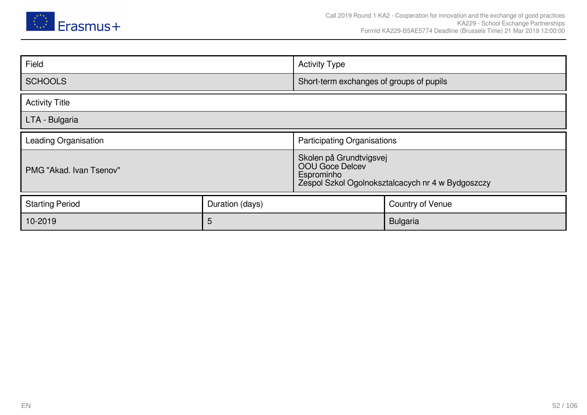

| Field                       |                 | <b>Activity Type</b>                                            |                                                   |
|-----------------------------|-----------------|-----------------------------------------------------------------|---------------------------------------------------|
| <b>SCHOOLS</b>              |                 | Short-term exchanges of groups of pupils                        |                                                   |
| <b>Activity Title</b>       |                 |                                                                 |                                                   |
| LTA - Bulgaria              |                 |                                                                 |                                                   |
| <b>Leading Organisation</b> |                 | <b>Participating Organisations</b>                              |                                                   |
| PMG "Akad. Ivan Tsenov"     |                 | Skolen på Grundtvigsvej<br><b>OOU Goce Delcev</b><br>Esprominho | Zespol Szkol Ogolnoksztalcacych nr 4 w Bydgoszczy |
| <b>Starting Period</b>      | Duration (days) |                                                                 | <b>Country of Venue</b>                           |
| 10-2019                     | 5               |                                                                 | <b>Bulgaria</b>                                   |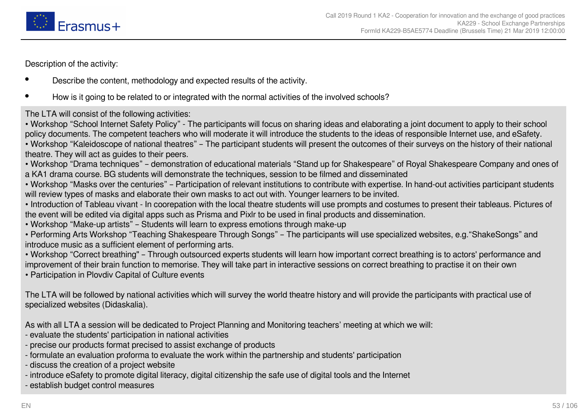

Description of the activity:

- ●Describe the content, methodology and expected results of the activity.
- ●How is it going to be related to or integrated with the normal activities of the involved schools?

The LTA will consist of the following activities:

 • Workshop "School Internet Safety Policy" - The participants will focus on sharing ideas and elaborating a joint document to apply to their school policy documents. The competent teachers who will moderate it will introduce the students to the ideas of responsible Internet use, and eSafety.

 • Workshop "Kaleidoscope of national theatres" – The participant students will present the outcomes of their surveys on the history of their national theatre. They will act as guides to their peers.

• Workshop "Drama techniques" – demonstration of educational materials "Stand up for Shakespeare" of Royal Shakespeare Company and ones ofa KA1 drama course. BG students will demonstrate the techniques, session to be filmed and disseminated

 • Workshop "Masks over the centuries" – Participation of relevant institutions to contribute with expertise. In hand-out activities participant studentswill review types of masks and elaborate their own masks to act out with. Younger learners to be invited.

 • Introduction of Tableau vivant - In coorepation with the local theatre students will use prompts and costumes to present their tableaus. Pictures ofthe event will be edited via digital apps such as Prisma and Pixlr to be used in final products and dissemination.

• Workshop "Make-up artists" – Students will learn to express emotions through make-up

 • Performing Arts Workshop "Teaching Shakespeare Through Songs" – The participants will use specialized websites, e.g."ShakeSongs" andintroduce music as a sufficient element of performing arts.

• Workshop "Correct breathing" – Through outsourced experts students will learn how important correct breathing is to actors' performance andimprovement of their brain function to memorise. They will take part in interactive sessions on correct breathing to practise it on their own

• Participation in Plovdiv Capital of Culture events

The LTA will be followed by national activities which will survey the world theatre history and will provide the participants with practical use ofspecialized websites (Didaskalia).

As with all LTA a session will be dedicated to Project Planning and Monitoring teachers' meeting at which we will:

- evaluate the students' participation in national activities
- precise our products format precised to assist exchange of products
- formulate an evaluation proforma to evaluate the work within the partnership and students' participation
- discuss the creation of a project website
- introduce eSafety to promote digital literacy, digital citizenship the safe use of digital tools and the Internet
- establish budget control measures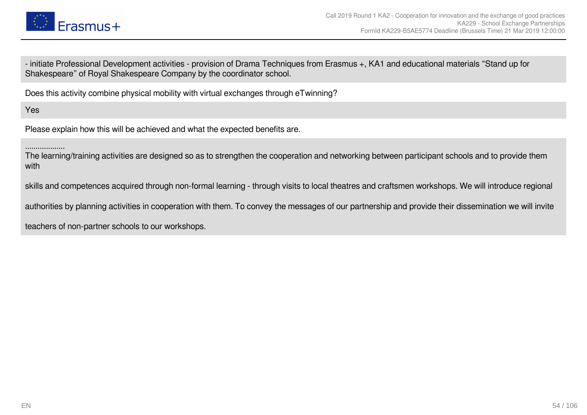

- initiate Professional Development activities - provision of Drama Techniques from Erasmus +, KA1 and educational materials "Stand up forShakespeare" of Royal Shakespeare Company by the coordinator school.

Does this activity combine physical mobility with virtual exchanges through eTwinning?

Yes

...................

Please explain how this will be achieved and what the expected benefits are.

 The learning/training activities are designed so as to strengthen the cooperation and networking between participant schools and to provide themwith

skills and competences acquired through non-formal learning - through visits to local theatres and craftsmen workshops. We will introduce regional

authorities by planning activities in cooperation with them. To convey the messages of our partnership and provide their dissemination we will invite

teachers of non-partner schools to our workshops.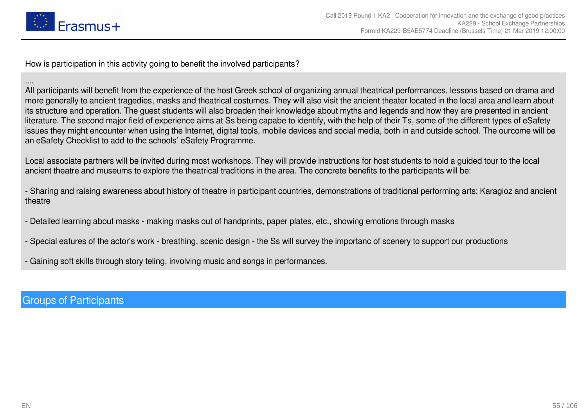

....

How is participation in this activity going to benefit the involved participants?

All participants will benefit from the experience of the host Greek school of organizing annual theatrical performances, lessons based on drama and more generally to ancient tragedies, masks and theatrical costumes. They will also visit the ancient theater located in the local area and learn aboutits structure and operation. The guest students will also broaden their knowledge about myths and legends and how they are presented in ancient literature. The second major field of experience aims at Ss being capabe to identify, with the help of their Ts, some of the different types of eSafety issues they might encounter when using the Internet, digital tools, mobile devices and social media, both in and outside school. The ourcome will bean eSafety Checklist to add to the schools' eSafety Programme.

Local associate partners will be invited during most workshops. They will provide instructions for host students to hold a guided tour to the local ancient theatre and museums to explore the theatrical traditions in the area. The concrete benefits to the participants will be:

- Sharing and raising awareness about history of theatre in participant countries, demonstrations of traditional performing arts: Karagioz and ancienttheatre

- Detailed learning about masks making masks out of handprints, paper plates, etc., showing emotions through masks
- Special eatures of the actor's work breathing, scenic design the Ss will survey the importanc of scenery to support our productions
- Gaining soft skills through story teling, involving music and songs in performances.

## Groups of Participants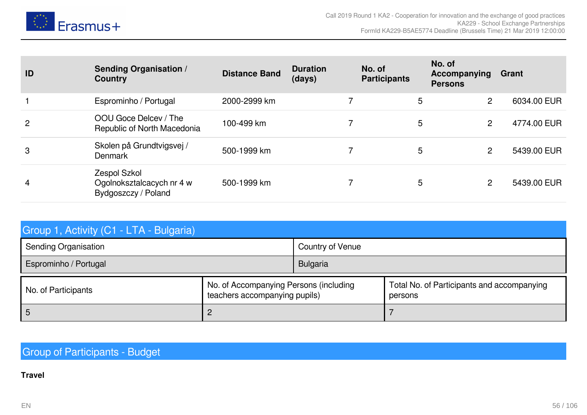

| ID             | <b>Sending Organisation /</b><br><b>Country</b>                  | <b>Distance Band</b> | <b>Duration</b><br>(days) | No. of<br><b>Participants</b> |   | No. of<br>Accompanying<br><b>Persons</b> | Grant       |
|----------------|------------------------------------------------------------------|----------------------|---------------------------|-------------------------------|---|------------------------------------------|-------------|
|                | Esprominho / Portugal                                            | 2000-2999 km         |                           |                               | 5 | 2                                        | 6034.00 EUR |
| 2              | OOU Goce Delcey / The<br>Republic of North Macedonia             | 100-499 km           |                           |                               | 5 | 2                                        | 4774.00 EUR |
| 3              | Skolen på Grundtvigsvej /<br>Denmark                             | 500-1999 km          |                           |                               | 5 | $\overline{2}$                           | 5439.00 EUR |
| $\overline{4}$ | Zespol Szkol<br>Ogolnoksztalcacych nr 4 w<br>Bydgoszczy / Poland | 500-1999 km          |                           |                               | 5 | $\overline{2}$                           | 5439.00 EUR |

| Group 1, Activity (C1 - LTA - Bulgaria) |                                                                         |                  |                                                       |  |  |
|-----------------------------------------|-------------------------------------------------------------------------|------------------|-------------------------------------------------------|--|--|
| <b>Sending Organisation</b>             |                                                                         | Country of Venue |                                                       |  |  |
| Esprominho / Portugal                   |                                                                         | <b>Bulgaria</b>  |                                                       |  |  |
| No. of Participants                     | No. of Accompanying Persons (including<br>teachers accompanying pupils) |                  | Total No. of Participants and accompanying<br>persons |  |  |
| l 5                                     |                                                                         |                  |                                                       |  |  |

# Group of Participants - Budget

#### **Travel**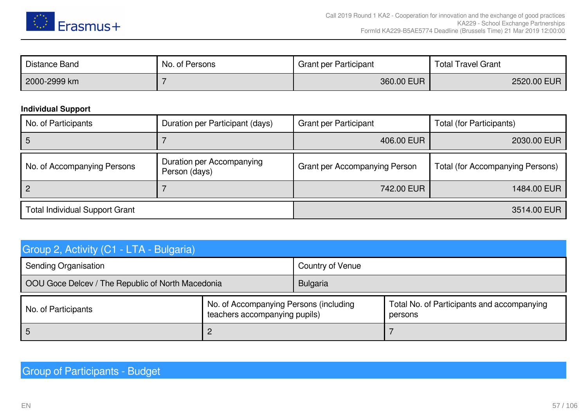

| Distance Band | No. of Persons | <b>Grant per Participant</b> | <b>Total Travel Grant</b> |
|---------------|----------------|------------------------------|---------------------------|
| 2000-2999 km  |                | 360.00 EUR                   | 2520.00 EUR               |

| No. of Participants                   | Duration per Participant (days)            | <b>Grant per Participant</b>  | <b>Total (for Participants)</b>  |
|---------------------------------------|--------------------------------------------|-------------------------------|----------------------------------|
|                                       |                                            | 406.00 EUR                    | 2030.00 EUR                      |
| No. of Accompanying Persons           | Duration per Accompanying<br>Person (days) | Grant per Accompanying Person | Total (for Accompanying Persons) |
|                                       |                                            | 742.00 EUR                    | 1484.00 EUR                      |
| <b>Total Individual Support Grant</b> |                                            |                               | 3514.00 EUR                      |

| Group 2, Activity (C1 - LTA - Bulgaria)           |                                                                         |                  |                                                       |  |
|---------------------------------------------------|-------------------------------------------------------------------------|------------------|-------------------------------------------------------|--|
| <b>Sending Organisation</b>                       |                                                                         | Country of Venue |                                                       |  |
| OOU Goce Delcev / The Republic of North Macedonia |                                                                         | Bulgaria         |                                                       |  |
| No. of Participants                               | No. of Accompanying Persons (including<br>teachers accompanying pupils) |                  | Total No. of Participants and accompanying<br>persons |  |
|                                                   |                                                                         |                  |                                                       |  |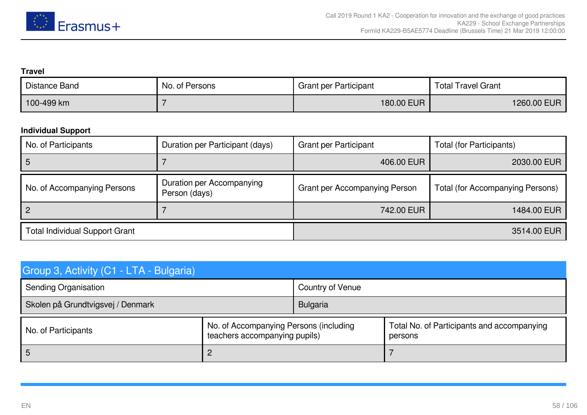

#### **Travel**

| Distance Band | No. of Persons | <b>Grant per Participant</b> | <b>Total Travel Grant</b> |
|---------------|----------------|------------------------------|---------------------------|
| 100-499 km    |                | 180.00 EUR                   | 1260.00 EUR               |

| No. of Participants                   | Duration per Participant (days)            | <b>Grant per Participant</b>  | Total (for Participants)                |
|---------------------------------------|--------------------------------------------|-------------------------------|-----------------------------------------|
| C                                     |                                            | 406.00 EUR                    | 2030.00 EUR                             |
| No. of Accompanying Persons           | Duration per Accompanying<br>Person (days) | Grant per Accompanying Person | <b>Total (for Accompanying Persons)</b> |
|                                       |                                            | 742.00 EUR                    | 1484.00 EUR                             |
| <b>Total Individual Support Grant</b> |                                            |                               | 3514.00 EUR                             |

| Group 3, Activity (C1 - LTA - Bulgaria) |                                                                         |                  |                                                       |  |
|-----------------------------------------|-------------------------------------------------------------------------|------------------|-------------------------------------------------------|--|
| <b>Sending Organisation</b>             |                                                                         | Country of Venue |                                                       |  |
| Skolen på Grundtvigsvej / Denmark       |                                                                         | <b>Bulgaria</b>  |                                                       |  |
| No. of Participants                     | No. of Accompanying Persons (including<br>teachers accompanying pupils) |                  | Total No. of Participants and accompanying<br>persons |  |
| ა                                       |                                                                         |                  |                                                       |  |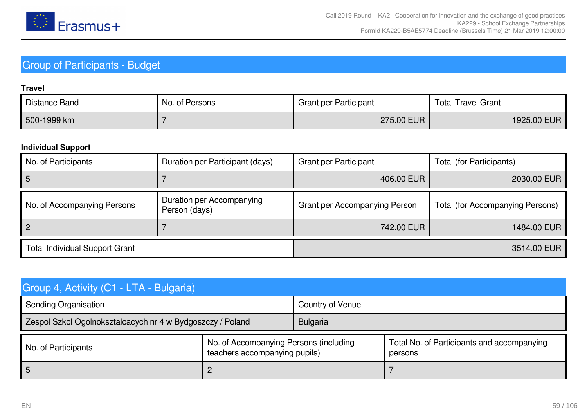

# Group of Participants - Budget

**Travel**

| Distance Band | No. of Persons | <b>Grant per Participant</b> | <b>Total Travel Grant</b> |
|---------------|----------------|------------------------------|---------------------------|
| 500-1999 km   |                | 275.00 EUR                   | 1925.00 EUR               |

| No. of Participants                   | Duration per Participant (days)            | <b>Grant per Participant</b>  | Total (for Participants)         |
|---------------------------------------|--------------------------------------------|-------------------------------|----------------------------------|
| O                                     |                                            | 406.00 EUR                    | 2030.00 EUR                      |
| No. of Accompanying Persons           | Duration per Accompanying<br>Person (days) | Grant per Accompanying Person | Total (for Accompanying Persons) |
|                                       |                                            | 742.00 EUR                    | 1484.00 EUR                      |
| <b>Total Individual Support Grant</b> |                                            |                               | 3514.00 EUR                      |

| Group 4, Activity (C1 - LTA - Bulgaria)                    |                                                                         |                  |                                                       |  |  |
|------------------------------------------------------------|-------------------------------------------------------------------------|------------------|-------------------------------------------------------|--|--|
| <b>Sending Organisation</b>                                |                                                                         | Country of Venue |                                                       |  |  |
| Zespol Szkol Ogolnoksztalcacych nr 4 w Bydgoszczy / Poland |                                                                         | Bulgaria         |                                                       |  |  |
| No. of Participants                                        | No. of Accompanying Persons (including<br>teachers accompanying pupils) |                  | Total No. of Participants and accompanying<br>persons |  |  |
|                                                            |                                                                         |                  |                                                       |  |  |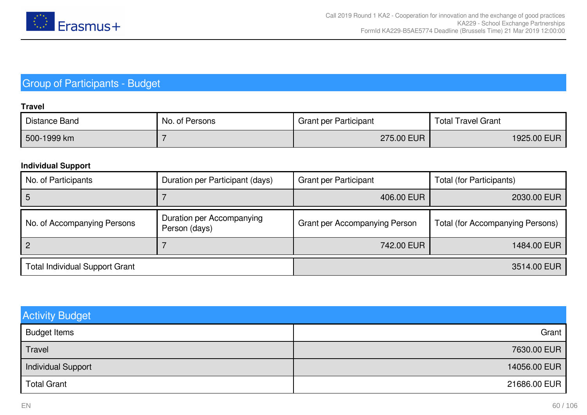

## Group of Participants - Budget

**Travel**

| Distance Band | No. of Persons | <b>Grant per Participant</b> | Total Travel Grant |
|---------------|----------------|------------------------------|--------------------|
| 500-1999 km   |                | 275.00 EUR                   | 1925.00 EUR        |

| No. of Participants                   | Duration per Participant (days)            | <b>Grant per Participant</b>         | <b>Total (for Participants)</b>         |  |
|---------------------------------------|--------------------------------------------|--------------------------------------|-----------------------------------------|--|
|                                       | 406.00 EUR                                 |                                      | 2030.00 EUR                             |  |
| No. of Accompanying Persons           | Duration per Accompanying<br>Person (days) | <b>Grant per Accompanying Person</b> | <b>Total (for Accompanying Persons)</b> |  |
|                                       |                                            | 742.00 EUR                           | 1484.00 EUR                             |  |
| <b>Total Individual Support Grant</b> |                                            |                                      | 3514.00 EUR                             |  |

| <b>Activity Budget</b>    |              |  |  |
|---------------------------|--------------|--|--|
| <b>Budget Items</b>       | Grant        |  |  |
| <b>Travel</b>             | 7630.00 EUR  |  |  |
| <b>Individual Support</b> | 14056.00 EUR |  |  |
| <b>Total Grant</b>        | 21686.00 EUR |  |  |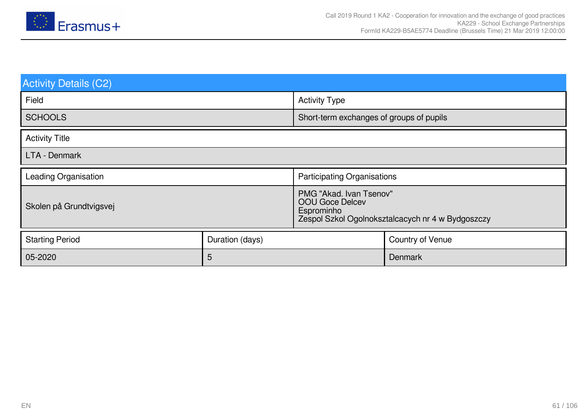

| <b>Activity Details (C2)</b> |                 |                                                                                                                      |                  |
|------------------------------|-----------------|----------------------------------------------------------------------------------------------------------------------|------------------|
| Field                        |                 | <b>Activity Type</b>                                                                                                 |                  |
| <b>SCHOOLS</b>               |                 | Short-term exchanges of groups of pupils                                                                             |                  |
| <b>Activity Title</b>        |                 |                                                                                                                      |                  |
| <b>LTA - Denmark</b>         |                 |                                                                                                                      |                  |
| Leading Organisation         |                 | <b>Participating Organisations</b>                                                                                   |                  |
| Skolen på Grundtvigsvej      |                 | PMG "Akad. Ivan Tsenov"<br><b>OOU Goce Delcev</b><br>Esprominho<br>Zespol Szkol Ogolnoksztalcacych nr 4 w Bydgoszczy |                  |
| <b>Starting Period</b>       | Duration (days) |                                                                                                                      | Country of Venue |
| 05-2020                      | 5               |                                                                                                                      | <b>Denmark</b>   |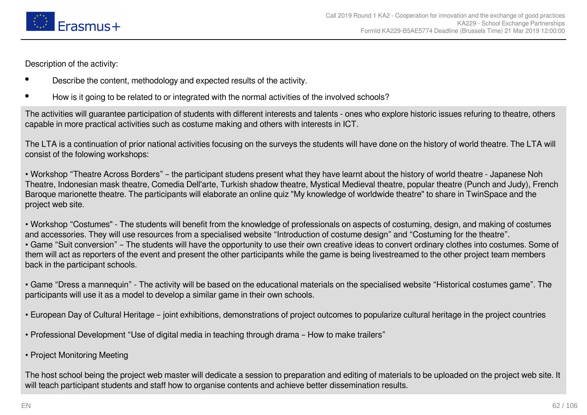

Description of the activity:

- ●Describe the content, methodology and expected results of the activity.
- ●How is it going to be related to or integrated with the normal activities of the involved schools?

The activities will guarantee participation of students with different interests and talents - ones who explore historic issues refuring to theatre, otherscapable in more practical activities such as costume making and others with interests in ICT.

The LTA is a continuation of prior national activities focusing on the surveys the students will have done on the history of world theatre. The LTA will consist of the folowing workshops:

• Workshop "Theatre Across Borders" – the participant studens present what they have learnt about the history of world theatre - Japanese Noh Theatre, Indonesian mask theatre, Comedia Dell'arte, Turkish shadow theatre, Mystical Medieval theatre, popular theatre (Punch and Judy), FrenchBaroque marionette theatre. The participants will elaborate an online quiz "My knowledge of worldwide theatre" to share in TwinSpace and theproject web site.

• Workshop "Costumes" - The students will benefit from the knowledge of professionals on aspects of costuming, design, and making of costumesand accessories. They will use resources from a specialised website "Introduction of costume design" and "Costuming for the theatre". • Game "Suit conversion" – The students will have the opportunity to use their own creative ideas to convert ordinary clothes into costumes. Some ofthem will act as reporters of the event and present the other participants while the game is being livestreamed to the other project team membersback in the participant schools.

• Game "Dress a mannequin" - The activity will be based on the educational materials on the specialised website "Historical costumes game". Theparticipants will use it as a model to develop a similar game in their own schools.

- European Day of Cultural Heritage joint exhibitions, demonstrations of project outcomes to popularize cultural heritage in the project countries
- Professional Development "Use of digital media in teaching through drama How to make trailers"
- Project Monitoring Meeting

The host school being the project web master will dedicate a session to preparation and editing of materials to be uploaded on the project web site. Itwill teach participant students and staff how to organise contents and achieve better dissemination results.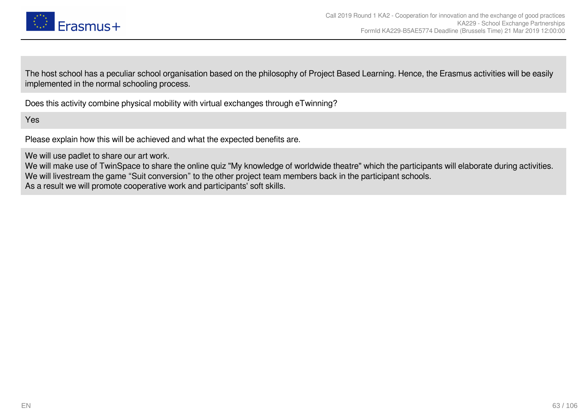

The host school has a peculiar school organisation based on the philosophy of Project Based Learning. Hence, the Erasmus activities will be easilyimplemented in the normal schooling process.

Does this activity combine physical mobility with virtual exchanges through eTwinning?

Yes

Please explain how this will be achieved and what the expected benefits are.

We will use padlet to share our art work.

We will make use of TwinSpace to share the online quiz "My knowledge of worldwide theatre" which the participants will elaborate during activities. We will livestream the game "Suit conversion" to the other project team members back in the participant schools. As a result we will promote cooperative work and participants' soft skills.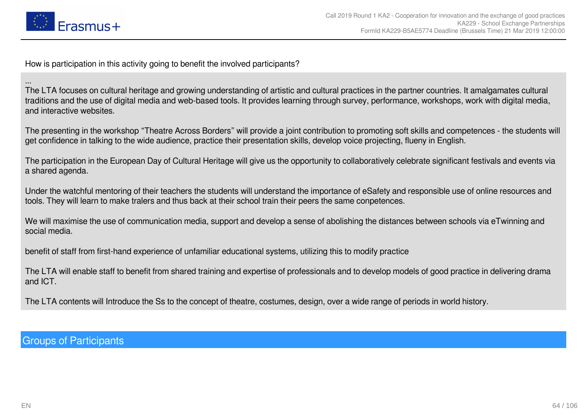

...

How is participation in this activity going to benefit the involved participants?

The LTA focuses on cultural heritage and growing understanding of artistic and cultural practices in the partner countries. It amalgamates cultural traditions and the use of digital media and web-based tools. It provides learning through survey, performance, workshops, work with digital media,and interactive websites.

The presenting in the workshop "Theatre Across Borders" will provide a joint contribution to promoting soft skills and competences - the students will get confidence in talking to the wide audience, practice their presentation skills, develop voice projecting, flueny in English.

The participation in the European Day of Cultural Heritage will give us the opportunity to collaboratively celebrate significant festivals and events viaa shared agenda.

Under the watchful mentoring of their teachers the students will understand the importance of eSafety and responsible use of online resources andtools. They will learn to make tralers and thus back at their school train their peers the same conpetences.

We will maximise the use of communication media, support and develop a sense of abolishing the distances between schools via eTwinning andsocial media.

benefit of staff from first-hand experience of unfamiliar educational systems, utilizing this to modify practice

The LTA will enable staff to benefit from shared training and expertise of professionals and to develop models of good practice in delivering dramaand ICT.

The LTA contents will Introduce the Ss to the concept of theatre, costumes, design, over a wide range of periods in world history.

### Groups of Participants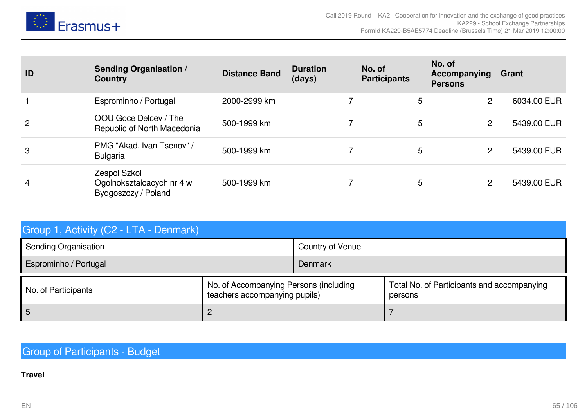

| ID             | <b>Sending Organisation /</b><br><b>Country</b>                  | <b>Distance Band</b> | <b>Duration</b><br>(days) | No. of<br><b>Participants</b> |   | No. of<br>Accompanying<br><b>Persons</b> | Grant       |
|----------------|------------------------------------------------------------------|----------------------|---------------------------|-------------------------------|---|------------------------------------------|-------------|
|                | Esprominho / Portugal                                            | 2000-2999 km         |                           |                               | 5 | $\overline{2}$                           | 6034.00 EUR |
| 2              | OOU Goce Delcey / The<br>Republic of North Macedonia             | 500-1999 km          |                           |                               | 5 | 2                                        | 5439.00 EUR |
| 3              | PMG "Akad. Ivan Tsenov" /<br><b>Bulgaria</b>                     | 500-1999 km          |                           |                               | 5 | $\overline{2}$                           | 5439.00 EUR |
| $\overline{4}$ | Zespol Szkol<br>Ogolnoksztalcacych nr 4 w<br>Bydgoszczy / Poland | 500-1999 km          |                           |                               | 5 | 2                                        | 5439.00 EUR |

| Group 1, Activity (C2 - LTA - Denmark) |                                                                         |                  |                                                       |  |  |  |
|----------------------------------------|-------------------------------------------------------------------------|------------------|-------------------------------------------------------|--|--|--|
| <b>Sending Organisation</b>            |                                                                         | Country of Venue |                                                       |  |  |  |
| Esprominho / Portugal                  |                                                                         | Denmark          |                                                       |  |  |  |
| No. of Participants                    | No. of Accompanying Persons (including<br>teachers accompanying pupils) |                  | Total No. of Participants and accompanying<br>persons |  |  |  |
|                                        |                                                                         |                  |                                                       |  |  |  |

# Group of Participants - Budget

#### **Travel**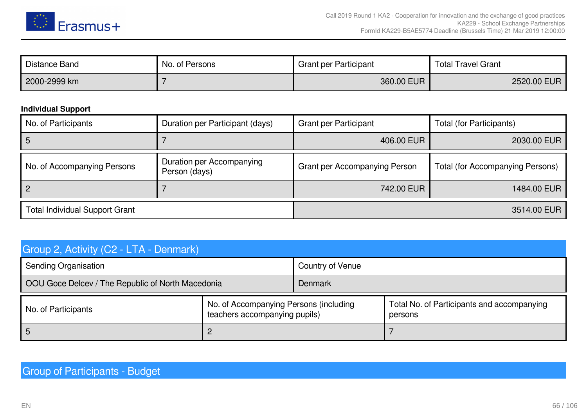

| Distance Band | No. of Persons | <b>Grant per Participant</b> | <b>Total Travel Grant</b> |
|---------------|----------------|------------------------------|---------------------------|
| 2000-2999 km  |                | 360.00 EUR                   | 2520.00 EUR               |

| No. of Participants                   | Duration per Participant (days)            | <b>Grant per Participant</b>  | <b>Total (for Participants)</b>         |  |
|---------------------------------------|--------------------------------------------|-------------------------------|-----------------------------------------|--|
| C                                     |                                            | 406.00 EUR                    | 2030.00 EUR                             |  |
| No. of Accompanying Persons           | Duration per Accompanying<br>Person (days) | Grant per Accompanying Person | <b>Total (for Accompanying Persons)</b> |  |
|                                       |                                            | 742.00 EUR                    | 1484.00 EUR                             |  |
| <b>Total Individual Support Grant</b> |                                            |                               | 3514.00 EUR                             |  |

| Group 2, Activity (C2 - LTA - Denmark)            |                                                                         |                  |                                                       |  |  |
|---------------------------------------------------|-------------------------------------------------------------------------|------------------|-------------------------------------------------------|--|--|
| <b>Sending Organisation</b>                       |                                                                         | Country of Venue |                                                       |  |  |
| OOU Goce Delcev / The Republic of North Macedonia |                                                                         | <b>Denmark</b>   |                                                       |  |  |
| No. of Participants                               | No. of Accompanying Persons (including<br>teachers accompanying pupils) |                  | Total No. of Participants and accompanying<br>persons |  |  |
|                                                   |                                                                         |                  |                                                       |  |  |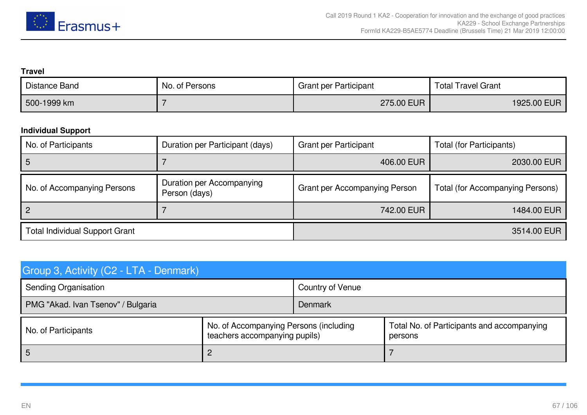

#### **Travel**

| Distance Band | No. of Persons | <b>Grant per Participant</b> | <b>Total Travel Grant</b> |
|---------------|----------------|------------------------------|---------------------------|
| 500-1999 km   |                | 275.00 EUR                   | 1925.00 EUR               |

| No. of Participants                   | Duration per Participant (days)            | <b>Grant per Participant</b>  | Total (for Participants)                |
|---------------------------------------|--------------------------------------------|-------------------------------|-----------------------------------------|
| C                                     |                                            | 406.00 EUR                    | 2030.00 EUR                             |
| No. of Accompanying Persons           | Duration per Accompanying<br>Person (days) | Grant per Accompanying Person | <b>Total (for Accompanying Persons)</b> |
|                                       |                                            | 742.00 EUR                    | 1484.00 EUR                             |
| <b>Total Individual Support Grant</b> |                                            |                               | 3514.00 EUR                             |

| Group 3, Activity (C2 - LTA - Denmark) |                                                                         |                  |                                                       |  |
|----------------------------------------|-------------------------------------------------------------------------|------------------|-------------------------------------------------------|--|
| <b>Sending Organisation</b>            |                                                                         | Country of Venue |                                                       |  |
| PMG "Akad. Ivan Tsenov" / Bulgaria     |                                                                         | Denmark          |                                                       |  |
| No. of Participants                    | No. of Accompanying Persons (including<br>teachers accompanying pupils) |                  | Total No. of Participants and accompanying<br>persons |  |
|                                        |                                                                         |                  |                                                       |  |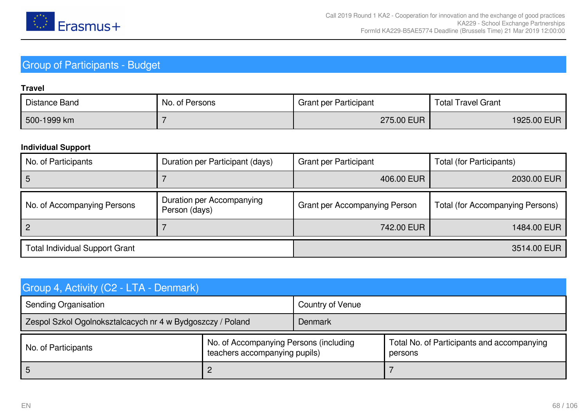

# Group of Participants - Budget

**Travel**

| Distance Band | No. of Persons | <b>Grant per Participant</b> | <b>Total Travel Grant</b> |
|---------------|----------------|------------------------------|---------------------------|
| 500-1999 km   |                | 275.00 EUR                   | 1925.00 EUR               |

| No. of Participants                   | Duration per Participant (days)            | <b>Grant per Participant</b><br>Total (for Participants) |                                  |
|---------------------------------------|--------------------------------------------|----------------------------------------------------------|----------------------------------|
| O                                     |                                            | 406.00 EUR                                               | 2030.00 EUR                      |
| No. of Accompanying Persons           | Duration per Accompanying<br>Person (days) | Grant per Accompanying Person                            | Total (for Accompanying Persons) |
|                                       |                                            | 742.00 EUR                                               | 1484.00 EUR                      |
| <b>Total Individual Support Grant</b> |                                            |                                                          | 3514.00 EUR                      |

| Group 4, Activity (C2 - LTA - Denmark)                     |                                                                         |                  |                                                       |  |
|------------------------------------------------------------|-------------------------------------------------------------------------|------------------|-------------------------------------------------------|--|
| <b>Sending Organisation</b>                                |                                                                         | Country of Venue |                                                       |  |
| Zespol Szkol Ogolnoksztalcacych nr 4 w Bydgoszczy / Poland |                                                                         | <b>Denmark</b>   |                                                       |  |
| No. of Participants                                        | No. of Accompanying Persons (including<br>teachers accompanying pupils) |                  | Total No. of Participants and accompanying<br>persons |  |
|                                                            |                                                                         |                  |                                                       |  |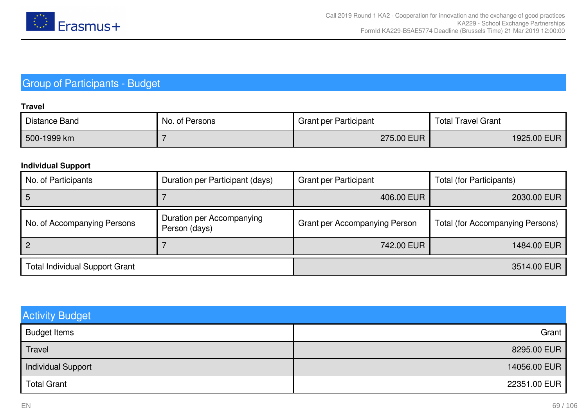

## Group of Participants - Budget

**Travel**

| Distance Band | No. of Persons | Grant per Participant | <b>Total Travel Grant</b> |
|---------------|----------------|-----------------------|---------------------------|
| 500-1999 km   |                | 275.00 EUR            | 1925.00 EUR               |

| No. of Participants                   | Duration per Participant (days)            | <b>Grant per Participant</b>         | <b>Total (for Participants)</b>         |
|---------------------------------------|--------------------------------------------|--------------------------------------|-----------------------------------------|
|                                       |                                            | 406.00 EUR                           | 2030.00 EUR                             |
| No. of Accompanying Persons           | Duration per Accompanying<br>Person (days) | <b>Grant per Accompanying Person</b> | <b>Total (for Accompanying Persons)</b> |
|                                       |                                            | 742.00 EUR                           | 1484.00 EUR                             |
| <b>Total Individual Support Grant</b> |                                            |                                      | 3514.00 EUR                             |

| <b>Activity Budget</b>    |              |  |
|---------------------------|--------------|--|
| <b>Budget Items</b>       | Grant        |  |
| Travel                    | 8295.00 EUR  |  |
| <b>Individual Support</b> | 14056.00 EUR |  |
| <b>Total Grant</b>        | 22351.00 EUR |  |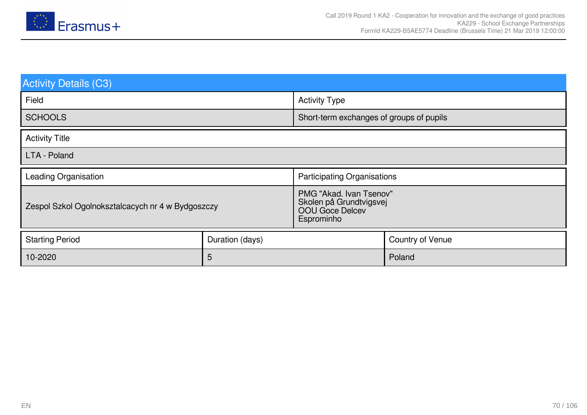

| <b>Activity Details (C3)</b>                      |                 |                                                                                            |                  |
|---------------------------------------------------|-----------------|--------------------------------------------------------------------------------------------|------------------|
| Field                                             |                 | <b>Activity Type</b>                                                                       |                  |
| <b>SCHOOLS</b>                                    |                 | Short-term exchanges of groups of pupils                                                   |                  |
| <b>Activity Title</b>                             |                 |                                                                                            |                  |
| <b>LTA - Poland</b>                               |                 |                                                                                            |                  |
| Leading Organisation                              |                 | <b>Participating Organisations</b>                                                         |                  |
| Zespol Szkol Ogolnoksztalcacych nr 4 w Bydgoszczy |                 | PMG "Akad. Ivan Tsenov"<br>Skolen på Grundtvigsvej<br><b>OOU Goce Delcev</b><br>Esprominho |                  |
| <b>Starting Period</b>                            | Duration (days) |                                                                                            | Country of Venue |
| 10-2020                                           | 5               |                                                                                            | Poland           |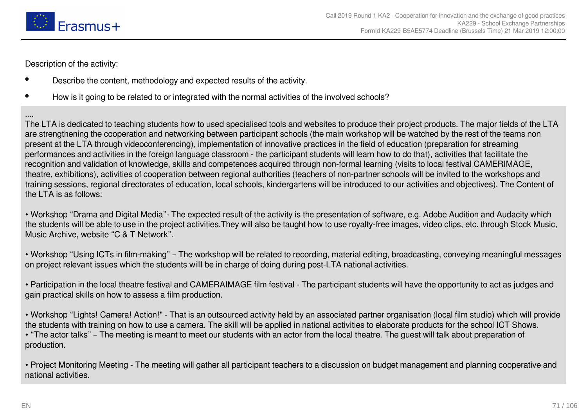

Description of the activity:

....

- ●Describe the content, methodology and expected results of the activity.
- ●How is it going to be related to or integrated with the normal activities of the involved schools?

The LTA is dedicated to teaching students how to used specialised tools and websites to produce their project products. The major fields of the LTAare strengthening the cooperation and networking between participant schools (the main workshop will be watched by the rest of the teams nonpresent at the LTA through videoconferencing), implementation of innovative practices in the field of education (preparation for streaming performances and activities in the foreign language classroom - the participant students will learn how to do that), activities that facilitate the recognition and validation of knowledge, skills and competences acquired through non-formal learning (visits to local festival CAMERIMAGE, theatre, exhibitions), activities of cooperation between regional authorities (teachers of non-partner schools will be invited to the workshops and training sessions, regional directorates of education, local schools, kindergartens will be introduced to our activities and objectives). The Content ofthe LTA is as follows:

• Workshop "Drama and Digital Media"- The expected result of the activity is the presentation of software, e.g. Adobe Audition and Audacity which the students will be able to use in the project activities.They will also be taught how to use royalty-free images, video clips, etc. through Stock Music,Music Archive, website "C & T Network".

• Workshop "Using ICTs in film-making" – The workshop will be related to recording, material editing, broadcasting, conveying meaningful messageson project relevant issues which the students willl be in charge of doing during post-LTA national activities.

• Participation in the local theatre festival and CAMERAIMAGE film festival - The participant students will have the opportunity to act as judges andgain practical skills on how to assess a film production.

• Workshop "Lights! Camera! Action!" - That is an outsourced activity held by an associated partner organisation (local film studio) which will providethe students with training on how to use a camera. The skill will be applied in national activities to elaborate products for the school ICT Shows.• "The actor talks" – The meeting is meant to meet our students with an actor from the local theatre. The guest will talk about preparation ofproduction.

• Project Monitoring Meeting - The meeting will gather all participant teachers to a discussion on budget management and planning cooperative andnational activities.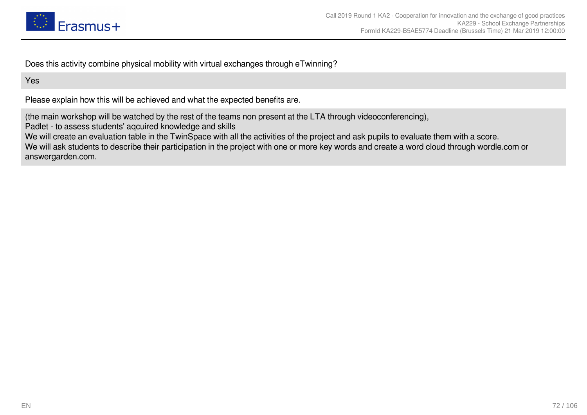

Does this activity combine physical mobility with virtual exchanges through eTwinning?

Yes

Please explain how this will be achieved and what the expected benefits are.

(the main workshop will be watched by the rest of the teams non present at the LTA through videoconferencing),

Padlet - to assess students' aqcuired knowledge and skills

We will create an evaluation table in the TwinSpace with all the activities of the project and ask pupils to evaluate them with a score.

 We will ask students to describe their participation in the project with one or more key words and create a word cloud through wordle.com oranswergarden.com.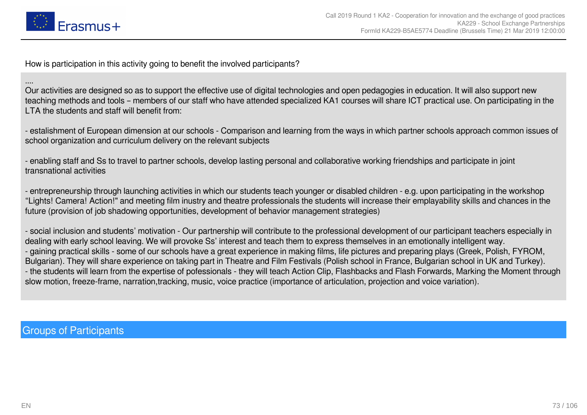

How is participation in this activity going to benefit the involved participants?

....

Our activities are designed so as to support the effective use of digital technologies and open pedagogies in education. It will also support new teaching methods and tools – members of our staff who have attended specialized KA1 courses will share ICT practical use. On participating in theLTA the students and staff will benefit from:

- estalishment of European dimension at our schools - Comparison and learning from the ways in which partner schools approach common issues ofschool organization and curriculum delivery on the relevant subjects

- enabling staff and Ss to travel to partner schools, develop lasting personal and collaborative working friendships and participate in jointtransnational activities

- entrepreneurship through launching activities in which our students teach younger or disabled children - e.g. upon participating in the workshop "Lights! Camera! Action!" and meeting film inustry and theatre professionals the students will increase their emplayability skills and chances in thefuture (provision of job shadowing opportunities, development of behavior management strategies)

- social inclusion and students' motivation - Our partnership will contribute to the professional development of our participant teachers especially indealing with early school leaving. We will provoke Ss' interest and teach them to express themselves in an emotionally intelligent way. - gaining practical skills - some of our schools have a great experience in making films, life pictures and preparing plays (Greek, Polish, FYROM, Bulgarian). They will share experience on taking part in Theatre and Film Festivals (Polish school in France, Bulgarian school in UK and Turkey). - the students will learn from the expertise of pofessionals - they will teach Action Clip, Flashbacks and Flash Forwards, Marking the Moment throughslow motion, freeze-frame, narration,tracking, music, voice practice (importance of articulation, projection and voice variation).

Groups of Participants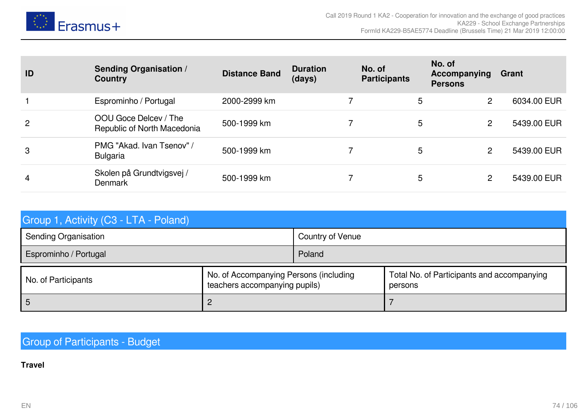

| ID             | <b>Sending Organisation /</b><br><b>Country</b>      | <b>Distance Band</b> | <b>Duration</b><br>(days) | No. of<br><b>Participants</b> |   | No. of<br>Accompanying<br><b>Persons</b> | Grant       |
|----------------|------------------------------------------------------|----------------------|---------------------------|-------------------------------|---|------------------------------------------|-------------|
|                | Esprominho / Portugal                                | 2000-2999 km         |                           |                               | 5 | $\overline{2}$                           | 6034.00 EUR |
| 2              | OOU Goce Delcey / The<br>Republic of North Macedonia | 500-1999 km          |                           |                               | 5 | $\overline{2}$                           | 5439.00 EUR |
| 3              | PMG "Akad. Ivan Tsenov" /<br><b>Bulgaria</b>         | 500-1999 km          |                           |                               | 5 | 2                                        | 5439.00 EUR |
| $\overline{4}$ | Skolen på Grundtvigsvej /<br><b>Denmark</b>          | 500-1999 km          |                           |                               | 5 | 2                                        | 5439.00 EUR |

| Group 1, Activity (C3 - LTA - Poland) |                                                                         |                  |                                                       |  |  |  |
|---------------------------------------|-------------------------------------------------------------------------|------------------|-------------------------------------------------------|--|--|--|
| <b>Sending Organisation</b>           |                                                                         | Country of Venue |                                                       |  |  |  |
| Esprominho / Portugal                 |                                                                         | Poland           |                                                       |  |  |  |
| No. of Participants                   | No. of Accompanying Persons (including<br>teachers accompanying pupils) |                  | Total No. of Participants and accompanying<br>persons |  |  |  |
| 5                                     |                                                                         |                  |                                                       |  |  |  |

#### **Travel**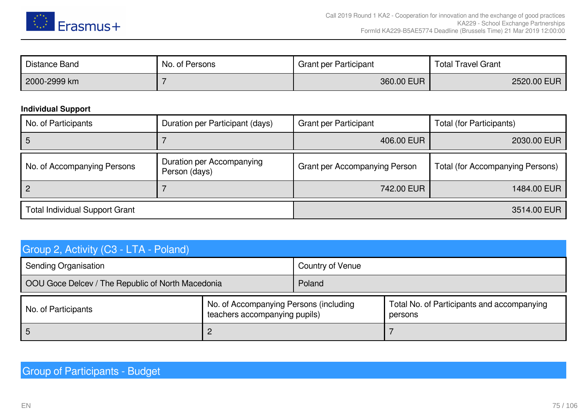

| Distance Band | No. of Persons | <b>Grant per Participant</b> | <b>Total Travel Grant</b> |
|---------------|----------------|------------------------------|---------------------------|
| 2000-2999 km  |                | 360.00 EUR                   | 2520.00 EUR               |

| No. of Participants                   | Duration per Participant (days)            | <b>Grant per Participant</b>  | <b>Total (for Participants)</b>         |
|---------------------------------------|--------------------------------------------|-------------------------------|-----------------------------------------|
| C                                     |                                            | 406.00 EUR                    | 2030.00 EUR                             |
| No. of Accompanying Persons           | Duration per Accompanying<br>Person (days) | Grant per Accompanying Person | <b>Total (for Accompanying Persons)</b> |
|                                       |                                            | 742.00 EUR                    | 1484.00 EUR                             |
| <b>Total Individual Support Grant</b> |                                            |                               | 3514.00 EUR                             |

| Group 2, Activity (C3 - LTA - Poland)             |                                                                         |                  |                                                       |  |  |  |
|---------------------------------------------------|-------------------------------------------------------------------------|------------------|-------------------------------------------------------|--|--|--|
| <b>Sending Organisation</b>                       |                                                                         | Country of Venue |                                                       |  |  |  |
| OOU Goce Delcev / The Republic of North Macedonia |                                                                         | Poland           |                                                       |  |  |  |
| No. of Participants                               | No. of Accompanying Persons (including<br>teachers accompanying pupils) |                  | Total No. of Participants and accompanying<br>persons |  |  |  |
|                                                   |                                                                         |                  |                                                       |  |  |  |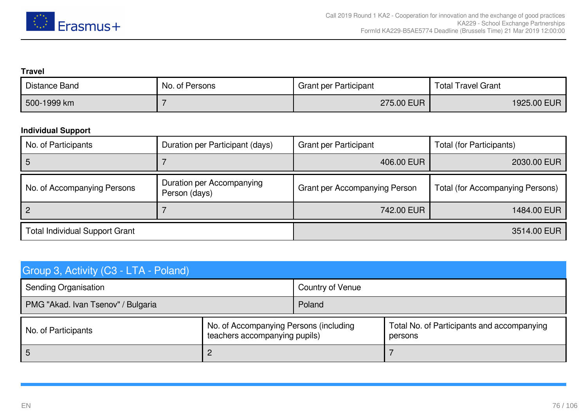

### **Travel**

| Distance Band | No. of Persons | <b>Grant per Participant</b> | <b>Total Travel Grant</b> |
|---------------|----------------|------------------------------|---------------------------|
| 500-1999 km   |                | 275.00 EUR                   | 1925.00 EUR               |

| No. of Participants                   | Duration per Participant (days)            | <b>Grant per Participant</b><br>Total (for Participants) |                                         |
|---------------------------------------|--------------------------------------------|----------------------------------------------------------|-----------------------------------------|
| C                                     |                                            | 406.00 EUR                                               | 2030.00 EUR                             |
| No. of Accompanying Persons           | Duration per Accompanying<br>Person (days) | Grant per Accompanying Person                            | <b>Total (for Accompanying Persons)</b> |
|                                       |                                            | 742.00 EUR                                               | 1484.00 EUR                             |
| <b>Total Individual Support Grant</b> |                                            |                                                          | 3514.00 EUR                             |

| Group 3, Activity (C3 - LTA - Poland)                                                          |  |                  |                                                       |  |  |  |
|------------------------------------------------------------------------------------------------|--|------------------|-------------------------------------------------------|--|--|--|
| <b>Sending Organisation</b>                                                                    |  | Country of Venue |                                                       |  |  |  |
| PMG "Akad. Ivan Tsenov" / Bulgaria                                                             |  | Poland           |                                                       |  |  |  |
| No. of Accompanying Persons (including<br>No. of Participants<br>teachers accompanying pupils) |  |                  | Total No. of Participants and accompanying<br>persons |  |  |  |
| .5                                                                                             |  |                  |                                                       |  |  |  |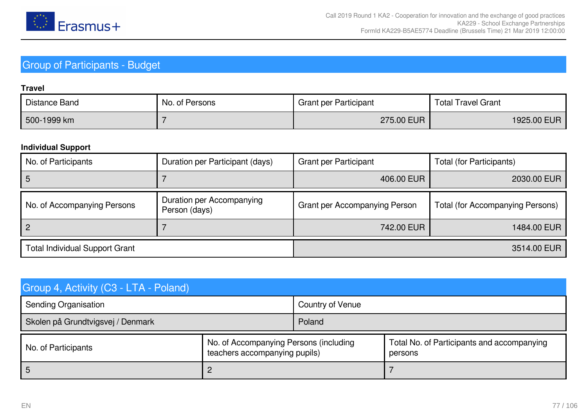

**Travel**

| Distance Band | No. of Persons | <b>Grant per Participant</b> | <b>Total Travel Grant</b> |
|---------------|----------------|------------------------------|---------------------------|
| 500-1999 km   |                | 275.00 EUR                   | 1925.00 EUR               |

| No. of Participants                   | Duration per Participant (days)            | <b>Grant per Participant</b><br><b>Total (for Participants)</b> |                                  |
|---------------------------------------|--------------------------------------------|-----------------------------------------------------------------|----------------------------------|
|                                       |                                            | 406.00 EUR                                                      | 2030.00 EUR                      |
| No. of Accompanying Persons           | Duration per Accompanying<br>Person (days) | Grant per Accompanying Person                                   | Total (for Accompanying Persons) |
|                                       |                                            | 742.00 EUR                                                      | 1484.00 EUR                      |
| <b>Total Individual Support Grant</b> |                                            |                                                                 | 3514.00 EUR                      |

| Group 4, Activity (C3 - LTA - Poland) |                                                                         |                  |                                                       |  |  |  |
|---------------------------------------|-------------------------------------------------------------------------|------------------|-------------------------------------------------------|--|--|--|
| <b>Sending Organisation</b>           |                                                                         | Country of Venue |                                                       |  |  |  |
| Skolen på Grundtvigsvej / Denmark     |                                                                         | Poland           |                                                       |  |  |  |
| No. of Participants                   | No. of Accompanying Persons (including<br>teachers accompanying pupils) |                  | Total No. of Participants and accompanying<br>persons |  |  |  |
| $\mathbf b$                           |                                                                         |                  |                                                       |  |  |  |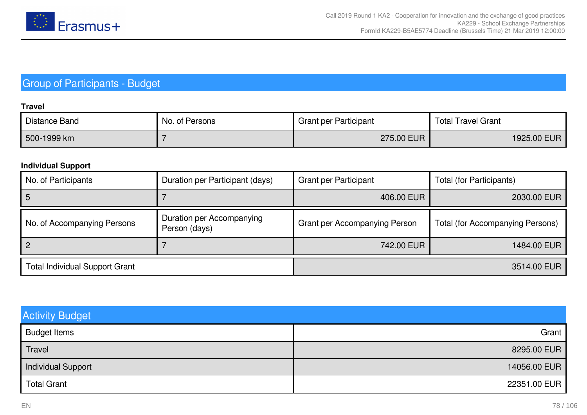

**Travel**

| Distance Band | No. of Persons | Grant per Participant | <b>Total Travel Grant</b> |
|---------------|----------------|-----------------------|---------------------------|
| 500-1999 km   |                | 275.00 EUR            | 1925.00 EUR               |

| No. of Participants                   | Duration per Participant (days)            | <b>Total (for Participants)</b><br><b>Grant per Participant</b> |                                         |
|---------------------------------------|--------------------------------------------|-----------------------------------------------------------------|-----------------------------------------|
|                                       |                                            | 406.00 EUR                                                      | 2030.00 EUR                             |
| No. of Accompanying Persons           | Duration per Accompanying<br>Person (days) | <b>Grant per Accompanying Person</b>                            | <b>Total (for Accompanying Persons)</b> |
|                                       |                                            | 742.00 EUR                                                      | 1484.00 EUR                             |
| <b>Total Individual Support Grant</b> |                                            |                                                                 | 3514.00 EUR                             |

| <b>Activity Budget</b>    |              |  |  |
|---------------------------|--------------|--|--|
| <b>Budget Items</b>       | Grant        |  |  |
| Travel                    | 8295.00 EUR  |  |  |
| <b>Individual Support</b> | 14056.00 EUR |  |  |
| <b>Total Grant</b>        | 22351.00 EUR |  |  |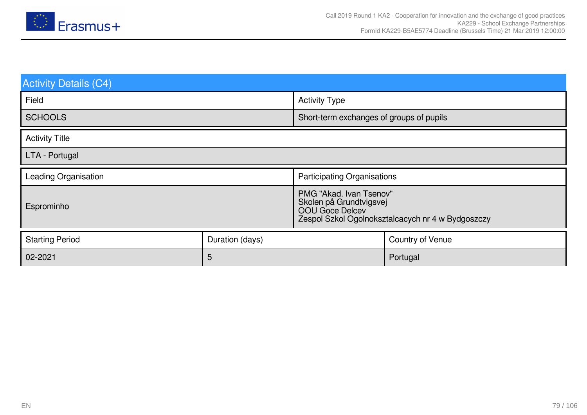

| <b>Activity Details (C4)</b> |                 |                                                                                                                            |                         |
|------------------------------|-----------------|----------------------------------------------------------------------------------------------------------------------------|-------------------------|
| Field                        |                 | <b>Activity Type</b>                                                                                                       |                         |
| <b>SCHOOLS</b>               |                 | Short-term exchanges of groups of pupils                                                                                   |                         |
| <b>Activity Title</b>        |                 |                                                                                                                            |                         |
| LTA - Portugal               |                 |                                                                                                                            |                         |
| <b>Leading Organisation</b>  |                 | Participating Organisations                                                                                                |                         |
| Esprominho                   |                 | PMG "Akad. Ivan Tsenov"<br>Skolen på Grundtvigsvej<br>OOU Goce Delcev<br>Zespol Szkol Ogolnoksztalcacych nr 4 w Bydgoszczy |                         |
| <b>Starting Period</b>       | Duration (days) |                                                                                                                            | <b>Country of Venue</b> |
| 02-2021                      | 5               |                                                                                                                            | Portugal                |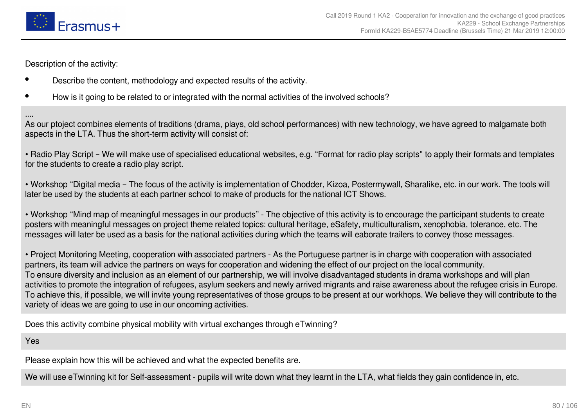

Description of the activity:

- ●Describe the content, methodology and expected results of the activity.
- ●How is it going to be related to or integrated with the normal activities of the involved schools?

As our ptoject combines elements of traditions (drama, plays, old school performances) with new technology, we have agreed to malgamate bothaspects in the LTA. Thus the short-term activity will consist of:

• Radio Play Script – We will make use of specialised educational websites, e.g. "Format for radio play scripts" to apply their formats and templatesfor the students to create a radio play script.

• Workshop "Digital media – The focus of the activity is implementation of Chodder, Kizoa, Postermywall, Sharalike, etc. in our work. The tools will later be used by the students at each partner school to make of products for the national ICT Shows.

• Workshop "Mind map of meaningful messages in our products" - The objective of this activity is to encourage the participant students to createposters with meaningful messages on project theme related topics: cultural heritage, eSafety, multiculturalism, xenophobia, tolerance, etc. Themessages will later be used as a basis for the national activities during which the teams will eaborate trailers to convey those messages.

• Project Monitoring Meeting, cooperation with associated partners - As the Portuguese partner is in charge with cooperation with associatedpartners, its team will advice the partners on ways for cooperation and widening the effect of our project on the local community. To ensure diversity and inclusion as an element of our partnership, we will involve disadvantaged students in drama workshops and will plan activities to promote the integration of refugees, asylum seekers and newly arrived migrants and raise awareness about the refugee crisis in Europe. To achieve this, if possible, we will invite young representatives of those groups to be present at our workhops. We believe they will contribute to thevariety of ideas we are going to use in our oncoming activities.

Does this activity combine physical mobility with virtual exchanges through eTwinning?

Yes

....

Please explain how this will be achieved and what the expected benefits are.

We will use eTwinning kit for Self-assessment - pupils will write down what they learnt in the LTA, what fields they gain confidence in, etc.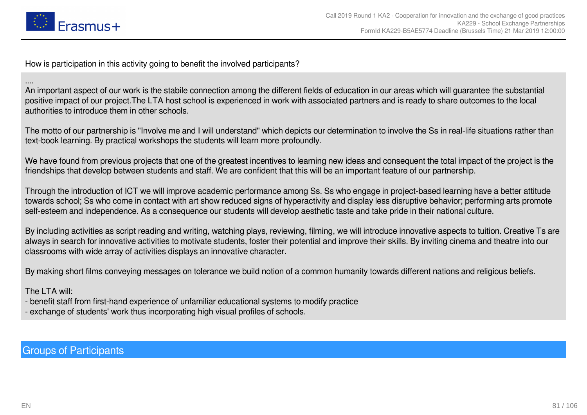

How is participation in this activity going to benefit the involved participants?

....

An important aspect of our work is the stabile connection among the different fields of education in our areas which will guarantee the substantial positive impact of our project.The LTA host school is experienced in work with associated partners and is ready to share outcomes to the local authorities to introduce them in other schools.

The motto of our partnership is "Involve me and I will understand" which depicts our determination to involve the Ss in real-life situations rather thantext-book learning. By practical workshops the students will learn more profoundly.

We have found from previous projects that one of the greatest incentives to learning new ideas and consequent the total impact of the project is the friendships that develop between students and staff. We are confident that this will be an important feature of our partnership.

Through the introduction of ICT we will improve academic performance among Ss. Ss who engage in project-based learning have a better attitude towards school; Ss who come in contact with art show reduced signs of hyperactivity and display less disruptive behavior; performing arts promoteself-esteem and independence. As a consequence our students will develop aesthetic taste and take pride in their national culture.

By including activities as script reading and writing, watching plays, reviewing, filming, we will introduce innovative aspects to tuition. Creative Ts arealways in search for innovative activities to motivate students, foster their potential and improve their skills. By inviting cinema and theatre into ourclassrooms with wide array of activities displays an innovative character.

By making short films conveying messages on tolerance we build notion of a common humanity towards different nations and religious beliefs.

The I TA will:

- benefit staff from first-hand experience of unfamiliar educational systems to modify practice

- exchange of students' work thus incorporating high visual profiles of schools.

Groups of Participants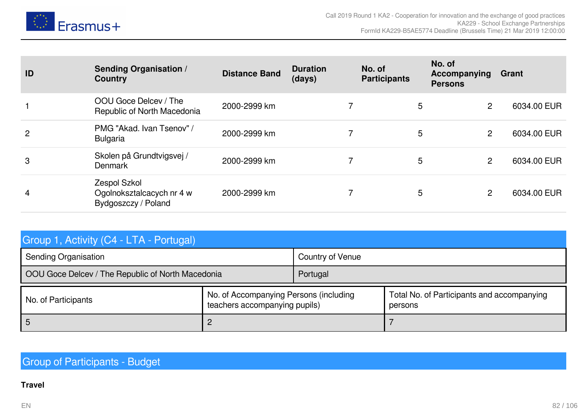

| ID             | <b>Sending Organisation /</b><br><b>Country</b>                         | <b>Distance Band</b> | <b>Duration</b><br>(days) | No. of<br><b>Participants</b> | No. of<br>Accompanying<br><b>Persons</b> | Grant       |
|----------------|-------------------------------------------------------------------------|----------------------|---------------------------|-------------------------------|------------------------------------------|-------------|
|                | OOU Goce Delcey / The<br>Republic of North Macedonia                    | 2000-2999 km         |                           |                               | 5<br>2                                   | 6034.00 EUR |
| 2              | PMG "Akad. Ivan Tsenov" /<br><b>Bulgaria</b>                            | 2000-2999 km         |                           |                               | 5<br>2                                   | 6034.00 EUR |
| 3              | Skolen på Grundtvigsvej /<br><b>Denmark</b>                             | 2000-2999 km         |                           |                               | 5<br>2                                   | 6034.00 EUR |
| $\overline{4}$ | <b>Zespol Szkol</b><br>Ogolnoksztalcacych nr 4 w<br>Bydgoszczy / Poland | 2000-2999 km         |                           |                               | 5<br>$\overline{2}$                      | 6034.00 EUR |

## Group 1, Activity (C4 - LTA - Portugal)

| <b>Sending Organisation</b>                       |                                                                         | Country of Venue |                                                       |
|---------------------------------------------------|-------------------------------------------------------------------------|------------------|-------------------------------------------------------|
| OOU Goce Delcev / The Republic of North Macedonia |                                                                         | Portugal         |                                                       |
| No. of Participants                               | No. of Accompanying Persons (including<br>teachers accompanying pupils) |                  | Total No. of Participants and accompanying<br>persons |
| 5                                                 |                                                                         |                  |                                                       |

# Group of Participants - Budget

#### **Travel**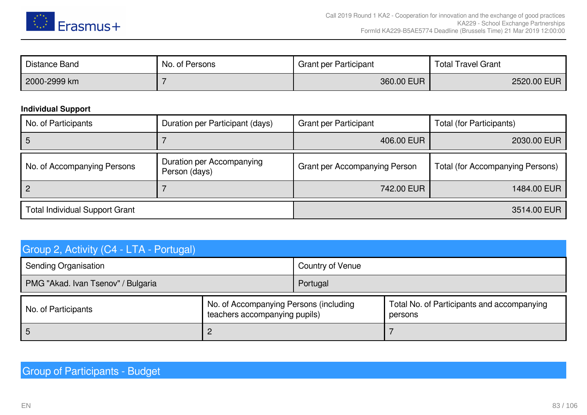

| Distance Band | No. of Persons | <b>Grant per Participant</b> | <b>Total Travel Grant</b> |
|---------------|----------------|------------------------------|---------------------------|
| 2000-2999 km  |                | 360.00 EUR                   | 2520.00 EUR               |

#### **Individual Support**

| No. of Participants                   | Duration per Participant (days)            | <b>Grant per Participant</b><br><b>Total (for Participants)</b> |                                  |
|---------------------------------------|--------------------------------------------|-----------------------------------------------------------------|----------------------------------|
| O                                     |                                            | 406.00 EUR                                                      | 2030.00 EUR                      |
| No. of Accompanying Persons           | Duration per Accompanying<br>Person (days) | Grant per Accompanying Person                                   | Total (for Accompanying Persons) |
|                                       |                                            | 742.00 EUR                                                      | 1484.00 EUR                      |
| <b>Total Individual Support Grant</b> |                                            |                                                                 | 3514.00 EUR                      |

### Group 2, Activity (C4 - LTA - Portugal)

| <b>Sending Organisation</b>        |                                                                         | Country of Venue |                                                       |
|------------------------------------|-------------------------------------------------------------------------|------------------|-------------------------------------------------------|
| PMG "Akad. Ivan Tsenov" / Bulgaria |                                                                         | Portugal         |                                                       |
| No. of Participants                | No. of Accompanying Persons (including<br>teachers accompanying pupils) |                  | Total No. of Participants and accompanying<br>persons |
| 5                                  |                                                                         |                  |                                                       |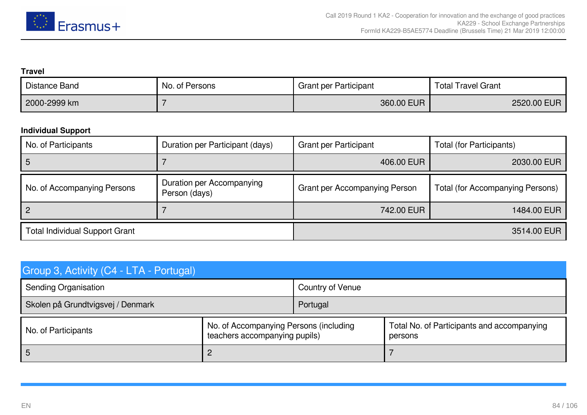

### **Travel**

| Distance Band | No. of Persons | <b>Grant per Participant</b> | <b>Total Travel Grant</b> |
|---------------|----------------|------------------------------|---------------------------|
| 2000-2999 km  |                | 360.00 EUR                   | 2520.00 EUR               |

| No. of Participants                   | Duration per Participant (days)            | <b>Grant per Participant</b><br>Total (for Participants) |                                         |
|---------------------------------------|--------------------------------------------|----------------------------------------------------------|-----------------------------------------|
| C                                     |                                            | 406.00 EUR                                               | 2030.00 EUR                             |
| No. of Accompanying Persons           | Duration per Accompanying<br>Person (days) | Grant per Accompanying Person                            | <b>Total (for Accompanying Persons)</b> |
|                                       |                                            | 742.00 EUR                                               | 1484.00 EUR                             |
| <b>Total Individual Support Grant</b> |                                            |                                                          | 3514.00 EUR                             |

| Group 3, Activity (C4 - LTA - Portugal) |                                                                         |                  |                                                       |  |  |  |
|-----------------------------------------|-------------------------------------------------------------------------|------------------|-------------------------------------------------------|--|--|--|
| <b>Sending Organisation</b>             |                                                                         | Country of Venue |                                                       |  |  |  |
| Skolen på Grundtvigsvej / Denmark       |                                                                         | Portugal         |                                                       |  |  |  |
| No. of Participants                     | No. of Accompanying Persons (including<br>teachers accompanying pupils) |                  | Total No. of Participants and accompanying<br>persons |  |  |  |
| ს                                       |                                                                         |                  |                                                       |  |  |  |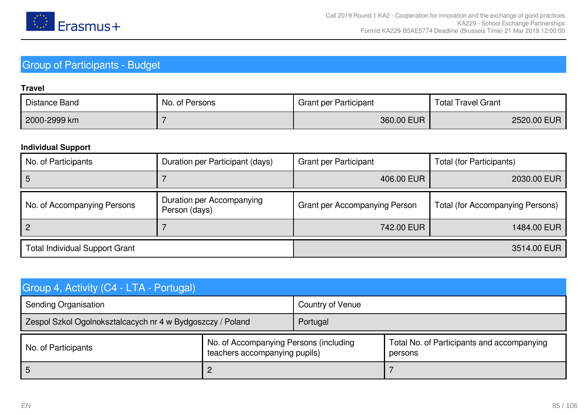

**Travel**

| Distance Band | No. of Persons | <b>Grant per Participant</b> | <b>Total Travel Grant</b> |
|---------------|----------------|------------------------------|---------------------------|
| 2000-2999 km  |                | 360.00 EUR                   | 2520.00 EUR               |

| No. of Participants                   | Duration per Participant (days)            | <b>Grant per Participant</b>  | Total (for Participants)         |
|---------------------------------------|--------------------------------------------|-------------------------------|----------------------------------|
| O                                     |                                            | 406.00 EUR                    | 2030.00 EUR                      |
| No. of Accompanying Persons           | Duration per Accompanying<br>Person (days) | Grant per Accompanying Person | Total (for Accompanying Persons) |
|                                       |                                            | 742.00 EUR                    | 1484.00 EUR                      |
| <b>Total Individual Support Grant</b> |                                            |                               | 3514.00 EUR                      |

| Group 4, Activity (C4 - LTA - Portugal)                    |                                                                         |                  |                                                       |  |  |
|------------------------------------------------------------|-------------------------------------------------------------------------|------------------|-------------------------------------------------------|--|--|
| <b>Sending Organisation</b>                                |                                                                         | Country of Venue |                                                       |  |  |
| Zespol Szkol Ogolnoksztalcacych nr 4 w Bydgoszczy / Poland |                                                                         | Portugal         |                                                       |  |  |
| No. of Participants                                        | No. of Accompanying Persons (including<br>teachers accompanying pupils) |                  | Total No. of Participants and accompanying<br>persons |  |  |
|                                                            |                                                                         |                  |                                                       |  |  |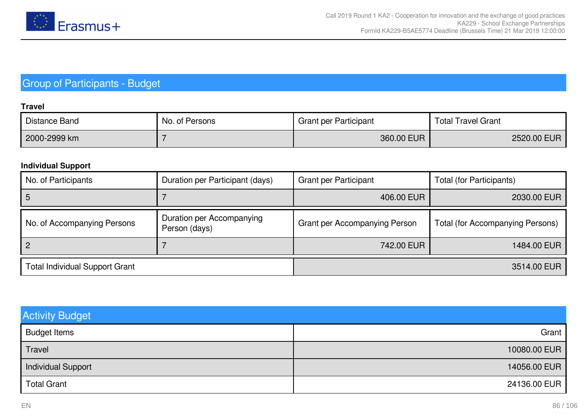

**Travel**

| Distance Band | No. of Persons | Grant per Participant | <b>Total Travel Grant</b> |
|---------------|----------------|-----------------------|---------------------------|
| 2000-2999 km  |                | 360.00 EUR            | 2520.00 EUR               |

| No. of Participants                   | Duration per Participant (days)            | <b>Grant per Participant</b>         | <b>Total (for Participants)</b>         |
|---------------------------------------|--------------------------------------------|--------------------------------------|-----------------------------------------|
|                                       |                                            | 406.00 EUR                           | 2030.00 EUR                             |
| No. of Accompanying Persons           | Duration per Accompanying<br>Person (days) | <b>Grant per Accompanying Person</b> | <b>Total (for Accompanying Persons)</b> |
|                                       |                                            | 742.00 EUR                           | 1484.00 EUR                             |
| <b>Total Individual Support Grant</b> |                                            |                                      | 3514.00 EUR                             |

| <b>Activity Budget</b>    |              |  |  |
|---------------------------|--------------|--|--|
| <b>Budget Items</b>       | Grant        |  |  |
| Travel                    | 10080.00 EUR |  |  |
| <b>Individual Support</b> | 14056.00 EUR |  |  |
| <b>Total Grant</b>        | 24136.00 EUR |  |  |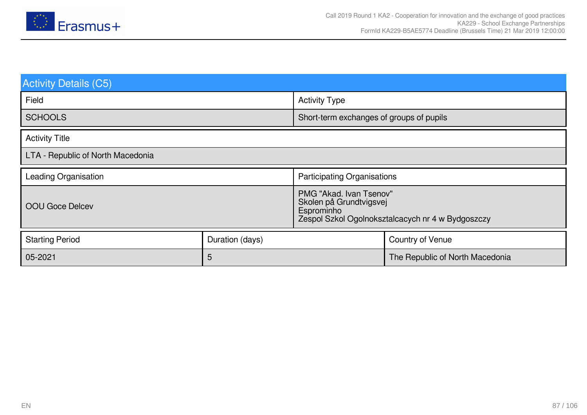

| <b>Activity Details (C5)</b>      |                 |                                                                                                                       |                                 |
|-----------------------------------|-----------------|-----------------------------------------------------------------------------------------------------------------------|---------------------------------|
| Field                             |                 | <b>Activity Type</b>                                                                                                  |                                 |
| <b>SCHOOLS</b>                    |                 | Short-term exchanges of groups of pupils                                                                              |                                 |
| <b>Activity Title</b>             |                 |                                                                                                                       |                                 |
| LTA - Republic of North Macedonia |                 |                                                                                                                       |                                 |
| Leading Organisation              |                 | Participating Organisations                                                                                           |                                 |
| <b>OOU Goce Delcev</b>            |                 | PMG "Akad. Ivan Tsenov"<br>Skolen på Grundtvigsvej<br>Esprominho<br>Zespol Szkol Ogolnoksztalcacych nr 4 w Bydgoszczy |                                 |
| <b>Starting Period</b>            | Duration (days) |                                                                                                                       | <b>Country of Venue</b>         |
| 05-2021                           | 5               |                                                                                                                       | The Republic of North Macedonia |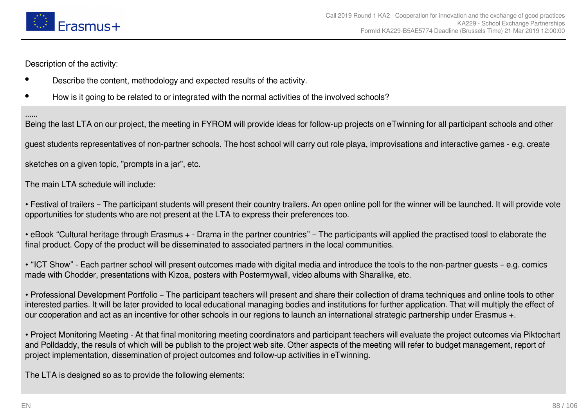

Description of the activity:

......

- ●Describe the content, methodology and expected results of the activity.
- ●How is it going to be related to or integrated with the normal activities of the involved schools?

Being the last LTA on our project, the meeting in FYROM will provide ideas for follow-up projects on eTwinning for all participant schools and other

guest students representatives of non-partner schools. The host school will carry out role playa, improvisations and interactive games - e.g. create

sketches on a given topic, "prompts in a jar", etc.

The main LTA schedule will include:

• Festival of trailers – The participant students will present their country trailers. An open online poll for the winner will be launched. It will provide voteopportunities for students who are not present at the LTA to express their preferences too.

• eBook "Cultural heritage through Erasmus + - Drama in the partner countries" – The participants will applied the practised toosl to elaborate thefinal product. Copy of the product will be disseminated to associated partners in the local communities.

• "ICT Show" - Each partner school will present outcomes made with digital media and introduce the tools to the non-partner guests – e.g. comicsmade with Chodder, presentations with Kizoa, posters with Postermywall, video albums with Sharalike, etc.

• Professional Development Portfolio – The participant teachers will present and share their collection of drama techniques and online tools to other interested parties. It will be later provided to local educational managing bodies and institutions for further application. That will multiply the effect ofour cooperation and act as an incentive for other schools in our regions to launch an international strategic partnership under Erasmus +.

• Project Monitoring Meeting - At that final monitoring meeting coordinators and participant teachers will evaluate the project outcomes via Piktochartand Polldaddy, the resuls of which will be publish to the project web site. Other aspects of the meeting will refer to budget management, report ofproject implementation, dissemination of project outcomes and follow-up activities in eTwinning.

The LTA is designed so as to provide the following elements: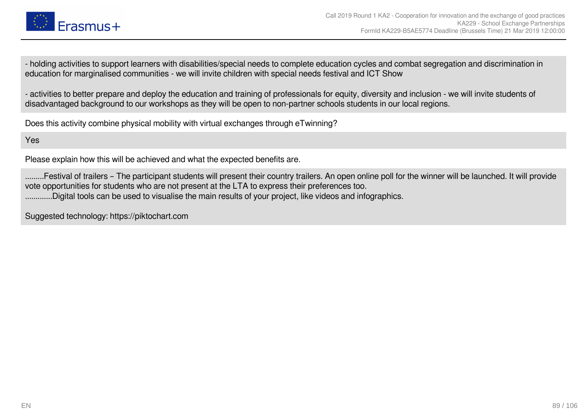

- holding activities to support learners with disabilities/special needs to complete education cycles and combat segregation and discrimination ineducation for marginalised communities - we will invite children with special needs festival and ICT Show

- activities to better prepare and deploy the education and training of professionals for equity, diversity and inclusion - we will invite students ofdisadvantaged background to our workshops as they will be open to non-partner schools students in our local regions.

Does this activity combine physical mobility with virtual exchanges through eTwinning?

Yes

Please explain how this will be achieved and what the expected benefits are.

.........Festival of trailers – The participant students will present their country trailers. An open online poll for the winner will be launched. It will provide vote opportunities for students who are not present at the LTA to express their preferences too..............Digital tools can be used to visualise the main results of your project, like videos and infographics.

Suggested technology: https://piktochart.com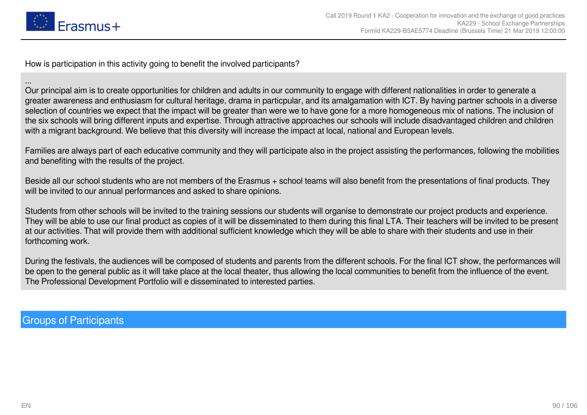

...

How is participation in this activity going to benefit the involved participants?

Our principal aim is to create opportunities for children and adults in our community to engage with different nationalities in order to generate a greater awareness and enthusiasm for cultural heritage, drama in particpular, and its amalgamation with ICT. By having partner schools in a diverse selection of countries we expect that the impact will be greater than were we to have gone for a more homogeneous mix of nations. The inclusion of the six schools will bring different inputs and expertise. Through attractive approaches our schools will include disadvantaged children and childrenwith a migrant background. We believe that this diversity will increase the impact at local, national and European levels.

Families are always part of each educative community and they will participate also in the project assisting the performances, following the mobilitiesand benefiting with the results of the project.

Beside all our school students who are not members of the Erasmus + school teams will also benefit from the presentations of final products. Theywill be invited to our annual performances and asked to share opinions.

Students from other schools will be invited to the training sessions our students will organise to demonstrate our project products and experience. They will be able to use our final product as copies of it will be disseminated to them during this final LTA. Their teachers will be invited to be presentat our activities. That will provide them with additional sufficient knowledge which they will be able to share with their students and use in theirforthcoming work.

During the festivals, the audiences will be composed of students and parents from the different schools. For the final ICT show, the performances will be open to the general public as it will take place at the local theater, thus allowing the local communities to benefit from the influence of the event.The Professional Development Portfolio will e disseminated to interested parties.

Groups of Participants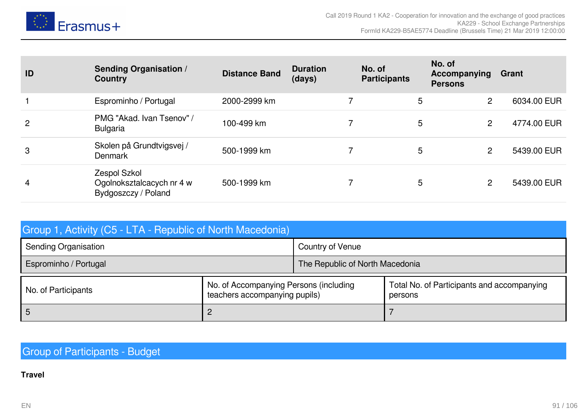

| ID             | <b>Sending Organisation /</b><br><b>Country</b>                  | <b>Distance Band</b> | <b>Duration</b><br>(days) | No. of<br><b>Participants</b> |   | No. of<br>Accompanying<br><b>Persons</b> | Grant       |
|----------------|------------------------------------------------------------------|----------------------|---------------------------|-------------------------------|---|------------------------------------------|-------------|
|                | Esprominho / Portugal                                            | 2000-2999 km         |                           |                               | 5 | 2                                        | 6034.00 EUR |
| 2              | PMG "Akad. Ivan Tsenov" /<br><b>Bulgaria</b>                     | 100-499 km           |                           |                               | 5 | 2                                        | 4774.00 EUR |
| 3              | Skolen på Grundtvigsvej /<br>Denmark                             | 500-1999 km          |                           |                               | 5 | $\overline{2}$                           | 5439.00 EUR |
| $\overline{4}$ | Zespol Szkol<br>Ogolnoksztalcacych nr 4 w<br>Bydgoszczy / Poland | 500-1999 km          |                           |                               | 5 | $\overline{2}$                           | 5439.00 EUR |

| Group 1, Activity (C5 - LTA - Republic of North Macedonia) |                                                                         |                                 |                                                       |  |  |
|------------------------------------------------------------|-------------------------------------------------------------------------|---------------------------------|-------------------------------------------------------|--|--|
| <b>Sending Organisation</b>                                |                                                                         | Country of Venue                |                                                       |  |  |
| <b>Esprominho / Portugal</b>                               |                                                                         | The Republic of North Macedonia |                                                       |  |  |
| No. of Participants                                        | No. of Accompanying Persons (including<br>teachers accompanying pupils) |                                 | Total No. of Participants and accompanying<br>persons |  |  |
| l 5                                                        |                                                                         |                                 |                                                       |  |  |

#### **Travel**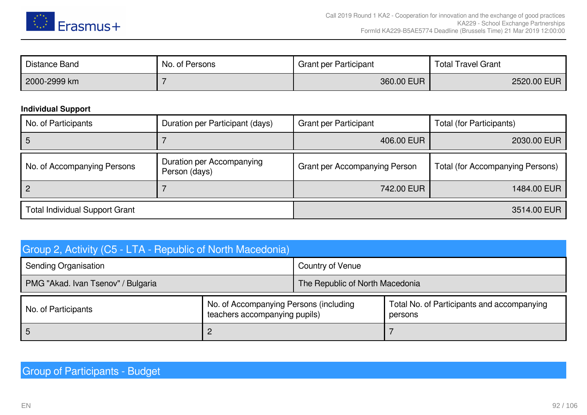

| Distance Band | No. of Persons | <b>Grant per Participant</b> | <b>Total Travel Grant</b> |
|---------------|----------------|------------------------------|---------------------------|
| 2000-2999 km  |                | 360.00 EUR                   | 2520.00 EUR               |

| No. of Participants                   | Duration per Participant (days)            | <b>Grant per Participant</b>  | <b>Total (for Participants)</b>  |
|---------------------------------------|--------------------------------------------|-------------------------------|----------------------------------|
|                                       |                                            | 406.00 EUR                    | 2030.00 EUR                      |
| No. of Accompanying Persons           | Duration per Accompanying<br>Person (days) | Grant per Accompanying Person | Total (for Accompanying Persons) |
|                                       |                                            | 742.00 EUR                    | 1484.00 EUR                      |
| <b>Total Individual Support Grant</b> |                                            |                               | 3514.00 EUR                      |

| Group 2, Activity (C5 - LTA - Republic of North Macedonia) |                                                                         |                                 |                                                       |  |  |
|------------------------------------------------------------|-------------------------------------------------------------------------|---------------------------------|-------------------------------------------------------|--|--|
| <b>Sending Organisation</b>                                |                                                                         | Country of Venue                |                                                       |  |  |
| PMG "Akad. Ivan Tsenov" / Bulgaria                         |                                                                         | The Republic of North Macedonia |                                                       |  |  |
| No. of Participants                                        | No. of Accompanying Persons (including<br>teachers accompanying pupils) |                                 | Total No. of Participants and accompanying<br>persons |  |  |
| l 5                                                        |                                                                         |                                 |                                                       |  |  |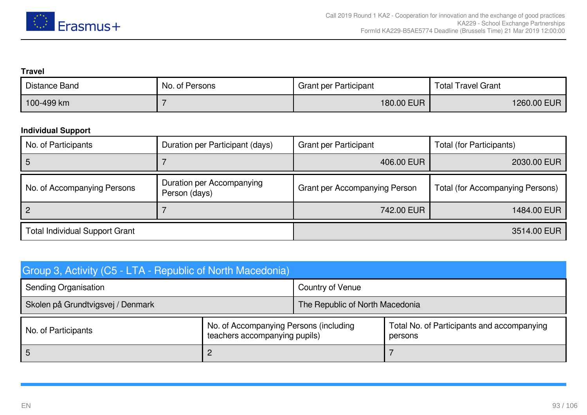

### **Travel**

| Distance Band | No. of Persons | <b>Grant per Participant</b> | <b>Total Travel Grant</b> |
|---------------|----------------|------------------------------|---------------------------|
| 100-499 km    |                | 180.00 EUR                   | 1260.00 EUR               |

| No. of Participants                   | Duration per Participant (days)            | <b>Grant per Participant</b>  | Total (for Participants)                |
|---------------------------------------|--------------------------------------------|-------------------------------|-----------------------------------------|
| C                                     |                                            | 406.00 EUR                    | 2030.00 EUR                             |
| No. of Accompanying Persons           | Duration per Accompanying<br>Person (days) | Grant per Accompanying Person | <b>Total (for Accompanying Persons)</b> |
|                                       |                                            | 742.00 EUR                    | 1484.00 EUR                             |
| <b>Total Individual Support Grant</b> |                                            |                               | 3514.00 EUR                             |

| Group 3, Activity (C5 - LTA - Republic of North Macedonia) |                                                                         |                                 |                                                       |  |
|------------------------------------------------------------|-------------------------------------------------------------------------|---------------------------------|-------------------------------------------------------|--|
| <b>Sending Organisation</b>                                |                                                                         | Country of Venue                |                                                       |  |
| Skolen på Grundtvigsvej / Denmark                          |                                                                         | The Republic of North Macedonia |                                                       |  |
| No. of Participants                                        | No. of Accompanying Persons (including<br>teachers accompanying pupils) |                                 | Total No. of Participants and accompanying<br>persons |  |
| ა                                                          |                                                                         |                                 |                                                       |  |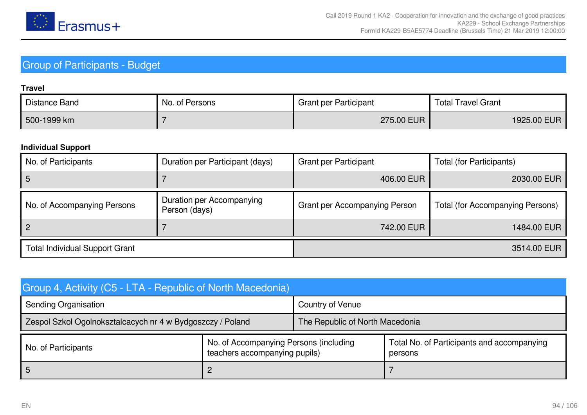

**Travel**

| Distance Band | No. of Persons | <b>Grant per Participant</b> | <b>Total Travel Grant</b> |
|---------------|----------------|------------------------------|---------------------------|
| 500-1999 km   |                | 275.00 EUR                   | 1925.00 EUR               |

| No. of Participants                   | Duration per Participant (days)            | <b>Grant per Participant</b><br>Total (for Participants) |                                  |
|---------------------------------------|--------------------------------------------|----------------------------------------------------------|----------------------------------|
| O                                     |                                            | 406.00 EUR                                               | 2030.00 EUR                      |
| No. of Accompanying Persons           | Duration per Accompanying<br>Person (days) | Grant per Accompanying Person                            | Total (for Accompanying Persons) |
|                                       |                                            | 742.00 EUR                                               | 1484.00 EUR                      |
| <b>Total Individual Support Grant</b> |                                            |                                                          | 3514.00 EUR                      |

| Group 4, Activity (C5 - LTA - Republic of North Macedonia) |                                                                         |                                 |                                                       |  |
|------------------------------------------------------------|-------------------------------------------------------------------------|---------------------------------|-------------------------------------------------------|--|
| <b>Sending Organisation</b>                                |                                                                         | Country of Venue                |                                                       |  |
| Zespol Szkol Ogolnoksztalcacych nr 4 w Bydgoszczy / Poland |                                                                         | The Republic of North Macedonia |                                                       |  |
| No. of Participants                                        | No. of Accompanying Persons (including<br>teachers accompanying pupils) |                                 | Total No. of Participants and accompanying<br>persons |  |
|                                                            |                                                                         |                                 |                                                       |  |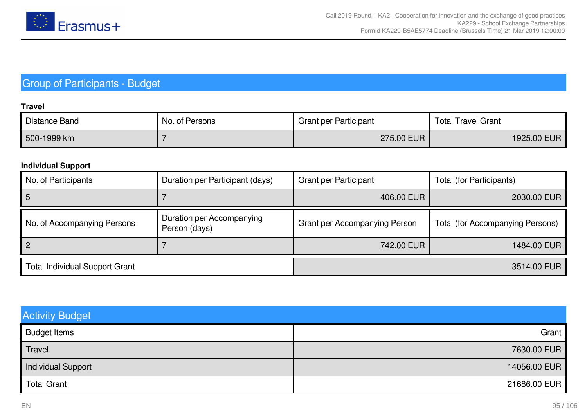

**Travel**

| Distance Band | No. of Persons | <b>Grant per Participant</b> | Total Travel Grant |
|---------------|----------------|------------------------------|--------------------|
| 500-1999 km   |                | 275.00 EUR                   | 1925.00 EUR        |

| No. of Participants                   | Duration per Participant (days)            | <b>Total (for Participants)</b><br><b>Grant per Participant</b> |                                         |
|---------------------------------------|--------------------------------------------|-----------------------------------------------------------------|-----------------------------------------|
|                                       |                                            | 406.00 EUR                                                      | 2030.00 EUR                             |
| No. of Accompanying Persons           | Duration per Accompanying<br>Person (days) | <b>Grant per Accompanying Person</b>                            | <b>Total (for Accompanying Persons)</b> |
|                                       |                                            | 742.00 EUR                                                      | 1484.00 EUR                             |
| <b>Total Individual Support Grant</b> |                                            |                                                                 | 3514.00 EUR                             |

| <b>Activity Budget</b>    |              |
|---------------------------|--------------|
| <b>Budget Items</b>       | Grant        |
| Travel                    | 7630.00 EUR  |
| <b>Individual Support</b> | 14056.00 EUR |
| <b>Total Grant</b>        | 21686.00 EUR |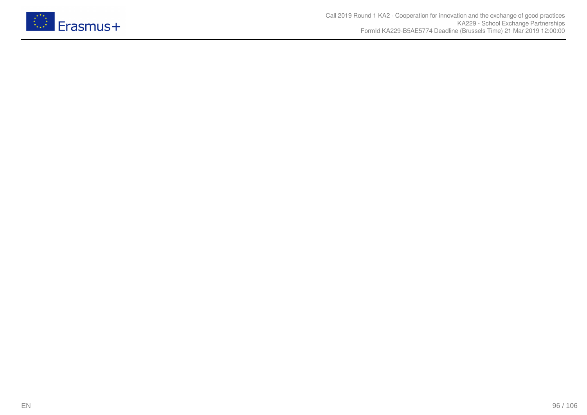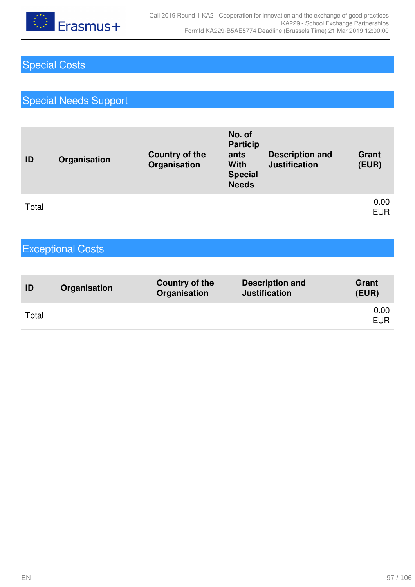

## **Special Costs**

# Special Needs Support

| ID    | Organisation | Country of the<br>Organisation | No. of<br><b>Particip</b><br>ants<br><b>With</b><br><b>Special</b><br><b>Needs</b> | <b>Description and</b><br><b>Justification</b> | Grant<br>(EUR)     |
|-------|--------------|--------------------------------|------------------------------------------------------------------------------------|------------------------------------------------|--------------------|
| Total |              |                                |                                                                                    |                                                | 0.00<br><b>EUR</b> |

# Exceptional Costs

| ID    | Organisation | Country of the<br>Organisation | <b>Description and</b><br><b>Justification</b> | Grant<br>(EUR)     |
|-------|--------------|--------------------------------|------------------------------------------------|--------------------|
| Total |              |                                |                                                | 0.00<br><b>EUR</b> |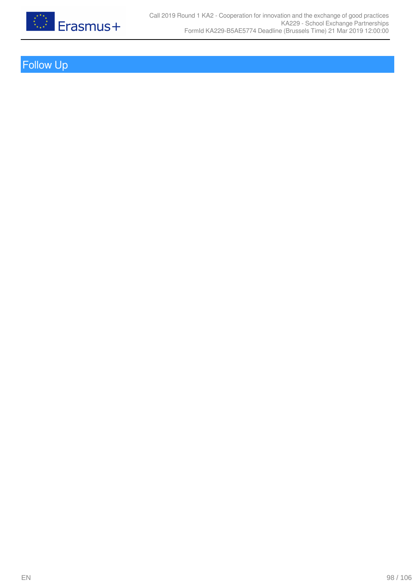

# Follow Up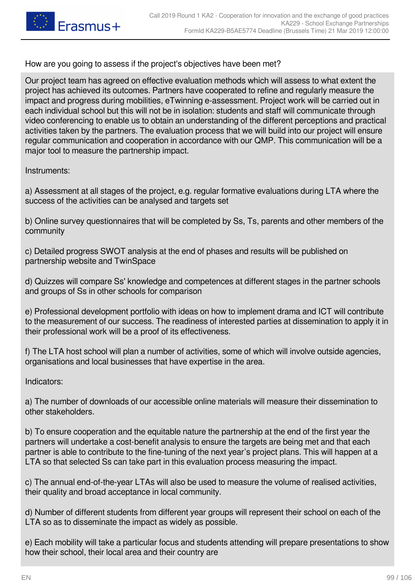

How are you going to assess if the project's objectives have been met?

Our project team has agreed on effective evaluation methods which will assess to what extent the project has achieved its outcomes. Partners have cooperated to refine and regularly measure the impact and progress during mobilities, eTwinning e-assessment. Project work will be carried out in each individual school but this will not be in isolation: students and staff will communicate through video conferencing to enable us to obtain an understanding of the different perceptions and practical activities taken by the partners. The evaluation process that we will build into our project will ensure regular communication and cooperation in accordance with our QMP. This communication will be a major tool to measure the partnership impact.

Instruments:

a) Аssessment at all stages of the project, е.g. regular formative evaluations during LTA where the success of the activities can be analysed and targets set

b) Оnline survey questionnaires that will be completed by Ss, Ts, parents and other members of the community

c) Detailed progress SWOT analysis at the end of phases and results will be published on partnership websitе and TwinSpace

d) Quizzes will compare Ss' knowledge and competences at different stages in the partner schools and groups of Ss in other schools for comparison

e) Professional development portfolio with ideas on how to implement drama and ICT will contribute to the measurement of our success. The readiness of interested parties at dissemination to apply it in their professional work will be a proof of its effectiveness.

f) The LTA host school will plan a number of activities, some of which will involve outside agencies, organisations and local businesses that have expertise in the area.

Indicators:

a) The number of downloads of our accessible online materials will measure their dissemination to other stakeholders.

b) To ensure cooperation and the equitable nature the partnership at the end of the first year the partners will undertake a cost-benefit analysis to ensure the targets are being met and that each partner is able to contribute to the fine-tuning of the next year's project plans. This will happen at a LTA so that selected Ss can take part in this evaluation process measuring the impact.

c) The annual end-of-the-year LTAs will also be used to measure the volume of realised activities, their quality and broad acceptance in local community.

d) Number of different students from different year groups will represent their school on each of the LTA so as to disseminate the impact as widely as possible.

e) Each mobility will take a particular focus and students attending will prepare presentations to show how their school, their local area and their country are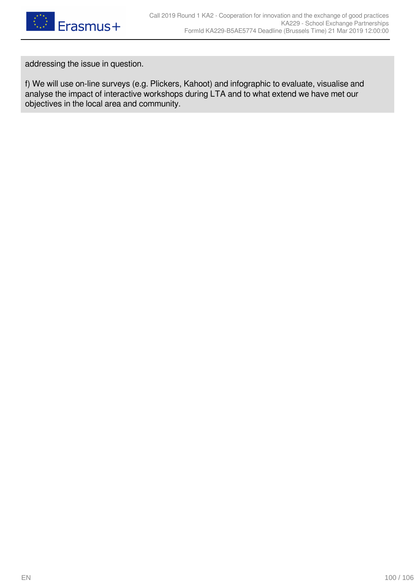

addressing the issue in question.

f) We will use on-line surveys (e.g. Plickers, Kahoot) and infographic to evaluate, visualise and analyse the impact of interactive workshops during LTA and to what extend we have met our objectives in the local area and community.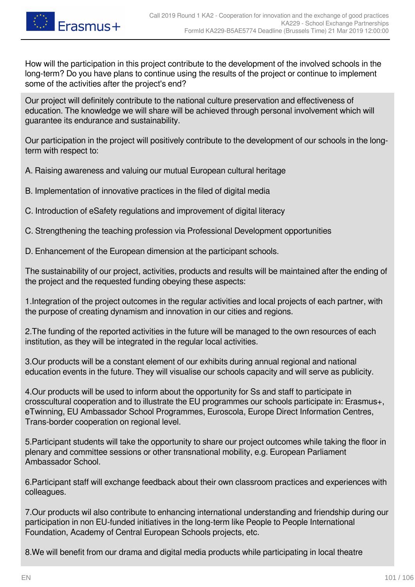

How will the participation in this project contribute to the development of the involved schools in the long-term? Do you have plans to continue using the results of the project or continue to implement some of the activities after the project's end?

Our project will definitely contribute to the national culture preservation and effectiveness of education. The knowledge we will share will be achieved through personal involvement which will guarantee its endurance and sustainability.

Our participation in the project will positively contribute to the development of our schools in the longterm with respect to:

- A. Raising awareness and valuing our mutual European cultural heritage
- B. Implementation of innovative practices in the filed of digital media
- C. Introduction of eSafety regulations and improvement of digital literacy
- C. Strengthening the teaching profession via Professional Development opportunities
- D. Enhancement of the European dimension at the participant schools.

The sustainability of our project, activities, products and results will be maintained after the ending of the project and the requested funding obeying these aspects:

1.Integration of the project outcomes in the regular activities and local projects of each partner, with the purpose of creating dynamism and innovation in our cities and regions.

2.The funding of the reported activities in the future will be managed to the own resources of each institution, as they will be integrated in the regular local activities.

3.Our products will be a constant element of our exhibits during annual regional and national education events in the future. They will visualise our schools capacity and will serve as publicity.

4.Our products will be used to inform about the opportunity for Ss and staff to participate in crosscultural cooperation and to illustrate the EU programmes our schools participate in: Erasmus+, eTwinning, EU Ambassador School Programmes, Euroscola, Europe Direct Information Centres, Trans-border cooperation on regional level.

5.Participant students will take the opportunity to share our project outcomes while taking the floor in plenary and committee sessions or other transnational mobility, e.g. European Parliament Ambassador School.

6.Participant staff will exchange feedback about their own classroom practices and experiences with colleagues.

7.Our products wil also contribute to enhancing international understanding and friendship during our participation in non EU-funded initiatives in the long-term like People to People International Foundation, Academy of Central European Schools projects, etc.

8.We will benefit from our drama and digital media products while participating in local theatre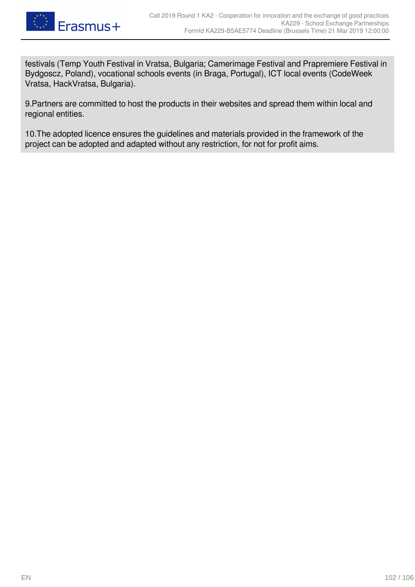

festivals (Temp Youth Festival in Vratsa, Bulgaria; Camerimage Festival and Prapremiere Festival in Bydgoscz, Poland), vocational schools events (in Braga, Portugal), ICT local events (CodeWeek Vratsa, HackVratsa, Bulgaria).

9.Partners are committed to host the products in their websites and spread them within local and regional entities.

10.The adopted licence ensures the guidelines and materials provided in the framework of the project can be adopted and adapted without any restriction, for not for profit aims.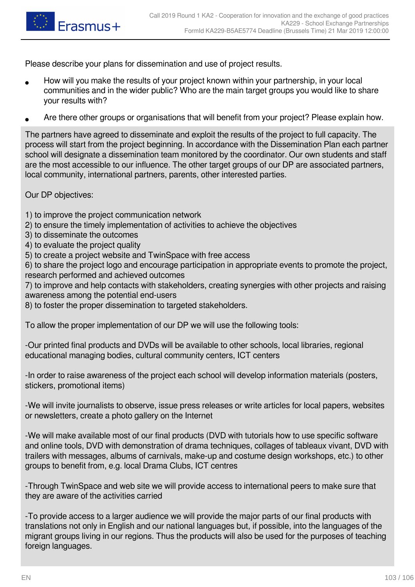

Please describe your plans for dissemination and use of project results.

- How will you make the results of your project known within your partnership, in your local communities and in the wider public? Who are the main target groups you would like to share your results with?
- Are there other groups or organisations that will benefit from your project? Please explain how.

The partners have agreed to disseminate and exploit the results of the project to full capacity. The process will start from the project beginning. In accordance with the Dissemination Plan each partner school will designate a dissemination team monitored by the coordinator. Our own students and staff are the most accessible to our influence. The other target groups of our DP are associated partners, local community, international partners, parents, other interested parties.

Our DP objectives:

- 1) to improve the project communication network
- 2) to ensure the timely implementation of activities to achieve the objectives
- 3) to disseminate the outcomes
- 4) to evaluate the project quality
- 5) to create a project website and TwinSpace with free access

6) to share the project logo and encourage participation in appropriate events to promote the project, research performed and achieved outcomes

7) to improve and help contacts with stakeholders, creating synergies with other projects and raising awareness among the potential end-users

8) to foster the proper dissemination to targeted stakeholders.

To allow the proper implementation of our DP we will use the following tools:

-Our printed final products and DVDs will be available to other schools, local libraries, regional educational managing bodies, cultural community centers, ICT centers

-In order to raise awareness of the project each school will develop information materials (posters, stickers, promotional items)

-We will invite journalists to observe, issue press releases or write articles for local papers, websites or newsletters, create a photo gallery on the Internet

-We will make available most of our final products (DVD with tutorials how to use specific software and online tools, DVD with demonstration of drama techniques, collages of tableaux vivant, DVD with trailers with messages, albums of carnivals, make-up and costume design workshops, etc.) to other groups to benefit from, e.g. local Drama Clubs, ICT centres

-Through TwinSpace and web site we will provide access to international peers to make sure that they are aware of the activities carried

-To provide access to a larger audience we will provide the major parts of our final products with translations not only in English and our national languages but, if possible, into the languages of the migrant groups living in our regions. Thus the products will also be used for the purposes of teaching foreign languages.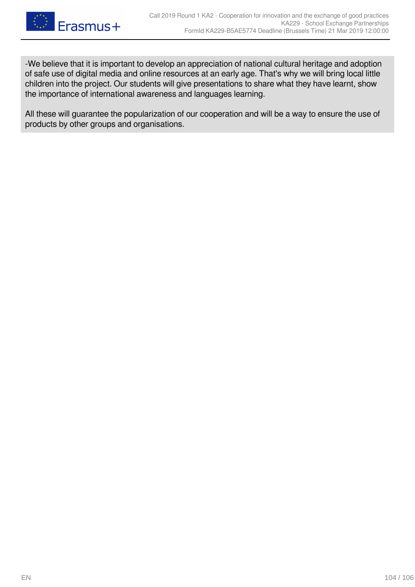

-We believe that it is important to develop an appreciation of national cultural heritage and adoption of safe use of digital media and online resources at an early age. That's why we will bring local little children into the project. Our students will give presentations to share what they have learnt, show the importance of international awareness and languages learning.

All these will guarantee the popularization of our cooperation and will be a way to ensure the use of products by other groups and organisations.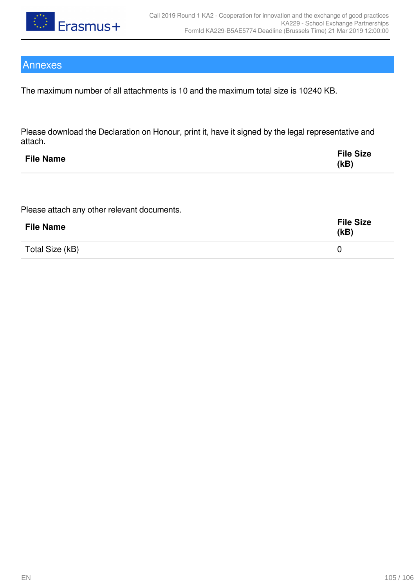

### Annexes

The maximum number of all attachments is 10 and the maximum total size is 10240 KB.

Please download the Declaration on Honour, print it, have it signed by the legal representative and attach.

| <b>File Name</b> | <b>File Size</b> |
|------------------|------------------|
|                  | (KB)             |

Please attach any other relevant documents.

| <b>File Name</b> | <b>File Size</b><br>(KB) |
|------------------|--------------------------|
| Total Size (kB)  |                          |